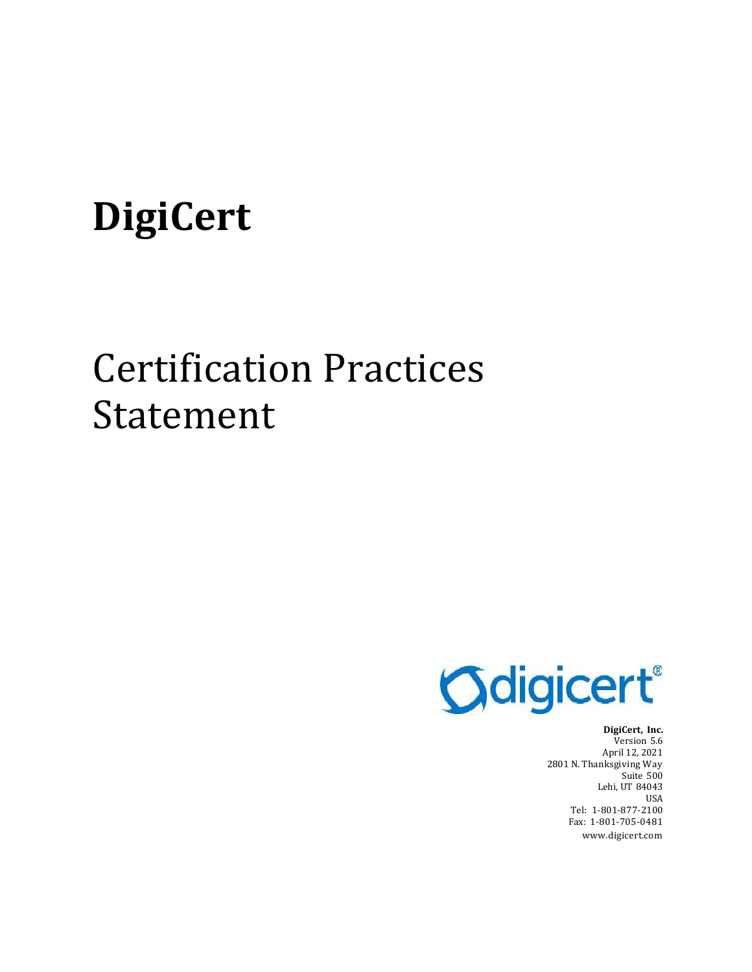# **DigiCert**

# Certification Practices Statement



**DigiCert, Inc.** Version 5.6 April 12, 2021 2801 N. Thanksgiving Way Suite 500 Lehi, UT 84043 USA Tel: 1-801-877-2100 Fax: 1-801-705-0481 [www.digicert.com](http://www.digicert.com/)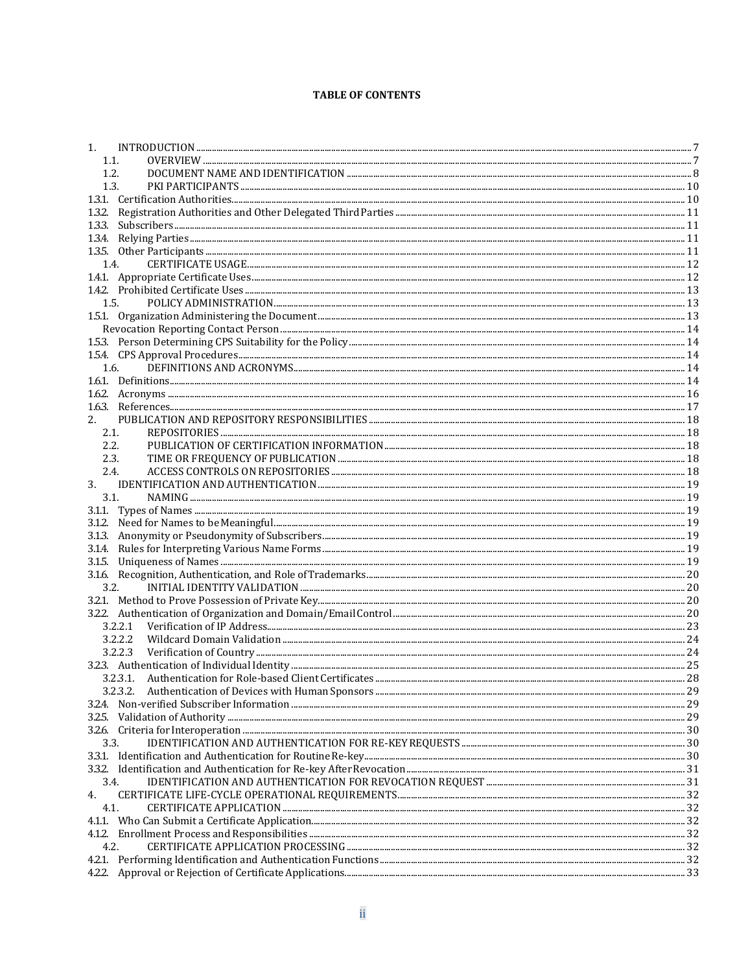#### **TABLE OF CONTENTS**

| $\mathbf{1}$ . |  |
|----------------|--|
|                |  |
| 1.1.           |  |
| 1.2.           |  |
| 1.3.           |  |
|                |  |
|                |  |
|                |  |
|                |  |
|                |  |
| 1.4.           |  |
|                |  |
|                |  |
| 1.5.           |  |
|                |  |
|                |  |
|                |  |
|                |  |
|                |  |
| 1.6.           |  |
|                |  |
|                |  |
|                |  |
| 2.             |  |
| 2.1.           |  |
| 2.2.           |  |
| 2.3.           |  |
| 2.4.           |  |
| 3.             |  |
| 3.1.           |  |
|                |  |
|                |  |
|                |  |
|                |  |
|                |  |
|                |  |
|                |  |
| 3.2.           |  |
|                |  |
|                |  |
| 3.2.2.1        |  |
|                |  |
|                |  |
|                |  |
|                |  |
|                |  |
|                |  |
|                |  |
|                |  |
| 3.3.           |  |
|                |  |
|                |  |
| 3.4.           |  |
|                |  |
| 4.             |  |
| 4.1.           |  |
|                |  |
|                |  |
| 4.2.           |  |
|                |  |
|                |  |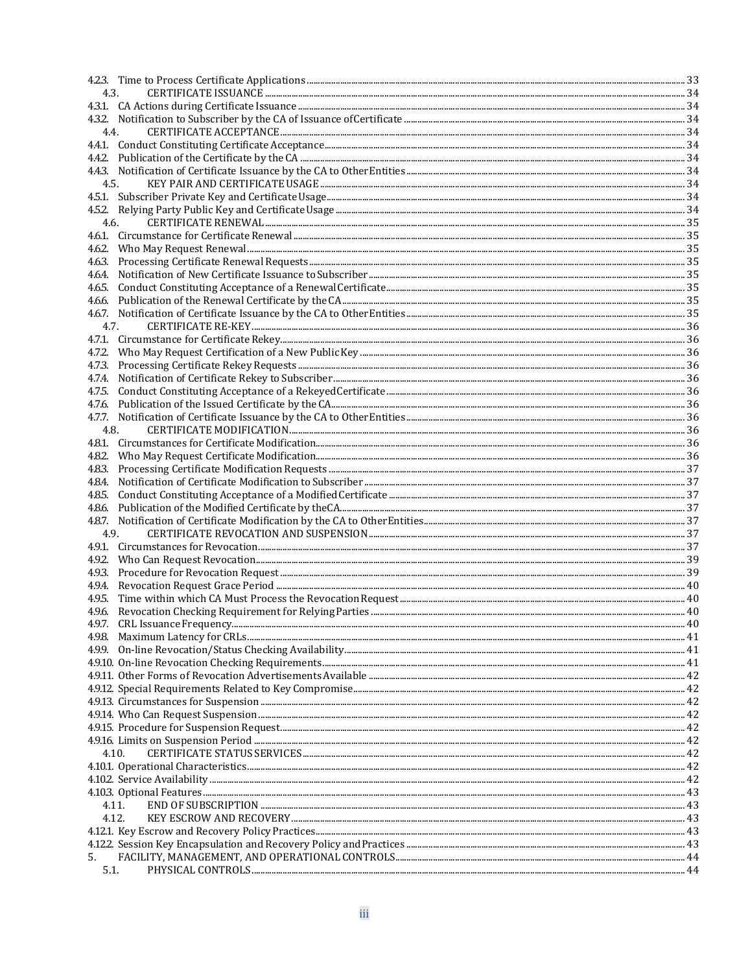|        | 4.3. |  |
|--------|------|--|
|        |      |  |
|        |      |  |
| 4.4.   |      |  |
|        |      |  |
|        |      |  |
|        |      |  |
| 4.5.   |      |  |
|        |      |  |
|        |      |  |
| 4.6.   |      |  |
|        |      |  |
|        |      |  |
|        |      |  |
| 4.6.4. |      |  |
|        |      |  |
|        |      |  |
|        |      |  |
| 4.7.   |      |  |
|        |      |  |
|        |      |  |
|        |      |  |
|        |      |  |
| 4.7.4. |      |  |
|        |      |  |
|        |      |  |
|        |      |  |
| 4.8.   |      |  |
|        |      |  |
|        |      |  |
|        |      |  |
|        |      |  |
|        |      |  |
|        |      |  |
|        |      |  |
| 4.9.   |      |  |
|        |      |  |
|        |      |  |
|        |      |  |
|        |      |  |
| 4.9.5. |      |  |
|        |      |  |
|        |      |  |
|        |      |  |
| 4.9.9. |      |  |
|        |      |  |
|        |      |  |
|        |      |  |
|        |      |  |
|        |      |  |
|        |      |  |
|        |      |  |
| 4.10.  |      |  |
|        |      |  |
|        |      |  |
|        |      |  |
| 4.11.  |      |  |
|        |      |  |
| 4.12.  |      |  |
|        |      |  |
|        |      |  |
| 5.     |      |  |
| 5.1.   |      |  |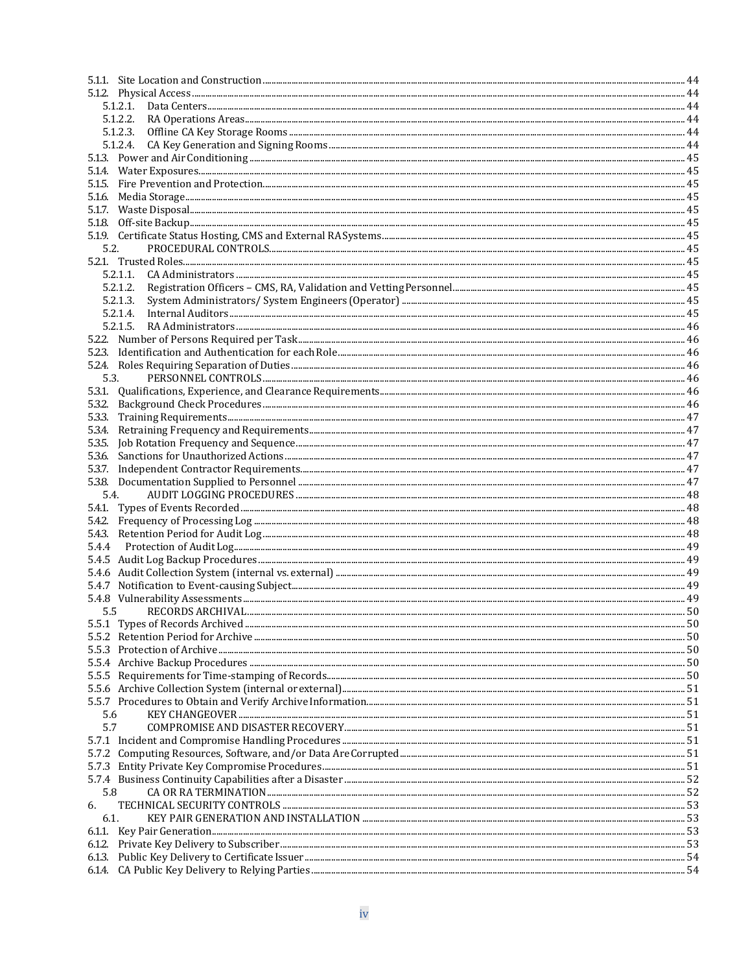|        | 5.1.2.1. |  |
|--------|----------|--|
|        | 5.1.2.2. |  |
|        |          |  |
|        |          |  |
|        |          |  |
|        |          |  |
|        |          |  |
|        |          |  |
|        |          |  |
|        |          |  |
|        |          |  |
| 5.2.   |          |  |
|        |          |  |
|        | 5.2.1.1. |  |
|        | 5.2.1.2. |  |
|        | 5.2.1.3. |  |
|        | 5.2.1.4. |  |
|        | 5.2.1.5. |  |
|        |          |  |
|        |          |  |
|        |          |  |
| 5.3.   |          |  |
|        |          |  |
|        |          |  |
| 5.3.3. |          |  |
| 5.3.4. |          |  |
| 5.3.5. |          |  |
|        |          |  |
|        |          |  |
|        |          |  |
| 5.4.   |          |  |
|        |          |  |
|        |          |  |
|        |          |  |
| 5.4.4  |          |  |
|        |          |  |
|        |          |  |
|        |          |  |
|        |          |  |
| 5.5    |          |  |
|        |          |  |
|        |          |  |
|        |          |  |
|        |          |  |
|        |          |  |
|        |          |  |
|        |          |  |
| 5.6    |          |  |
| 5.7    |          |  |
|        |          |  |
|        |          |  |
|        |          |  |
|        |          |  |
| 5.8    |          |  |
| 6.     |          |  |
| 6.1.   |          |  |
|        |          |  |
|        |          |  |
|        |          |  |
|        |          |  |
|        |          |  |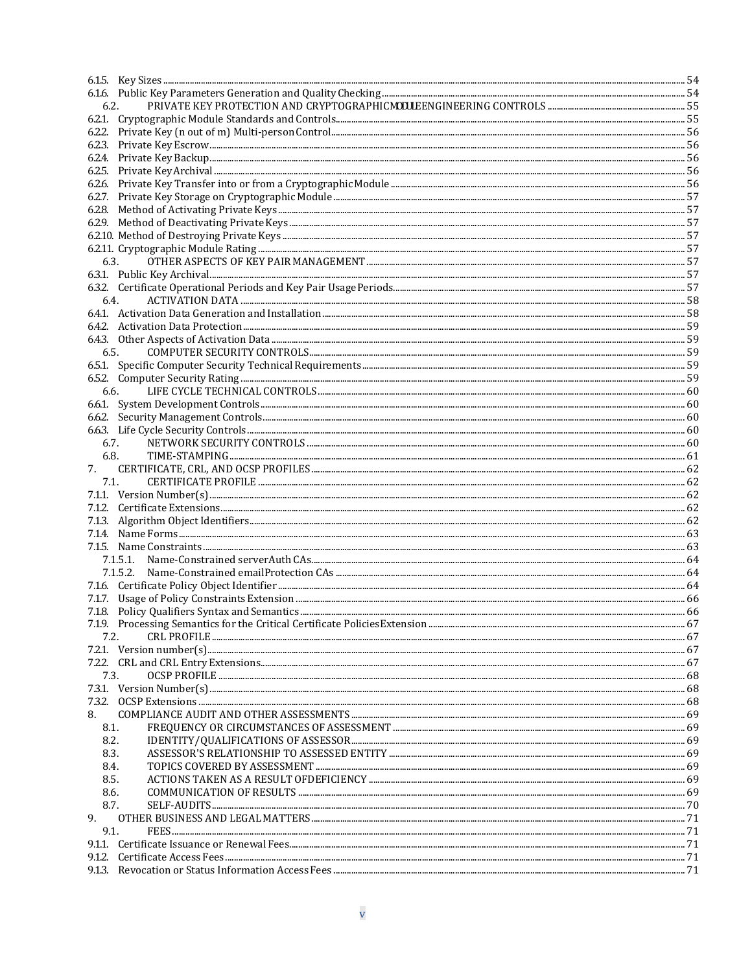| 6.2. |      |  |
|------|------|--|
|      |      |  |
|      |      |  |
|      |      |  |
|      |      |  |
|      |      |  |
|      |      |  |
|      |      |  |
|      |      |  |
|      |      |  |
|      |      |  |
|      |      |  |
| 6.3. |      |  |
|      |      |  |
|      |      |  |
|      | 6.4. |  |
|      |      |  |
|      |      |  |
|      |      |  |
| 6.5. |      |  |
|      |      |  |
|      |      |  |
| 6.6. |      |  |
|      |      |  |
|      |      |  |
|      |      |  |
|      | 6.7. |  |
| 6.8. |      |  |
| 7.   |      |  |
| 7.1. |      |  |
|      |      |  |
|      |      |  |
|      |      |  |
|      |      |  |
|      |      |  |
|      |      |  |
|      |      |  |
|      |      |  |
|      |      |  |
|      |      |  |
|      |      |  |
| 7.2. |      |  |
|      |      |  |
|      |      |  |
| 7.3. |      |  |
|      |      |  |
|      |      |  |
| 8.   |      |  |
| 8.1. |      |  |
| 8.2. |      |  |
| 8.3. |      |  |
| 8.4. |      |  |
| 8.5. |      |  |
| 8.6. |      |  |
| 8.7. |      |  |
| 9.   |      |  |
| 9.1. |      |  |
|      |      |  |
|      |      |  |
|      |      |  |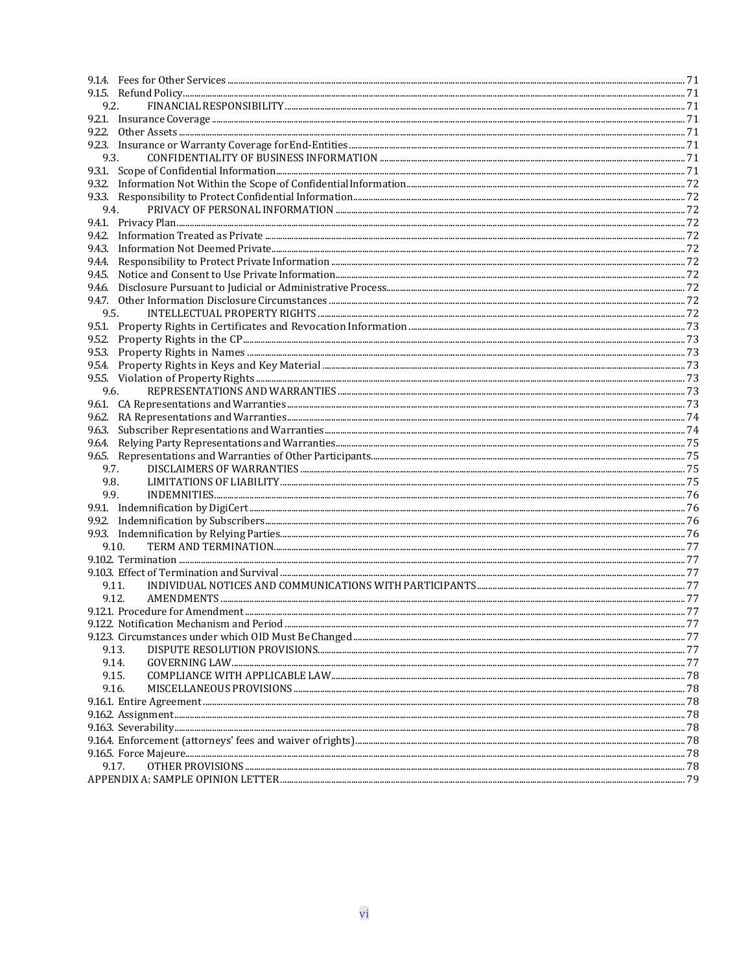| 9.2.   |       |      |
|--------|-------|------|
|        |       |      |
|        |       |      |
|        |       |      |
| 9.3.   |       |      |
|        |       |      |
|        |       |      |
|        |       |      |
| 9.4.   |       |      |
|        |       |      |
|        |       |      |
|        |       |      |
|        |       |      |
|        |       |      |
|        |       |      |
|        |       |      |
| 9.5.   |       |      |
|        |       |      |
|        |       |      |
|        |       |      |
|        |       |      |
|        |       |      |
|        |       |      |
| 9.6.   |       |      |
|        |       |      |
|        |       |      |
| 9.6.3. |       |      |
| 9.6.4. |       |      |
|        |       |      |
|        | 9.7.  |      |
| 9.8.   |       |      |
| 9.9.   |       |      |
|        |       |      |
|        |       |      |
|        |       |      |
|        | 9.10. |      |
|        |       |      |
|        |       |      |
|        | 9.11. |      |
|        | 9.12. |      |
|        |       |      |
|        |       | . 77 |
|        |       |      |
|        | 9.13. |      |
|        | 9.14. |      |
|        | 9.15. |      |
|        | 9.16. |      |
|        |       |      |
|        |       |      |
|        |       |      |
|        |       |      |
|        |       |      |
|        | 9.17. |      |
|        |       |      |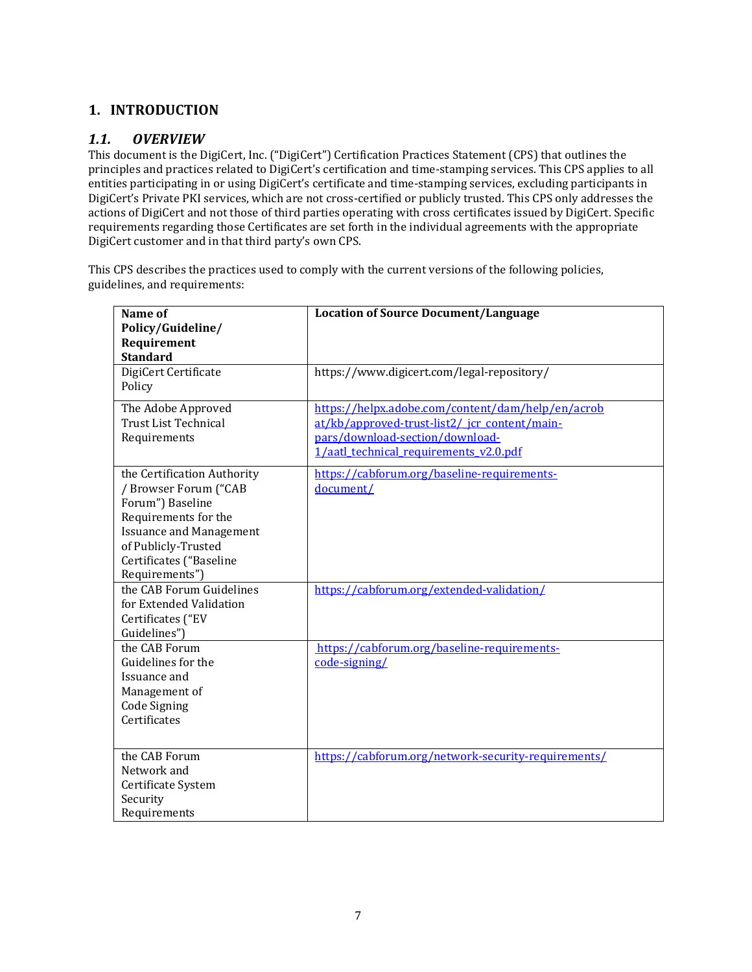## <span id="page-6-0"></span>**1. INTRODUCTION**

## <span id="page-6-1"></span>*1.1. OVERVIEW*

This document is the DigiCert, Inc. ("DigiCert") Certification Practices Statement (CPS) that outlines the principles and practices related to DigiCert's certification and time-stamping services. This CPS applies to all entities participating in or using DigiCert's certificate and time-stamping services, excluding participants in DigiCert's Private PKI services, which are not cross-certified or publicly trusted. This CPS only addresses the actions of DigiCert and not those of third parties operating with cross certificates issued by DigiCert. Specific requirements regarding those Certificates are set forth in the individual agreements with the appropriate DigiCert customer and in that third party's own CPS.

This CPS describes the practices used to comply with the current versions of the following policies, guidelines, and requirements:

| Name of<br>Policy/Guideline/                                                                                                                                                                           | <b>Location of Source Document/Language</b>                                                                                                                                     |
|--------------------------------------------------------------------------------------------------------------------------------------------------------------------------------------------------------|---------------------------------------------------------------------------------------------------------------------------------------------------------------------------------|
| Requirement<br><b>Standard</b>                                                                                                                                                                         |                                                                                                                                                                                 |
| DigiCert Certificate<br>Policy                                                                                                                                                                         | https://www.digicert.com/legal-repository/                                                                                                                                      |
| The Adobe Approved<br><b>Trust List Technical</b><br>Requirements                                                                                                                                      | https://helpx.adobe.com/content/dam/help/en/acrob<br>at/kb/approved-trust-list2/ jcr content/main-<br>pars/download-section/download-<br>1/aatl_technical_requirements_v2.0.pdf |
| the Certification Authority<br>/ Browser Forum ("CAB<br>Forum") Baseline<br>Requirements for the<br><b>Issuance and Management</b><br>of Publicly-Trusted<br>Certificates ("Baseline<br>Requirements") | https://cabforum.org/baseline-requirements-<br>document/                                                                                                                        |
| the CAB Forum Guidelines<br>for Extended Validation<br>Certificates ("EV<br>Guidelines")                                                                                                               | https://cabforum.org/extended-validation/                                                                                                                                       |
| the CAB Forum<br>Guidelines for the<br>Issuance and<br>Management of<br><b>Code Signing</b><br>Certificates                                                                                            | https://cabforum.org/baseline-requirements-<br>code-signing/                                                                                                                    |
| the CAB Forum<br>Network and<br>Certificate System<br>Security<br>Requirements                                                                                                                         | https://cabforum.org/network-security-requirements/                                                                                                                             |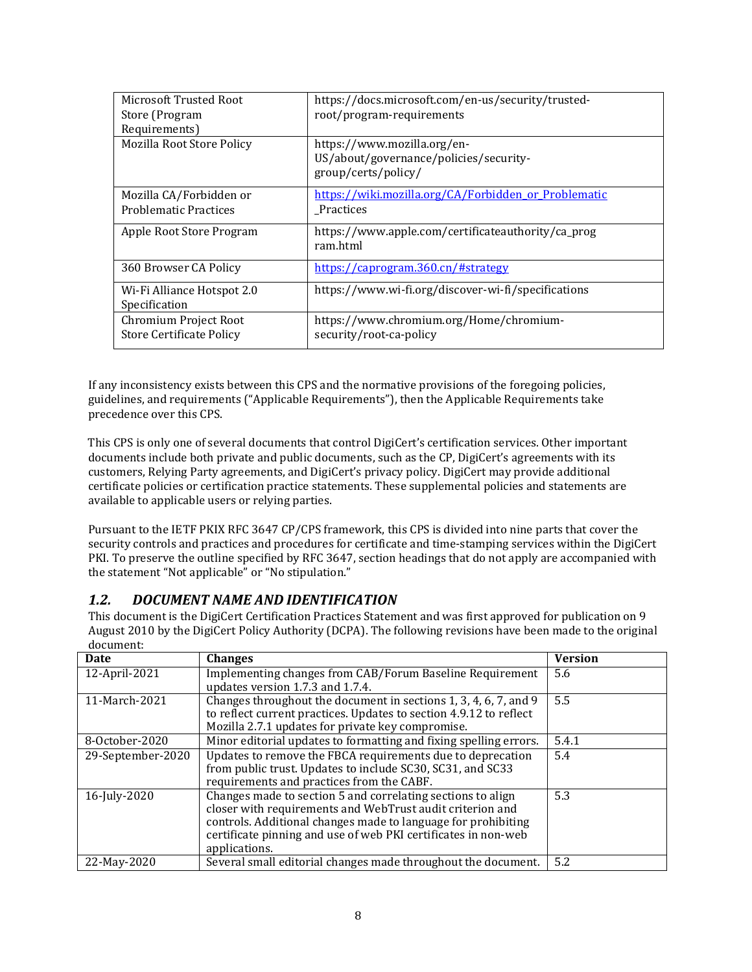| Microsoft Trusted Root<br>Store (Program    | https://docs.microsoft.com/en-us/security/trusted-<br>root/program-requirements              |
|---------------------------------------------|----------------------------------------------------------------------------------------------|
| Requirements)                               |                                                                                              |
| <b>Mozilla Root Store Policy</b>            | https://www.mozilla.org/en-<br>US/about/governance/policies/security-<br>group/certs/policy/ |
| Mozilla CA/Forbidden or                     | https://wiki.mozilla.org/CA/Forbidden or Problematic                                         |
| <b>Problematic Practices</b>                | Practices                                                                                    |
| Apple Root Store Program                    | https://www.apple.com/certificateauthority/ca_prog<br>ram.html                               |
| 360 Browser CA Policy                       | https://caprogram.360.cn/#strategy                                                           |
| Wi-Fi Alliance Hotspot 2.0<br>Specification | https://www.wi-fi.org/discover-wi-fi/specifications                                          |
| Chromium Project Root                       | https://www.chromium.org/Home/chromium-                                                      |
| <b>Store Certificate Policy</b>             | security/root-ca-policy                                                                      |

If any inconsistency exists between this CPS and the normative provisions of the foregoing policies, guidelines, and requirements ("Applicable Requirements"), then the Applicable Requirements take precedence over this CPS.

This CPS is only one of several documents that control DigiCert's certification services. Other important documents include both private and public documents, such as the CP, DigiCert's agreements with its customers, Relying Party agreements, and DigiCert's privacy policy. DigiCert may provide additional certificate policies or certification practice statements. These supplemental policies and statements are available to applicable users or relying parties.

Pursuant to the IETF PKIX RFC 3647 CP/CPS framework, this CPS is divided into nine parts that cover the security controls and practices and procedures for certificate and time-stamping services within the DigiCert PKI. To preserve the outline specified by RFC 3647, section headings that do not apply are accompanied with the statement "Not applicable" or "No stipulation."

## <span id="page-7-0"></span>*1.2. DOCUMENT NAME AND IDENTIFICATION*

This document is the DigiCert Certification Practices Statement and was first approved for publication on 9 August 2010 by the DigiCert Policy Authority (DCPA). The following revisions have been made to the original document:

| Date              | <b>Changes</b>                                                                                                                                                                                                                                                               | <b>Version</b> |
|-------------------|------------------------------------------------------------------------------------------------------------------------------------------------------------------------------------------------------------------------------------------------------------------------------|----------------|
| 12-April-2021     | Implementing changes from CAB/Forum Baseline Requirement<br>updates version 1.7.3 and 1.7.4.                                                                                                                                                                                 | 5.6            |
| 11-March-2021     | Changes throughout the document in sections 1, 3, 4, 6, 7, and 9<br>to reflect current practices. Updates to section 4.9.12 to reflect<br>Mozilla 2.7.1 updates for private key compromise.                                                                                  | 5.5            |
| 8-October-2020    | Minor editorial updates to formatting and fixing spelling errors.                                                                                                                                                                                                            | 5.4.1          |
| 29-September-2020 | Updates to remove the FBCA requirements due to deprecation<br>from public trust. Updates to include SC30, SC31, and SC33<br>requirements and practices from the CABF.                                                                                                        | 5.4            |
| 16-July-2020      | Changes made to section 5 and correlating sections to align<br>closer with requirements and WebTrust audit criterion and<br>controls. Additional changes made to language for prohibiting<br>certificate pinning and use of web PKI certificates in non-web<br>applications. | 5.3            |
| 22-May-2020       | Several small editorial changes made throughout the document.                                                                                                                                                                                                                | 5.2            |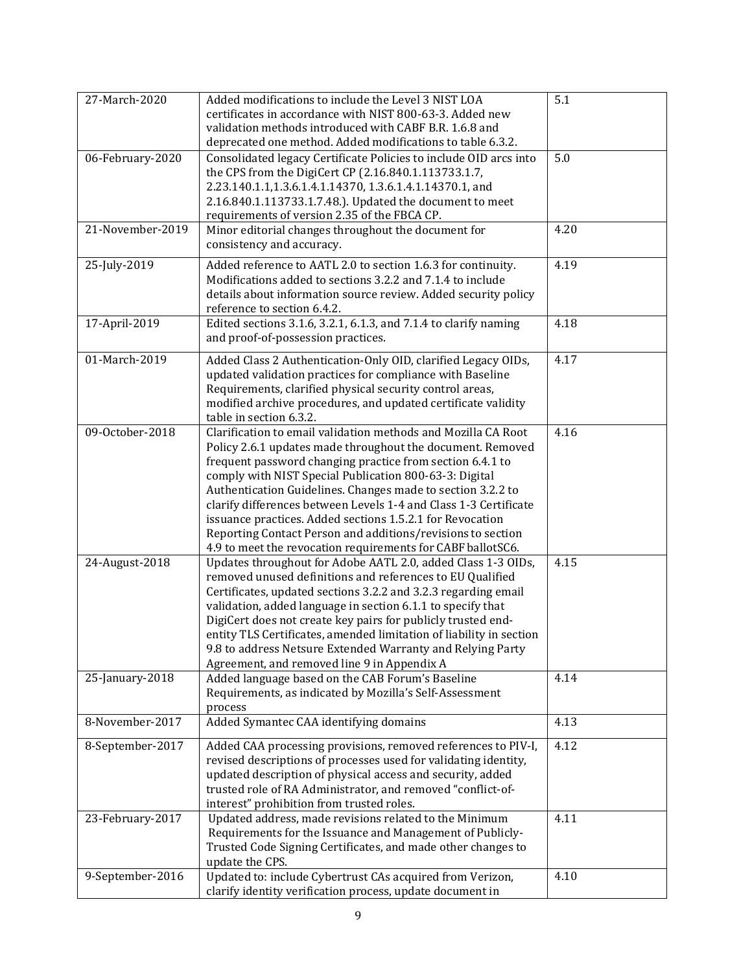| 27-March-2020    | Added modifications to include the Level 3 NIST LOA<br>certificates in accordance with NIST 800-63-3. Added new<br>validation methods introduced with CABF B.R. 1.6.8 and<br>deprecated one method. Added modifications to table 6.3.2.                                                                                                                                                                                                                                                                                                                                          | 5.1  |
|------------------|----------------------------------------------------------------------------------------------------------------------------------------------------------------------------------------------------------------------------------------------------------------------------------------------------------------------------------------------------------------------------------------------------------------------------------------------------------------------------------------------------------------------------------------------------------------------------------|------|
| 06-February-2020 | Consolidated legacy Certificate Policies to include OID arcs into<br>the CPS from the DigiCert CP (2.16.840.1.113733.1.7,<br>2.23.140.1.1,1.3.6.1.4.1.14370, 1.3.6.1.4.1.14370.1, and<br>2.16.840.1.113733.1.7.48.). Updated the document to meet<br>requirements of version 2.35 of the FBCA CP.                                                                                                                                                                                                                                                                                | 5.0  |
| 21-November-2019 | Minor editorial changes throughout the document for<br>consistency and accuracy.                                                                                                                                                                                                                                                                                                                                                                                                                                                                                                 | 4.20 |
| 25-July-2019     | Added reference to AATL 2.0 to section 1.6.3 for continuity.<br>Modifications added to sections 3.2.2 and 7.1.4 to include<br>details about information source review. Added security policy<br>reference to section 6.4.2.                                                                                                                                                                                                                                                                                                                                                      | 4.19 |
| 17-April-2019    | Edited sections 3.1.6, 3.2.1, 6.1.3, and 7.1.4 to clarify naming<br>and proof-of-possession practices.                                                                                                                                                                                                                                                                                                                                                                                                                                                                           | 4.18 |
| 01-March-2019    | Added Class 2 Authentication-Only OID, clarified Legacy OIDs,<br>updated validation practices for compliance with Baseline<br>Requirements, clarified physical security control areas,<br>modified archive procedures, and updated certificate validity<br>table in section 6.3.2.                                                                                                                                                                                                                                                                                               | 4.17 |
| 09-October-2018  | Clarification to email validation methods and Mozilla CA Root<br>Policy 2.6.1 updates made throughout the document. Removed<br>frequent password changing practice from section 6.4.1 to<br>comply with NIST Special Publication 800-63-3: Digital<br>Authentication Guidelines. Changes made to section 3.2.2 to<br>clarify differences between Levels 1-4 and Class 1-3 Certificate<br>issuance practices. Added sections 1.5.2.1 for Revocation<br>Reporting Contact Person and additions/revisions to section<br>4.9 to meet the revocation requirements for CABF ballotSC6. | 4.16 |
| 24-August-2018   | Updates throughout for Adobe AATL 2.0, added Class 1-3 OIDs,<br>removed unused definitions and references to EU Qualified<br>Certificates, updated sections 3.2.2 and 3.2.3 regarding email<br>validation, added language in section 6.1.1 to specify that<br>DigiCert does not create key pairs for publicly trusted end-<br>entity TLS Certificates, amended limitation of liability in section<br>9.8 to address Netsure Extended Warranty and Relying Party<br>Agreement, and removed line 9 in Appendix A                                                                   | 4.15 |
| 25-January-2018  | Added language based on the CAB Forum's Baseline<br>Requirements, as indicated by Mozilla's Self-Assessment<br>process                                                                                                                                                                                                                                                                                                                                                                                                                                                           | 4.14 |
| 8-November-2017  | Added Symantec CAA identifying domains                                                                                                                                                                                                                                                                                                                                                                                                                                                                                                                                           | 4.13 |
| 8-September-2017 | Added CAA processing provisions, removed references to PIV-I,<br>revised descriptions of processes used for validating identity,<br>updated description of physical access and security, added<br>trusted role of RA Administrator, and removed "conflict-of-<br>interest" prohibition from trusted roles.                                                                                                                                                                                                                                                                       | 4.12 |
| 23-February-2017 | Updated address, made revisions related to the Minimum<br>Requirements for the Issuance and Management of Publicly-<br>Trusted Code Signing Certificates, and made other changes to<br>update the CPS.                                                                                                                                                                                                                                                                                                                                                                           | 4.11 |
| 9-September-2016 | Updated to: include Cybertrust CAs acquired from Verizon,<br>clarify identity verification process, update document in                                                                                                                                                                                                                                                                                                                                                                                                                                                           | 4.10 |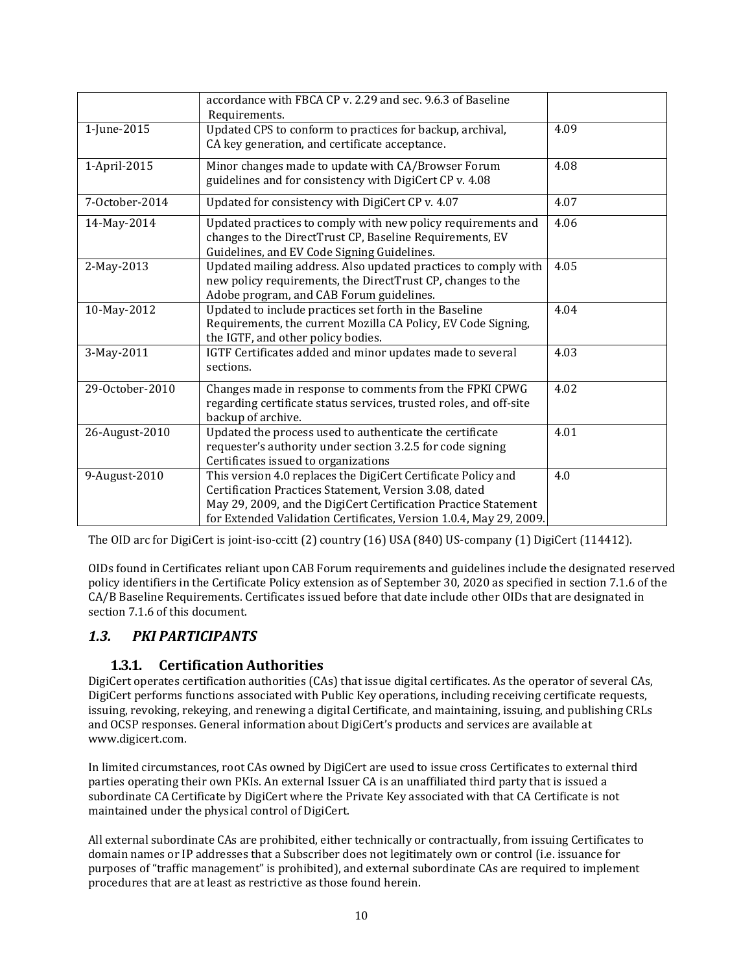|                 | accordance with FBCA CP v. 2.29 and sec. 9.6.3 of Baseline<br>Requirements.                                                                                                                                                                                      |      |
|-----------------|------------------------------------------------------------------------------------------------------------------------------------------------------------------------------------------------------------------------------------------------------------------|------|
| 1-June-2015     | Updated CPS to conform to practices for backup, archival,<br>CA key generation, and certificate acceptance.                                                                                                                                                      | 4.09 |
| 1-April-2015    | Minor changes made to update with CA/Browser Forum<br>guidelines and for consistency with DigiCert CP v. 4.08                                                                                                                                                    | 4.08 |
| 7-October-2014  | Updated for consistency with DigiCert CP v. 4.07                                                                                                                                                                                                                 | 4.07 |
| 14-May-2014     | Updated practices to comply with new policy requirements and<br>changes to the DirectTrust CP, Baseline Requirements, EV<br>Guidelines, and EV Code Signing Guidelines.                                                                                          | 4.06 |
| 2-May-2013      | Updated mailing address. Also updated practices to comply with<br>new policy requirements, the DirectTrust CP, changes to the<br>Adobe program, and CAB Forum guidelines.                                                                                        | 4.05 |
| 10-May-2012     | Updated to include practices set forth in the Baseline<br>Requirements, the current Mozilla CA Policy, EV Code Signing,<br>the IGTF, and other policy bodies.                                                                                                    | 4.04 |
| 3-May-2011      | IGTF Certificates added and minor updates made to several<br>sections.                                                                                                                                                                                           | 4.03 |
| 29-October-2010 | Changes made in response to comments from the FPKI CPWG<br>regarding certificate status services, trusted roles, and off-site<br>backup of archive.                                                                                                              | 4.02 |
| 26-August-2010  | Updated the process used to authenticate the certificate<br>requester's authority under section 3.2.5 for code signing<br>Certificates issued to organizations                                                                                                   | 4.01 |
| 9-August-2010   | This version 4.0 replaces the DigiCert Certificate Policy and<br>Certification Practices Statement, Version 3.08, dated<br>May 29, 2009, and the DigiCert Certification Practice Statement<br>for Extended Validation Certificates, Version 1.0.4, May 29, 2009. | 4.0  |

The OID arc for DigiCert is joint-iso-ccitt (2) country (16) USA (840) US-company (1) DigiCert (114412).

OIDs found in Certificates reliant upon CAB Forum requirements and guidelines include the designated reserved policy identifiers in the Certificate Policy extension as of September 30, 2020 as specified in section 7.1.6 of the CA/B Baseline Requirements. Certificates issued before that date include other OIDs that are designated in section 7.1.6 of this document.

# <span id="page-9-1"></span><span id="page-9-0"></span>*1.3. PKI PARTICIPANTS*

# **1.3.1. Certification Authorities**

DigiCert operates certification authorities (CAs) that issue digital certificates. As the operator of several CAs, DigiCert performs functions associated with Public Key operations, including receiving certificate requests, issuing, revoking, rekeying, and renewing a digital Certificate, and maintaining, issuing, and publishing CRLs and OCSP responses. General information about DigiCert's products and services are available at [www.digicert.com.](http://www.digicert.com/)

In limited circumstances, root CAs owned by DigiCert are used to issue cross Certificates to external third parties operating their own PKIs. An external Issuer CA is an unaffiliated third party that is issued a subordinate CA Certificate by DigiCert where the Private Key associated with that CA Certificate is not maintained under the physical control of DigiCert.

All external subordinate CAs are prohibited, either technically or contractually, from issuing Certificates to domain names or IP addresses that a Subscriber does not legitimately own or control (i.e. issuance for purposes of "traffic management" is prohibited), and external subordinate CAs are required to implement procedures that are at least as restrictive as those found herein.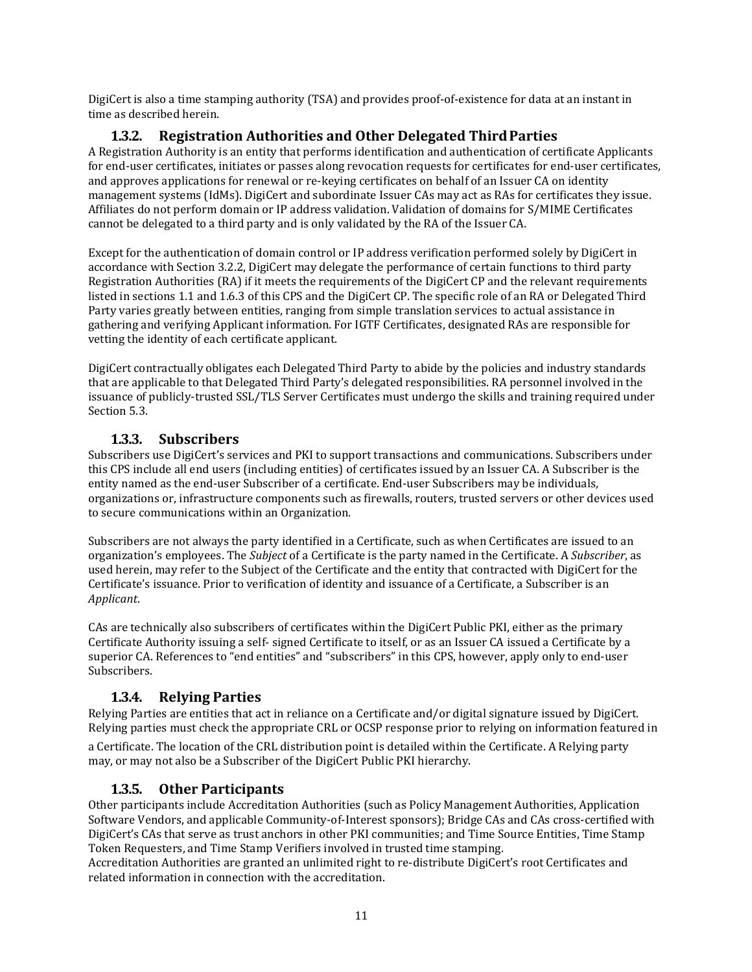DigiCert is also a time stamping authority (TSA) and provides proof-of-existence for data at an instant in time as described herein.

#### **1.3.2. Registration Authorities and Other Delegated ThirdParties**

<span id="page-10-0"></span>A Registration Authority is an entity that performs identification and authentication of certificate Applicants for end-user certificates, initiates or passes along revocation requests for certificates for end-user certificates, and approves applications for renewal or re-keying certificates on behalf of an Issuer CA on identity management systems (IdMs). DigiCert and subordinate Issuer CAs may act as RAs for certificates they issue. Affiliates do not perform domain or IP address validation. Validation of domains for S/MIME Certificates cannot be delegated to a third party and is only validated by the RA of the Issuer CA.

Except for the authentication of domain control or IP address verification performed solely by DigiCert in accordance with Section 3.2.2, DigiCert may delegate the performance of certain functions to third party Registration Authorities (RA) if it meets the requirements of the DigiCert CP and the relevant requirements listed in sections 1.1 and 1.6.3 of this CPS and the DigiCert CP. The specific role of an RA or Delegated Third Party varies greatly between entities, ranging from simple translation services to actual assistance in gathering and verifying Applicant information. For IGTF Certificates, designated RAs are responsible for vetting the identity of each certificate applicant.

DigiCert contractually obligates each Delegated Third Party to abide by the policies and industry standards that are applicable to that Delegated Third Party's delegated responsibilities. RA personnel involved in the issuance of publicly-trusted SSL/TLS Server Certificates must undergo the skills and training required under Section 5.3.

#### **1.3.3. Subscribers**

<span id="page-10-1"></span>Subscribers use DigiCert's services and PKI to support transactions and communications. Subscribers under this CPS include all end users (including entities) of certificates issued by an Issuer CA. A Subscriber is the entity named as the end-user Subscriber of a certificate. End-user Subscribers may be individuals, organizations or, infrastructure components such as firewalls, routers, trusted servers or other devices used to secure communications within an Organization.

Subscribers are not always the party identified in a Certificate, such as when Certificates are issued to an organization's employees. The *Subject* of a Certificate is the party named in the Certificate. A *Subscriber*, as used herein, may refer to the Subject of the Certificate and the entity that contracted with DigiCert for the Certificate's issuance. Prior to verification of identity and issuance of a Certificate, a Subscriber is an *Applicant*.

CAs are technically also subscribers of certificates within the DigiCert Public PKI, either as the primary Certificate Authority issuing a self- signed Certificate to itself, or as an Issuer CA issued a Certificate by a superior CA. References to "end entities" and "subscribers" in this CPS, however, apply only to end-user Subscribers.

#### **1.3.4. Relying Parties**

<span id="page-10-2"></span>Relying Parties are entities that act in reliance on a Certificate and/or digital signature issued by DigiCert. Relying parties must check the appropriate CRL or OCSP response prior to relying on information featured in

a Certificate. The location of the CRL distribution point is detailed within the Certificate. A Relying party may, or may not also be a Subscriber of the DigiCert Public PKI hierarchy.

#### **1.3.5. Other Participants**

<span id="page-10-3"></span>Other participants include Accreditation Authorities (such as Policy Management Authorities, Application Software Vendors, and applicable Community-of-Interest sponsors); Bridge CAs and CAs cross-certified with DigiCert's CAs that serve as trust anchors in other PKI communities; and Time Source Entities, Time Stamp Token Requesters, and Time Stamp Verifiers involved in trusted time stamping.

Accreditation Authorities are granted an unlimited right to re-distribute DigiCert's root Certificates and related information in connection with the accreditation.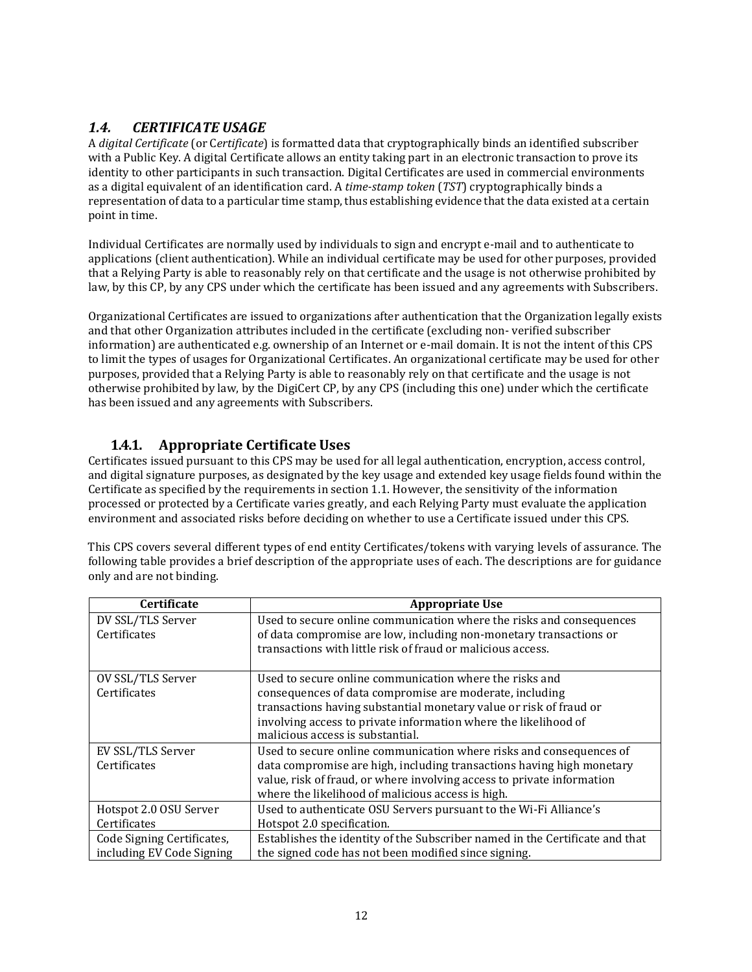# <span id="page-11-0"></span>*1.4. CERTIFICATE USAGE*

A *digital Certificate* (or C*ertificate*) is formatted data that cryptographically binds an identified subscriber with a Public Key. A digital Certificate allows an entity taking part in an electronic transaction to prove its identity to other participants in such transaction. Digital Certificates are used in commercial environments as a digital equivalent of an identification card. A *time-stamp token* (*TST*) cryptographically binds a representation of data to a particular time stamp, thus establishing evidence that the data existed at a certain point in time.

Individual Certificates are normally used by individuals to sign and encrypt e-mail and to authenticate to applications (client authentication). While an individual certificate may be used for other purposes, provided that a Relying Party is able to reasonably rely on that certificate and the usage is not otherwise prohibited by law, by this CP, by any CPS under which the certificate has been issued and any agreements with Subscribers.

Organizational Certificates are issued to organizations after authentication that the Organization legally exists and that other Organization attributes included in the certificate (excluding non- verified subscriber information) are authenticated e.g. ownership of an Internet or e-mail domain. It is not the intent of this CPS to limit the types of usages for Organizational Certificates. An organizational certificate may be used for other purposes, provided that a Relying Party is able to reasonably rely on that certificate and the usage is not otherwise prohibited by law, by the DigiCert CP, by any CPS (including this one) under which the certificate has been issued and any agreements with Subscribers.

## **1.4.1. Appropriate Certificate Uses**

<span id="page-11-1"></span>Certificates issued pursuant to this CPS may be used for all legal authentication, encryption, access control, and digital signature purposes, as designated by the key usage and extended key usage fields found within the Certificate as specified by the requirements in section 1.1. However, the sensitivity of the information processed or protected by a Certificate varies greatly, and each Relying Party must evaluate the application environment and associated risks before deciding on whether to use a Certificate issued under this CPS.

This CPS covers several different types of end entity Certificates/tokens with varying levels of assurance. The following table provides a brief description of the appropriate uses of each. The descriptions are for guidance only and are not binding.

| <b>Certificate</b>         | <b>Appropriate Use</b>                                                       |
|----------------------------|------------------------------------------------------------------------------|
| DV SSL/TLS Server          | Used to secure online communication where the risks and consequences         |
| Certificates               | of data compromise are low, including non-monetary transactions or           |
|                            | transactions with little risk of fraud or malicious access.                  |
|                            |                                                                              |
| OV SSL/TLS Server          | Used to secure online communication where the risks and                      |
| Certificates               | consequences of data compromise are moderate, including                      |
|                            | transactions having substantial monetary value or risk of fraud or           |
|                            | involving access to private information where the likelihood of              |
|                            | malicious access is substantial.                                             |
| EV SSL/TLS Server          | Used to secure online communication where risks and consequences of          |
| Certificates               | data compromise are high, including transactions having high monetary        |
|                            | value, risk of fraud, or where involving access to private information       |
|                            | where the likelihood of malicious access is high.                            |
| Hotspot 2.0 OSU Server     | Used to authenticate OSU Servers pursuant to the Wi-Fi Alliance's            |
| Certificates               | Hotspot 2.0 specification.                                                   |
| Code Signing Certificates, | Establishes the identity of the Subscriber named in the Certificate and that |
| including EV Code Signing  | the signed code has not been modified since signing.                         |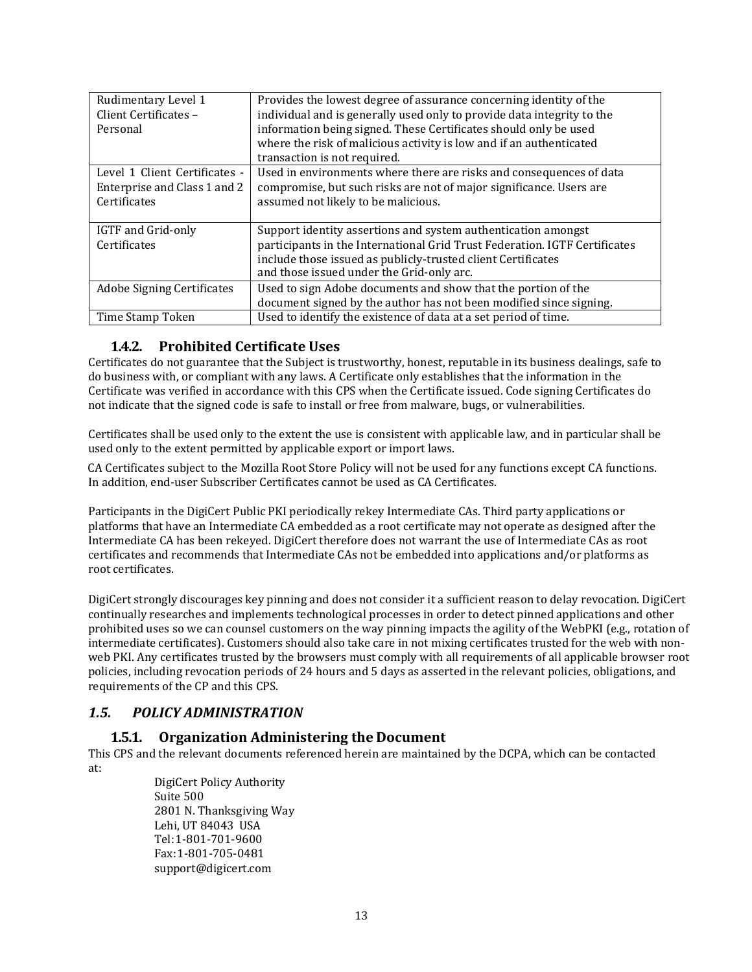| Rudimentary Level 1<br>Client Certificates - | Provides the lowest degree of assurance concerning identity of the<br>individual and is generally used only to provide data integrity to the |
|----------------------------------------------|----------------------------------------------------------------------------------------------------------------------------------------------|
| Personal                                     | information being signed. These Certificates should only be used                                                                             |
|                                              | where the risk of malicious activity is low and if an authenticated                                                                          |
|                                              | transaction is not required.                                                                                                                 |
| Level 1 Client Certificates -                | Used in environments where there are risks and consequences of data                                                                          |
| Enterprise and Class 1 and 2                 | compromise, but such risks are not of major significance. Users are                                                                          |
| Certificates                                 | assumed not likely to be malicious.                                                                                                          |
|                                              |                                                                                                                                              |
| IGTF and Grid-only                           | Support identity assertions and system authentication amongst                                                                                |
| Certificates                                 | participants in the International Grid Trust Federation. IGTF Certificates                                                                   |
|                                              | include those issued as publicly-trusted client Certificates                                                                                 |
|                                              | and those issued under the Grid-only arc.                                                                                                    |
| <b>Adobe Signing Certificates</b>            | Used to sign Adobe documents and show that the portion of the                                                                                |
|                                              | document signed by the author has not been modified since signing.                                                                           |
| Time Stamp Token                             | Used to identify the existence of data at a set period of time.                                                                              |

## **1.4.2. Prohibited Certificate Uses**

<span id="page-12-0"></span>Certificates do not guarantee that the Subject is trustworthy, honest, reputable in its business dealings, safe to do business with, or compliant with any laws. A Certificate only establishes that the information in the Certificate was verified in accordance with this CPS when the Certificate issued. Code signing Certificates do not indicate that the signed code is safe to install or free from malware, bugs, or vulnerabilities.

Certificates shall be used only to the extent the use is consistent with applicable law, and in particular shall be used only to the extent permitted by applicable export or import laws.

CA Certificates subject to the Mozilla Root Store Policy will not be used for any functions except CA functions. In addition, end-user Subscriber Certificates cannot be used as CA Certificates.

Participants in the DigiCert Public PKI periodically rekey Intermediate CAs. Third party applications or platforms that have an Intermediate CA embedded as a root certificate may not operate as designed after the Intermediate CA has been rekeyed. DigiCert therefore does not warrant the use of Intermediate CAs as root certificates and recommends that Intermediate CAs not be embedded into applications and/or platforms as root certificates.

DigiCert strongly discourages key pinning and does not consider it a sufficient reason to delay revocation. DigiCert continually researches and implements technological processes in order to detect pinned applications and other prohibited uses so we can counsel customers on the way pinning impacts the agility of the WebPKI (e.g., rotation of intermediate certificates). Customers should also take care in not mixing certificates trusted for the web with nonweb PKI. Any certificates trusted by the browsers must comply with all requirements of all applicable browser root policies, including revocation periods of 24 hours and 5 days as asserted in the relevant policies, obligations, and requirements of the CP and this CPS.

## <span id="page-12-2"></span><span id="page-12-1"></span>*1.5. POLICY ADMINISTRATION*

#### **1.5.1. Organization Administering the Document**

This CPS and the relevant documents referenced herein are maintained by the DCPA, which can be contacted at:

DigiCert Policy Authority Suite 500 2801 N. Thanksgiving Way Lehi, UT 84043 USA Tel:1-801-701-9600 Fax:1-801-705-0481 [support@digicert.com](mailto:support@digicert.com)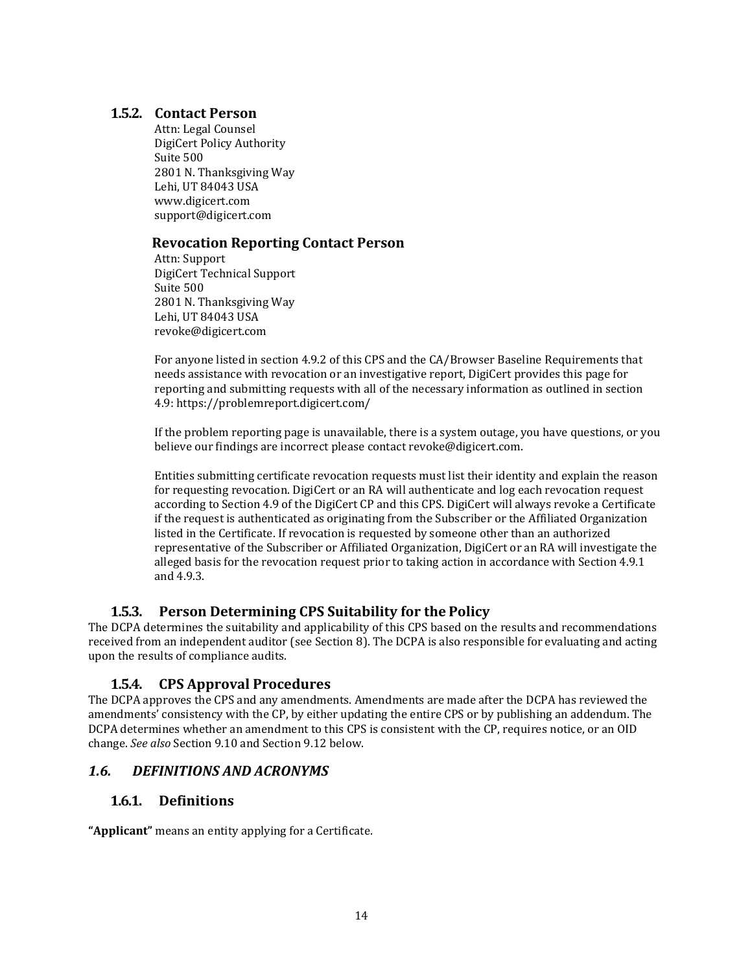#### **1.5.2. Contact Person**

Attn: Legal Counsel DigiCert Policy Authority Suite 500 2801 N. Thanksgiving Way Lehi, UT 84043 USA [www.digicert.com](http://www.digicert.com/) [support@digicert.com](mailto:support@digicert.com)

#### <span id="page-13-0"></span>**Revocation Reporting Contact Person**

Attn: Support DigiCert Technical Support Suite 500 2801 N. Thanksgiving Way Lehi, UT 84043 USA [revoke@digicert.com](mailto:revoke@digicert.com)

For anyone listed in section 4.9.2 of this CPS and the CA/Browser Baseline Requirements that needs assistance with revocation or an investigative report, DigiCert provides this page for reporting and submitting requests with all of the necessary information as outlined in section 4.9: https://problemreport.digicert.com/

If the problem reporting page is unavailable, there is a system outage, you have questions, or you believe our findings are incorrect please contact [revoke@digicert.com.](mailto:revoke@digicert.com)

Entities submitting certificate revocation requests must list their identity and explain the reason for requesting revocation. DigiCert or an RA will authenticate and log each revocation request according to Section 4.9 of the DigiCert CP and this CPS. DigiCert will always revoke a Certificate if the request is authenticated as originating from the Subscriber or the Affiliated Organization listed in the Certificate. If revocation is requested by someone other than an authorized representative of the Subscriber or Affiliated Organization, DigiCert or an RA will investigate the alleged basis for the revocation request prior to taking action in accordance with Section 4.9.1 and 4.9.3.

#### **1.5.3. Person Determining CPS Suitability for the Policy**

<span id="page-13-1"></span>The DCPA determines the suitability and applicability of this CPS based on the results and recommendations received from an independent auditor (see Section 8). The DCPA is also responsible for evaluating and acting upon the results of compliance audits.

#### **1.5.4. CPS Approval Procedures**

<span id="page-13-2"></span>The DCPA approves the CPS and any amendments. Amendments are made after the DCPA has reviewed the amendments' consistency with the CP, by either updating the entire CPS or by publishing an addendum. The DCPA determines whether an amendment to this CPS is consistent with the CP, requires notice, or an OID change. *See also* Section 9.10 and Section 9.12 below.

#### <span id="page-13-4"></span><span id="page-13-3"></span>*1.6. DEFINITIONS AND ACRONYMS*

#### **1.6.1. Definitions**

**"Applicant"** means an entity applying for a Certificate.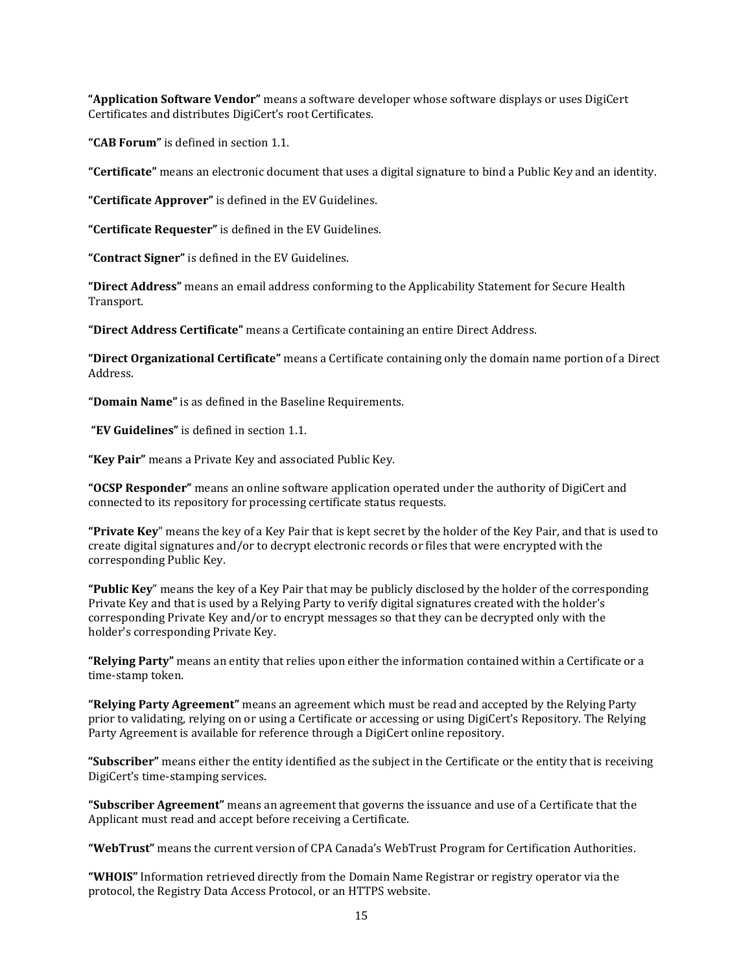**"Application Software Vendor"** means a software developer whose software displays or uses DigiCert Certificates and distributes DigiCert's root Certificates.

**"CAB Forum"** is defined in section 1.1.

**"Certificate"** means an electronic document that uses a digital signature to bind a Public Key and an identity.

**"Certificate Approver"** is defined in the EV Guidelines.

**"Certificate Requester"** is defined in the EV Guidelines.

**"Contract Signer"** is defined in the EV Guidelines.

**"Direct Address"** means an email address conforming to the Applicability Statement for Secure Health Transport.

**"Direct Address Certificate"** means a Certificate containing an entire Direct Address.

**"Direct Organizational Certificate"** means a Certificate containing only the domain name portion of a Direct Address.

**"Domain Name"** is as defined in the Baseline Requirements.

**"EV Guidelines"** is defined in section 1.1.

**"Key Pair"** means a Private Key and associated Public Key.

**"OCSP Responder"** means an online software application operated under the authority of DigiCert and connected to its repository for processing certificate status requests.

**"Private Key**" means the key of a Key Pair that is kept secret by the holder of the Key Pair, and that is used to create digital signatures and/or to decrypt electronic records or files that were encrypted with the corresponding Public Key.

**"Public Key**" means the key of a Key Pair that may be publicly disclosed by the holder of the corresponding Private Key and that is used by a Relying Party to verify digital signatures created with the holder's corresponding Private Key and/or to encrypt messages so that they can be decrypted only with the holder's corresponding Private Key.

**"Relying Party"** means an entity that relies upon either the information contained within a Certificate or a time-stamp token.

**"Relying Party Agreement"** means an agreement which must be read and accepted by the Relying Party prior to validating, relying on or using a Certificate or accessing or using DigiCert's Repository. The Relying Party Agreement is available for reference through a DigiCert online repository.

**"Subscriber"** means either the entity identified as the subject in the Certificate or the entity that is receiving DigiCert's time-stamping services.

**"Subscriber Agreement"** means an agreement that governs the issuance and use of a Certificate that the Applicant must read and accept before receiving a Certificate.

**"WebTrust"** means the current version of CPA Canada's WebTrust Program for Certification Authorities.

**"WHOIS"** Information retrieved directly from the Domain Name Registrar or registry operator via the protocol, the Registry Data Access Protocol, or an HTTPS website.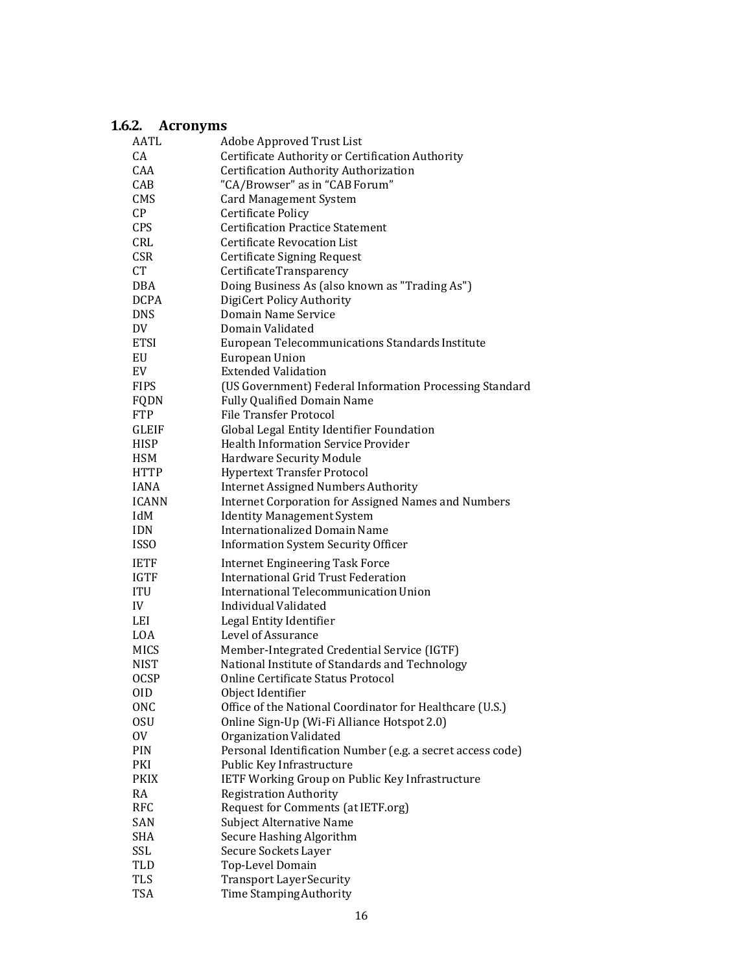# <span id="page-15-0"></span>**1.6.2. Acronyms**

| AATL                     | Adobe Approved Trust List                                  |
|--------------------------|------------------------------------------------------------|
| CA                       | Certificate Authority or Certification Authority           |
| <b>CAA</b>               | Certification Authority Authorization                      |
| CAB                      | "CA/Browser" as in "CAB Forum"                             |
| <b>CMS</b>               | <b>Card Management System</b>                              |
| $\mathsf{C}\mathsf{P}$   | <b>Certificate Policy</b>                                  |
| <b>CPS</b>               | <b>Certification Practice Statement</b>                    |
| CRL                      | <b>Certificate Revocation List</b>                         |
| <b>CSR</b>               | Certificate Signing Request                                |
| <b>CT</b>                | CertificateTransparency                                    |
| <b>DBA</b>               | Doing Business As (also known as "Trading As")             |
|                          | DigiCert Policy Authority                                  |
| <b>DCPA</b>              |                                                            |
| <b>DNS</b>               | Domain Name Service                                        |
| DV                       | Domain Validated                                           |
| <b>ETSI</b>              | European Telecommunications Standards Institute            |
| EU                       | <b>European Union</b>                                      |
| EV                       | <b>Extended Validation</b>                                 |
| <b>FIPS</b>              | (US Government) Federal Information Processing Standard    |
| FQDN                     | <b>Fully Qualified Domain Name</b>                         |
| <b>FTP</b>               | File Transfer Protocol                                     |
| GLEIF                    | Global Legal Entity Identifier Foundation                  |
| <b>HISP</b>              | <b>Health Information Service Provider</b>                 |
| HSM                      | Hardware Security Module                                   |
| <b>HTTP</b>              | <b>Hypertext Transfer Protocol</b>                         |
| <b>IANA</b>              | <b>Internet Assigned Numbers Authority</b>                 |
| <b>ICANN</b>             | <b>Internet Corporation for Assigned Names and Numbers</b> |
| IdM                      | <b>Identity Management System</b>                          |
|                          |                                                            |
|                          | <b>Internationalized Domain Name</b>                       |
| IDN<br><b>ISSO</b>       |                                                            |
|                          | <b>Information System Security Officer</b>                 |
| <b>IETF</b>              | <b>Internet Engineering Task Force</b>                     |
| <b>IGTF</b>              | International Grid Trust Federation                        |
| ITU                      | International Telecommunication Union                      |
| IV                       | Individual Validated                                       |
| LEI                      | Legal Entity Identifier                                    |
| LOA                      | Level of Assurance                                         |
| <b>MICS</b>              | Member-Integrated Credential Service (IGTF)                |
| <b>NIST</b>              | National Institute of Standards and Technology             |
| <b>OCSP</b>              | Online Certificate Status Protocol                         |
| 0ID                      | Object Identifier                                          |
| <b>ONC</b>               | Office of the National Coordinator for Healthcare (U.S.)   |
| 0SU                      | Online Sign-Up (Wi-Fi Alliance Hotspot 2.0)                |
| 0V                       | Organization Validated                                     |
| PIN                      | Personal Identification Number (e.g. a secret access code) |
| PKI                      | Public Key Infrastructure                                  |
| <b>PKIX</b>              | IETF Working Group on Public Key Infrastructure            |
| RA                       | <b>Registration Authority</b>                              |
| <b>RFC</b>               |                                                            |
|                          | Request for Comments (at IETF.org)                         |
| SAN                      | Subject Alternative Name                                   |
| <b>SHA</b>               | Secure Hashing Algorithm                                   |
| SSL                      | Secure Sockets Layer                                       |
| TLD                      | Top-Level Domain                                           |
| <b>TLS</b><br><b>TSA</b> | <b>Transport Layer Security</b><br>Time Stamping Authority |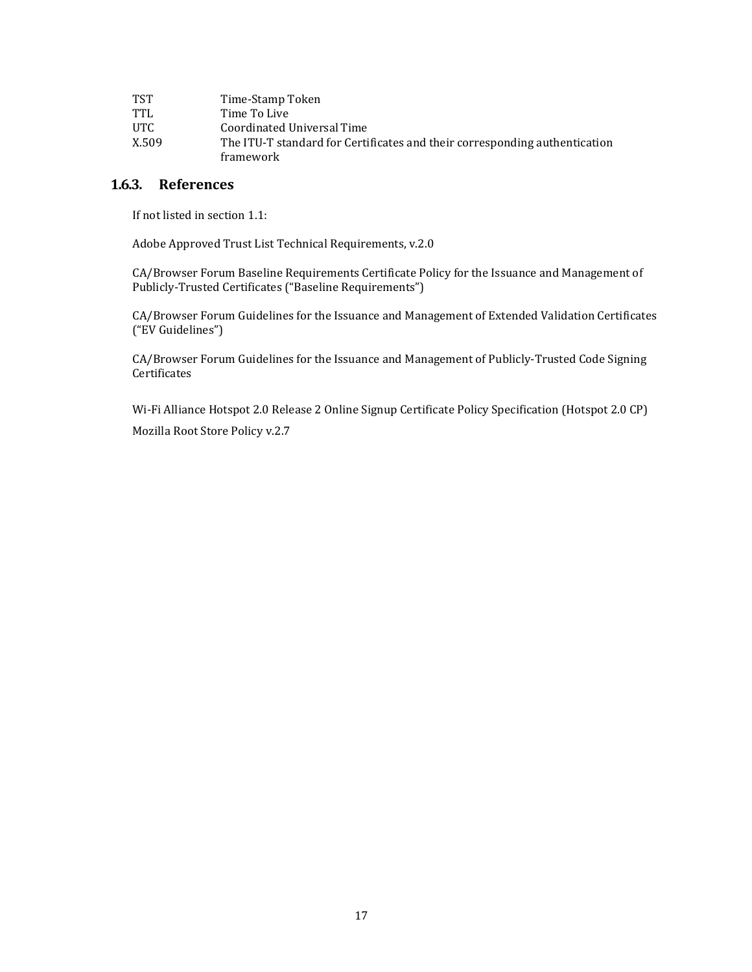| <b>TST</b> | Time-Stamp Token                                                                        |
|------------|-----------------------------------------------------------------------------------------|
| TTL        | Time To Live                                                                            |
| UTC.       | Coordinated Universal Time                                                              |
| X.509      | The ITU-T standard for Certificates and their corresponding authentication<br>framework |

## <span id="page-16-0"></span>**1.6.3. References**

If not listed in section 1.1:

Adobe Approved Trust List Technical Requirements, v.2.0

CA/Browser Forum Baseline Requirements Certificate Policy for the Issuance and Management of Publicly-Trusted Certificates ("Baseline Requirements")

CA/Browser Forum Guidelines for the Issuance and Management of Extended Validation Certificates ("EV Guidelines")

CA/Browser Forum Guidelines for the Issuance and Management of Publicly-Trusted Code Signing **Certificates** 

Wi-Fi Alliance Hotspot 2.0 Release 2 Online Signup Certificate Policy Specification (Hotspot 2.0 CP) Mozilla Root Store Policy v.2.7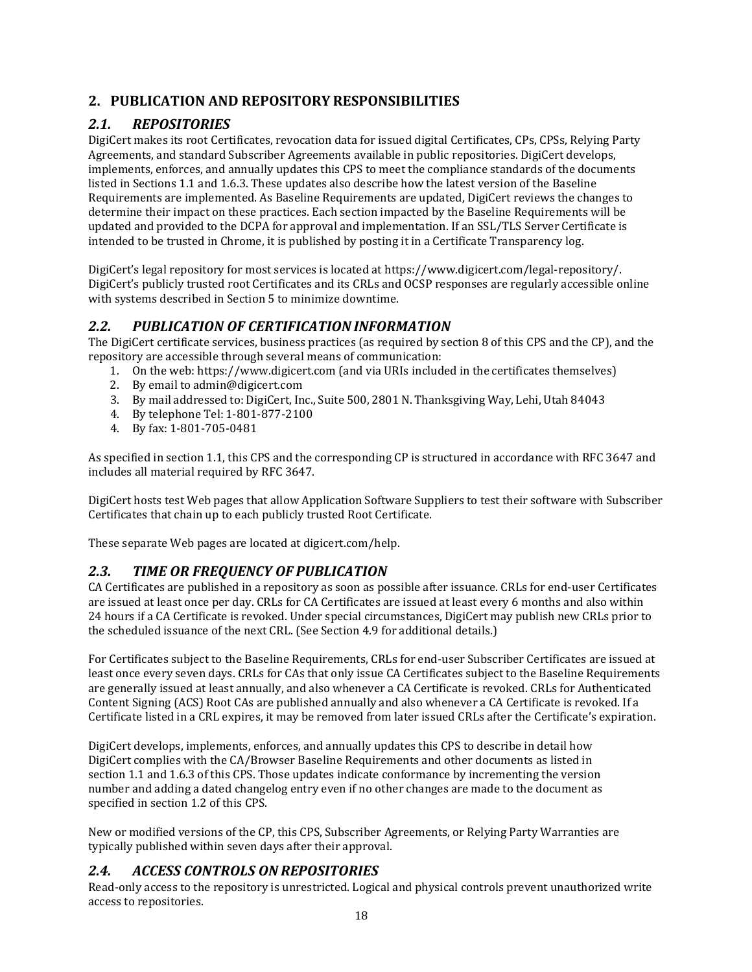# <span id="page-17-0"></span>**2. PUBLICATION AND REPOSITORY RESPONSIBILITIES**

# <span id="page-17-1"></span>*2.1. REPOSITORIES*

DigiCert makes its root Certificates, revocation data for issued digital Certificates, CPs, CPSs, Relying Party Agreements, and standard Subscriber Agreements available in public repositories. DigiCert develops, implements, enforces, and annually updates this CPS to meet the compliance standards of the documents listed in Sections 1.1 and 1.6.3. These updates also describe how the latest version of the Baseline Requirements are implemented. As Baseline Requirements are updated, DigiCert reviews the changes to determine their impact on these practices. Each section impacted by the Baseline Requirements will be updated and provided to the DCPA for approval and implementation. If an SSL/TLS Server Certificate is intended to be trusted in Chrome, it is published by posting it in a Certificate Transparency log.

DigiCert's legal repository for most services is located at https:/[/www.digicert.com/legal-repository/.](http://www.digicert.com/legal-repository/) DigiCert's publicly trusted root Certificates and its CRLs and OCSP responses are regularly accessible online with systems described in Section 5 to minimize downtime.

## <span id="page-17-2"></span>*2.2. PUBLICATION OF CERTIFICATION INFORMATION*

The DigiCert certificate services, business practices (as required by section 8 of this CPS and the CP), and the repository are accessible through several means of communication:

- 1. On the web: https:/[/www.digicert.com \(](http://www.digicert.com/)and via URIs included in the certificates themselves)
- 2. By email to [admin@digicert.com](mailto:admin@digicert.com)
- 3. By mail addressed to: DigiCert, Inc., Suite 500, 2801 N. Thanksgiving Way, Lehi, Utah 84043
- 4. By telephone Tel: 1-801-877-2100
- 4. By fax: 1-801-705-0481

As specified in section 1.1, this CPS and the corresponding CP is structured in accordance with RFC 3647 and includes all material required by RFC 3647.

DigiCert hosts test Web pages that allow Application Software Suppliers to test their software with Subscriber Certificates that chain up to each publicly trusted Root Certificate.

These separate Web pages are located at digicert.com/help.

## <span id="page-17-3"></span>*2.3. TIME OR FREQUENCY OF PUBLICATION*

CA Certificates are published in a repository as soon as possible after issuance. CRLs for end-user Certificates are issued at least once per day. CRLs for CA Certificates are issued at least every 6 months and also within 24 hours if a CA Certificate is revoked. Under special circumstances, DigiCert may publish new CRLs prior to the scheduled issuance of the next CRL. (See Section 4.9 for additional details.)

For Certificates subject to the Baseline Requirements, CRLs for end-user Subscriber Certificates are issued at least once every seven days. CRLs for CAs that only issue CA Certificates subject to the Baseline Requirements are generally issued at least annually, and also whenever a CA Certificate is revoked. CRLs for Authenticated Content Signing (ACS) Root CAs are published annually and also whenever a CA Certificate is revoked. If a Certificate listed in a CRL expires, it may be removed from later issued CRLs after the Certificate's expiration.

DigiCert develops, implements, enforces, and annually updates this CPS to describe in detail how DigiCert complies with the CA/Browser Baseline Requirements and other documents as listed in section 1.1 and 1.6.3 of this CPS. Those updates indicate conformance by incrementing the version number and adding a dated changelog entry even if no other changes are made to the document as specified in section 1.2 of this CPS.

New or modified versions of the CP, this CPS, Subscriber Agreements, or Relying Party Warranties are typically published within seven days after their approval.

#### <span id="page-17-4"></span>*2.4. ACCESS CONTROLS ON REPOSITORIES*

Read-only access to the repository is unrestricted. Logical and physical controls prevent unauthorized write access to repositories.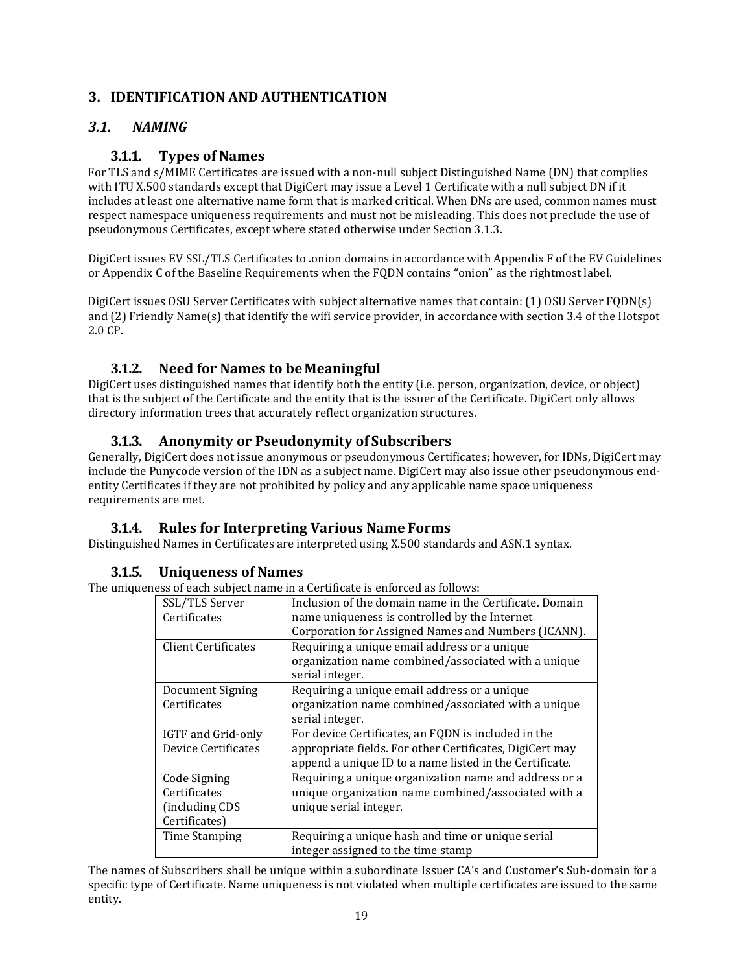## <span id="page-18-0"></span>**3. IDENTIFICATION AND AUTHENTICATION**

## <span id="page-18-2"></span><span id="page-18-1"></span>*3.1. NAMING*

## **3.1.1. Types of Names**

For TLS and s/MIME Certificates are issued with a non-null subject Distinguished Name (DN) that complies with ITU X.500 standards except that DigiCert may issue a Level 1 Certificate with a null subject DN if it includes at least one alternative name form that is marked critical. When DNs are used, common names must respect namespace uniqueness requirements and must not be misleading. This does not preclude the use of pseudonymous Certificates, except where stated otherwise under Section 3.1.3.

DigiCert issues EV SSL/TLS Certificates to .onion domains in accordance with Appendix F of the EV Guidelines or Appendix C of the Baseline Requirements when the FQDN contains "onion" as the rightmost label.

DigiCert issues OSU Server Certificates with subject alternative names that contain: (1) OSU Server FQDN(s) and (2) Friendly Name(s) that identify the wifi service provider, in accordance with section 3.4 of the Hotspot 2.0 CP.

## **3.1.2. Need for Names to beMeaningful**

<span id="page-18-3"></span>DigiCert uses distinguished names that identify both the entity (i.e. person, organization, device, or object) that is the subject of the Certificate and the entity that is the issuer of the Certificate. DigiCert only allows directory information trees that accurately reflect organization structures.

#### **3.1.3. Anonymity or Pseudonymity of Subscribers**

<span id="page-18-4"></span>Generally, DigiCert does not issue anonymous or pseudonymous Certificates; however, for IDNs, DigiCert may include the Punycode version of the IDN as a subject name. DigiCert may also issue other pseudonymous endentity Certificates if they are not prohibited by policy and any applicable name space uniqueness requirements are met.

#### **3.1.4. Rules for Interpreting Various Name Forms**

<span id="page-18-5"></span>Distinguished Names in Certificates are interpreted using X.500 standards and ASN.1 syntax.

#### **3.1.5. Uniqueness of Names**

<span id="page-18-6"></span>The uniqueness of each subject name in a Certificate is enforced as follows:

| SSL/TLS Server             | Inclusion of the domain name in the Certificate. Domain                |
|----------------------------|------------------------------------------------------------------------|
| Certificates               | name uniqueness is controlled by the Internet                          |
|                            | Corporation for Assigned Names and Numbers (ICANN).                    |
| <b>Client Certificates</b> | Requiring a unique email address or a unique                           |
|                            | organization name combined/associated with a unique<br>serial integer. |
| Document Signing           | Requiring a unique email address or a unique                           |
| Certificates               | organization name combined/associated with a unique                    |
|                            | serial integer.                                                        |
| IGTF and Grid-only         | For device Certificates, an FQDN is included in the                    |
| Device Certificates        | appropriate fields. For other Certificates, DigiCert may               |
|                            | append a unique ID to a name listed in the Certificate.                |
| Code Signing               | Requiring a unique organization name and address or a                  |
| Certificates               | unique organization name combined/associated with a                    |
| (including CDS             | unique serial integer.                                                 |
| Certificates)              |                                                                        |
| <b>Time Stamping</b>       | Requiring a unique hash and time or unique serial                      |
|                            |                                                                        |
|                            | integer assigned to the time stamp                                     |

The names of Subscribers shall be unique within a subordinate Issuer CA's and Customer's Sub-domain for a specific type of Certificate. Name uniqueness is not violated when multiple certificates are issued to the same entity.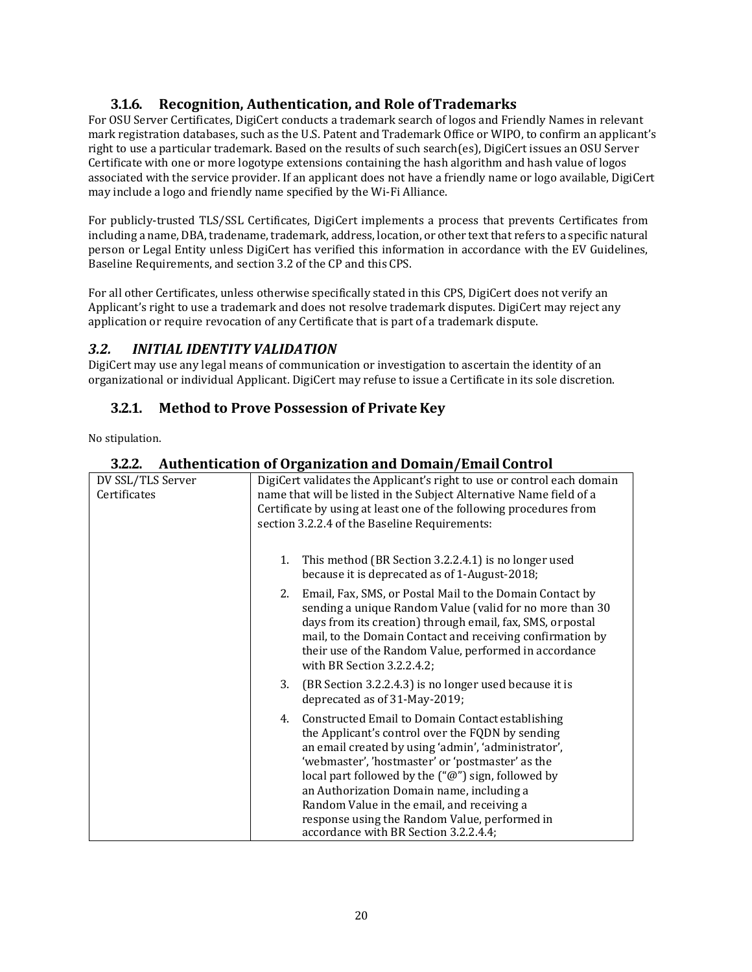## **3.1.6. Recognition, Authentication, and Role ofTrademarks**

<span id="page-19-0"></span>For OSU Server Certificates, DigiCert conducts a trademark search of logos and Friendly Names in relevant mark registration databases, such as the U.S. Patent and Trademark Office or WIPO, to confirm an applicant's right to use a particular trademark. Based on the results of such search(es), DigiCert issues an OSU Server Certificate with one or more logotype extensions containing the hash algorithm and hash value of logos associated with the service provider. If an applicant does not have a friendly name or logo available, DigiCert may include a logo and friendly name specified by the Wi-Fi Alliance.

For publicly-trusted TLS/SSL Certificates, DigiCert implements a process that prevents Certificates from including a name, DBA, tradename, trademark, address, location, or other text that refers to a specific natural person or Legal Entity unless DigiCert has verified this information in accordance with the EV Guidelines, Baseline Requirements, and section 3.2 of the CP and this CPS.

For all other Certificates, unless otherwise specifically stated in this CPS, DigiCert does not verify an Applicant's right to use a trademark and does not resolve trademark disputes. DigiCert may reject any application or require revocation of any Certificate that is part of a trademark dispute.

## <span id="page-19-1"></span>*3.2. INITIAL IDENTITY VALIDATION*

DigiCert may use any legal means of communication or investigation to ascertain the identity of an organizational or individual Applicant. DigiCert may refuse to issue a Certificate in its sole discretion.

## **3.2.1.** Method to Prove Possession of Private Key

<span id="page-19-3"></span><span id="page-19-2"></span>No stipulation.

| 3.2.2.           | Authentication of Organization and Domain/Email Control         |  |
|------------------|-----------------------------------------------------------------|--|
| V SSL/TLS Server | DigiCert validates the Applicant's right to use or control each |  |

| DV SSL/TLS Server<br>Certificates | DigiCert validates the Applicant's right to use or control each domain<br>name that will be listed in the Subject Alternative Name field of a<br>Certificate by using at least one of the following procedures from<br>section 3.2.2.4 of the Baseline Requirements:                                                                                                                                                                                               |
|-----------------------------------|--------------------------------------------------------------------------------------------------------------------------------------------------------------------------------------------------------------------------------------------------------------------------------------------------------------------------------------------------------------------------------------------------------------------------------------------------------------------|
|                                   | This method (BR Section 3.2.2.4.1) is no longer used<br>1.<br>because it is deprecated as of 1-August-2018;                                                                                                                                                                                                                                                                                                                                                        |
|                                   | 2. Email, Fax, SMS, or Postal Mail to the Domain Contact by<br>sending a unique Random Value (valid for no more than 30<br>days from its creation) through email, fax, SMS, or postal<br>mail, to the Domain Contact and receiving confirmation by<br>their use of the Random Value, performed in accordance<br>with BR Section 3.2.2.4.2;                                                                                                                         |
|                                   | 3.<br>(BR Section 3.2.2.4.3) is no longer used because it is<br>deprecated as of 31-May-2019;                                                                                                                                                                                                                                                                                                                                                                      |
|                                   | Constructed Email to Domain Contact establishing<br>4.<br>the Applicant's control over the FQDN by sending<br>an email created by using 'admin', 'administrator',<br>'webmaster', 'hostmaster' or 'postmaster' as the<br>local part followed by the $("@")$ sign, followed by<br>an Authorization Domain name, including a<br>Random Value in the email, and receiving a<br>response using the Random Value, performed in<br>accordance with BR Section 3.2.2.4.4; |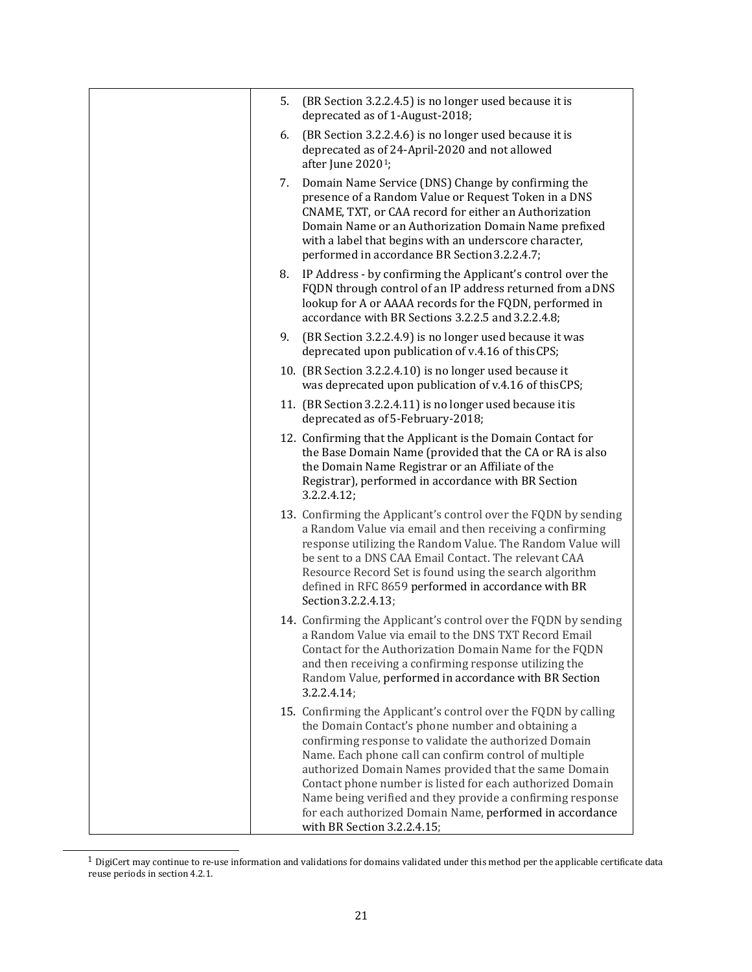| 5. | (BR Section 3.2.2.4.5) is no longer used because it is<br>deprecated as of 1-August-2018;                                                                                                                                                                                                                                                                                                                                                                                                                             |
|----|-----------------------------------------------------------------------------------------------------------------------------------------------------------------------------------------------------------------------------------------------------------------------------------------------------------------------------------------------------------------------------------------------------------------------------------------------------------------------------------------------------------------------|
| 6. | (BR Section 3.2.2.4.6) is no longer used because it is<br>deprecated as of 24-April-2020 and not allowed<br>after June 2020 <sup>1</sup> ;                                                                                                                                                                                                                                                                                                                                                                            |
| 7. | Domain Name Service (DNS) Change by confirming the<br>presence of a Random Value or Request Token in a DNS<br>CNAME, TXT, or CAA record for either an Authorization<br>Domain Name or an Authorization Domain Name prefixed<br>with a label that begins with an underscore character,<br>performed in accordance BR Section 3.2.2.4.7;                                                                                                                                                                                |
| 8. | IP Address - by confirming the Applicant's control over the<br>FQDN through control of an IP address returned from a DNS<br>lookup for A or AAAA records for the FQDN, performed in<br>accordance with BR Sections 3.2.2.5 and 3.2.2.4.8;                                                                                                                                                                                                                                                                             |
| 9. | (BR Section 3.2.2.4.9) is no longer used because it was<br>deprecated upon publication of v.4.16 of this CPS;                                                                                                                                                                                                                                                                                                                                                                                                         |
|    | 10. (BR Section 3.2.2.4.10) is no longer used because it<br>was deprecated upon publication of v.4.16 of this CPS;                                                                                                                                                                                                                                                                                                                                                                                                    |
|    | 11. (BR Section 3.2.2.4.11) is no longer used because it is<br>deprecated as of 5-February-2018;                                                                                                                                                                                                                                                                                                                                                                                                                      |
|    | 12. Confirming that the Applicant is the Domain Contact for<br>the Base Domain Name (provided that the CA or RA is also<br>the Domain Name Registrar or an Affiliate of the<br>Registrar), performed in accordance with BR Section<br>3.2.2.4.12;                                                                                                                                                                                                                                                                     |
|    | 13. Confirming the Applicant's control over the FQDN by sending<br>a Random Value via email and then receiving a confirming<br>response utilizing the Random Value. The Random Value will<br>be sent to a DNS CAA Email Contact. The relevant CAA<br>Resource Record Set is found using the search algorithm<br>defined in RFC 8659 performed in accordance with BR<br>Section 3.2.2.4.13;                                                                                                                            |
|    | 14. Confirming the Applicant's control over the FQDN by sending<br>a Random Value via email to the DNS TXT Record Email<br>Contact for the Authorization Domain Name for the FQDN<br>and then receiving a confirming response utilizing the<br>Random Value, performed in accordance with BR Section<br>3.2.2.4.14;                                                                                                                                                                                                   |
|    | 15. Confirming the Applicant's control over the FQDN by calling<br>the Domain Contact's phone number and obtaining a<br>confirming response to validate the authorized Domain<br>Name. Each phone call can confirm control of multiple<br>authorized Domain Names provided that the same Domain<br>Contact phone number is listed for each authorized Domain<br>Name being verified and they provide a confirming response<br>for each authorized Domain Name, performed in accordance<br>with BR Section 3.2.2.4.15; |

<span id="page-20-0"></span> $^{\rm 1}$  DigiCert may continue to re-use information and validations for domains validated under this method per the applicable certificate data reuse periods in section 4.2.1.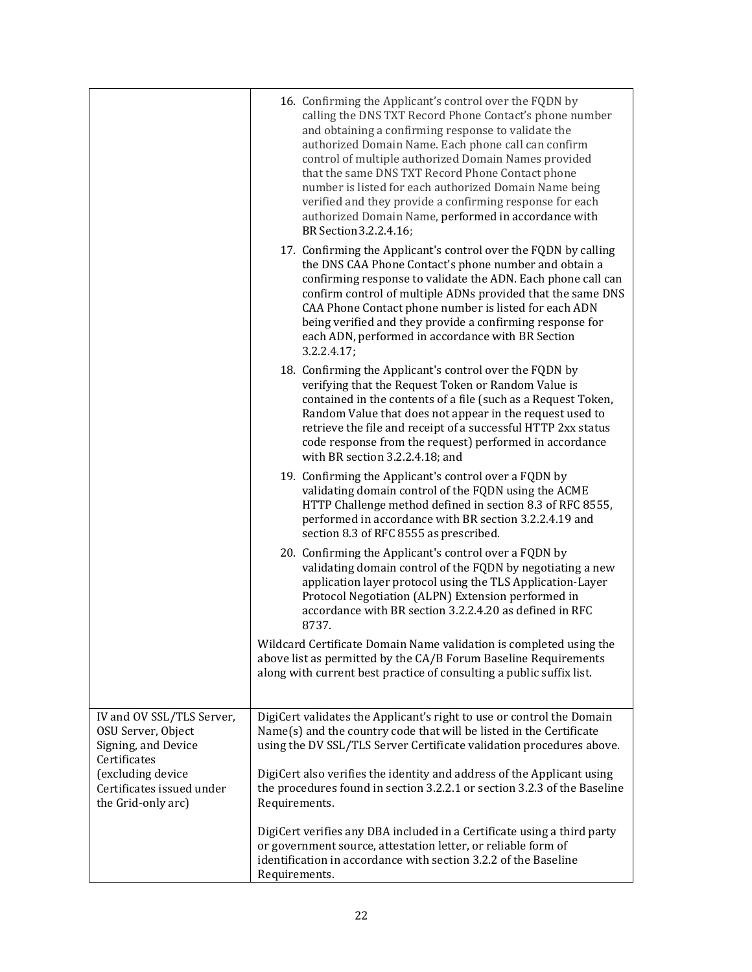|                                                                                        | 16. Confirming the Applicant's control over the FQDN by<br>calling the DNS TXT Record Phone Contact's phone number<br>and obtaining a confirming response to validate the<br>authorized Domain Name. Each phone call can confirm<br>control of multiple authorized Domain Names provided<br>that the same DNS TXT Record Phone Contact phone<br>number is listed for each authorized Domain Name being<br>verified and they provide a confirming response for each<br>authorized Domain Name, performed in accordance with<br>BR Section 3.2.2.4.16; |
|----------------------------------------------------------------------------------------|------------------------------------------------------------------------------------------------------------------------------------------------------------------------------------------------------------------------------------------------------------------------------------------------------------------------------------------------------------------------------------------------------------------------------------------------------------------------------------------------------------------------------------------------------|
|                                                                                        | 17. Confirming the Applicant's control over the FQDN by calling<br>the DNS CAA Phone Contact's phone number and obtain a<br>confirming response to validate the ADN. Each phone call can<br>confirm control of multiple ADNs provided that the same DNS<br>CAA Phone Contact phone number is listed for each ADN<br>being verified and they provide a confirming response for<br>each ADN, performed in accordance with BR Section<br>3.2.2.4.17;                                                                                                    |
|                                                                                        | 18. Confirming the Applicant's control over the FQDN by<br>verifying that the Request Token or Random Value is<br>contained in the contents of a file (such as a Request Token,<br>Random Value that does not appear in the request used to<br>retrieve the file and receipt of a successful HTTP 2xx status<br>code response from the request) performed in accordance<br>with BR section 3.2.2.4.18; and                                                                                                                                           |
|                                                                                        | 19. Confirming the Applicant's control over a FQDN by<br>validating domain control of the FQDN using the ACME<br>HTTP Challenge method defined in section 8.3 of RFC 8555,<br>performed in accordance with BR section 3.2.2.4.19 and<br>section 8.3 of RFC 8555 as prescribed.                                                                                                                                                                                                                                                                       |
|                                                                                        | 20. Confirming the Applicant's control over a FQDN by<br>validating domain control of the FQDN by negotiating a new<br>application layer protocol using the TLS Application-Layer<br>Protocol Negotiation (ALPN) Extension performed in<br>accordance with BR section 3.2.2.4.20 as defined in RFC<br>8737.                                                                                                                                                                                                                                          |
|                                                                                        | Wildcard Certificate Domain Name validation is completed using the<br>above list as permitted by the CA/B Forum Baseline Requirements<br>along with current best practice of consulting a public suffix list.                                                                                                                                                                                                                                                                                                                                        |
| IV and OV SSL/TLS Server,<br>OSU Server, Object<br>Signing, and Device<br>Certificates | DigiCert validates the Applicant's right to use or control the Domain<br>Name(s) and the country code that will be listed in the Certificate<br>using the DV SSL/TLS Server Certificate validation procedures above.                                                                                                                                                                                                                                                                                                                                 |
| (excluding device<br>Certificates issued under<br>the Grid-only arc)                   | DigiCert also verifies the identity and address of the Applicant using<br>the procedures found in section 3.2.2.1 or section 3.2.3 of the Baseline<br>Requirements.                                                                                                                                                                                                                                                                                                                                                                                  |
|                                                                                        | DigiCert verifies any DBA included in a Certificate using a third party<br>or government source, attestation letter, or reliable form of<br>identification in accordance with section 3.2.2 of the Baseline<br>Requirements.                                                                                                                                                                                                                                                                                                                         |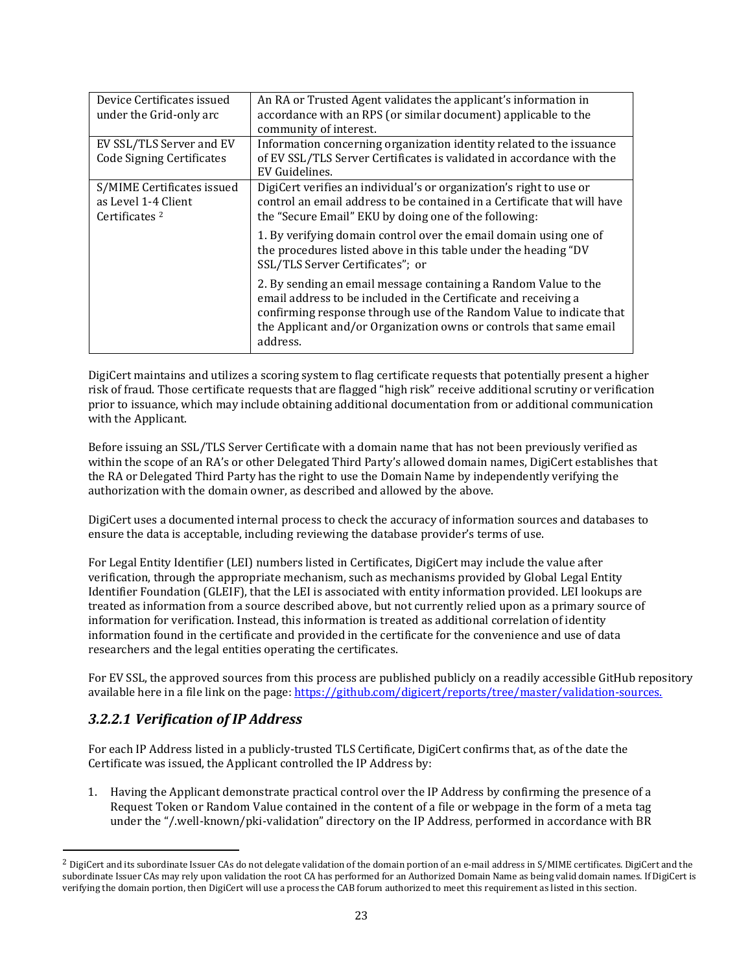| Device Certificates issued<br>under the Grid-only arc                          | An RA or Trusted Agent validates the applicant's information in<br>accordance with an RPS (or similar document) applicable to the<br>community of interest.                                                                                                                                  |
|--------------------------------------------------------------------------------|----------------------------------------------------------------------------------------------------------------------------------------------------------------------------------------------------------------------------------------------------------------------------------------------|
| EV SSL/TLS Server and EV<br><b>Code Signing Certificates</b>                   | Information concerning organization identity related to the issuance<br>of EV SSL/TLS Server Certificates is validated in accordance with the<br>EV Guidelines.                                                                                                                              |
| S/MIME Certificates issued<br>as Level 1-4 Client<br>Certificates <sup>2</sup> | DigiCert verifies an individual's or organization's right to use or<br>control an email address to be contained in a Certificate that will have<br>the "Secure Email" EKU by doing one of the following:                                                                                     |
|                                                                                | 1. By verifying domain control over the email domain using one of<br>the procedures listed above in this table under the heading "DV<br>SSL/TLS Server Certificates"; or                                                                                                                     |
|                                                                                | 2. By sending an email message containing a Random Value to the<br>email address to be included in the Certificate and receiving a<br>confirming response through use of the Random Value to indicate that<br>the Applicant and/or Organization owns or controls that same email<br>address. |

DigiCert maintains and utilizes a scoring system to flag certificate requests that potentially present a higher risk of fraud. Those certificate requests that are flagged "high risk" receive additional scrutiny or verification prior to issuance, which may include obtaining additional documentation from or additional communication with the Applicant.

Before issuing an SSL/TLS Server Certificate with a domain name that has not been previously verified as within the scope of an RA's or other Delegated Third Party's allowed domain names, DigiCert establishes that the RA or Delegated Third Party has the right to use the Domain Name by independently verifying the authorization with the domain owner, as described and allowed by the above.

DigiCert uses a documented internal process to check the accuracy of information sources and databases to ensure the data is acceptable, including reviewing the database provider's terms of use.

For Legal Entity Identifier (LEI) numbers listed in Certificates, DigiCert may include the value after verification, through the appropriate mechanism, such as mechanisms provided by Global Legal Entity Identifier Foundation (GLEIF), that the LEI is associated with entity information provided. LEI lookups are treated as information from a source described above, but not currently relied upon as a primary source of information for verification. Instead, this information is treated as additional correlation of identity information found in the certificate and provided in the certificate for the convenience and use of data researchers and the legal entities operating the certificates.

For EV SSL, the approved sources from this process are published publicly on a readily accessible GitHub repository available here in a file link on the page: <https://github.com/digicert/reports/tree/master/validation-sources.>

## <span id="page-22-0"></span>*3.2.2.1 Verification of IP Address*

For each IP Address listed in a publicly-trusted TLS Certificate, DigiCert confirms that, as of the date the Certificate was issued, the Applicant controlled the IP Address by:

1. Having the Applicant demonstrate practical control over the IP Address by confirming the presence of a Request Token or Random Value contained in the content of a file or webpage in the form of a meta tag under the "/.well-known/pki-validation" directory on the IP Address, performed in accordance with BR

<span id="page-22-1"></span> $^2$  DigiCert and its subordinate Issuer CAs do not delegate validation of the domain portion of an e-mail address in S/MIME certificates. DigiCert and the subordinate Issuer CAs may rely upon validation the root CA has performed for an Authorized Domain Name as being valid domain names. If DigiCert is verifying the domain portion, then DigiCert will use a process the CAB forum authorized to meet this requirement as listed in this section.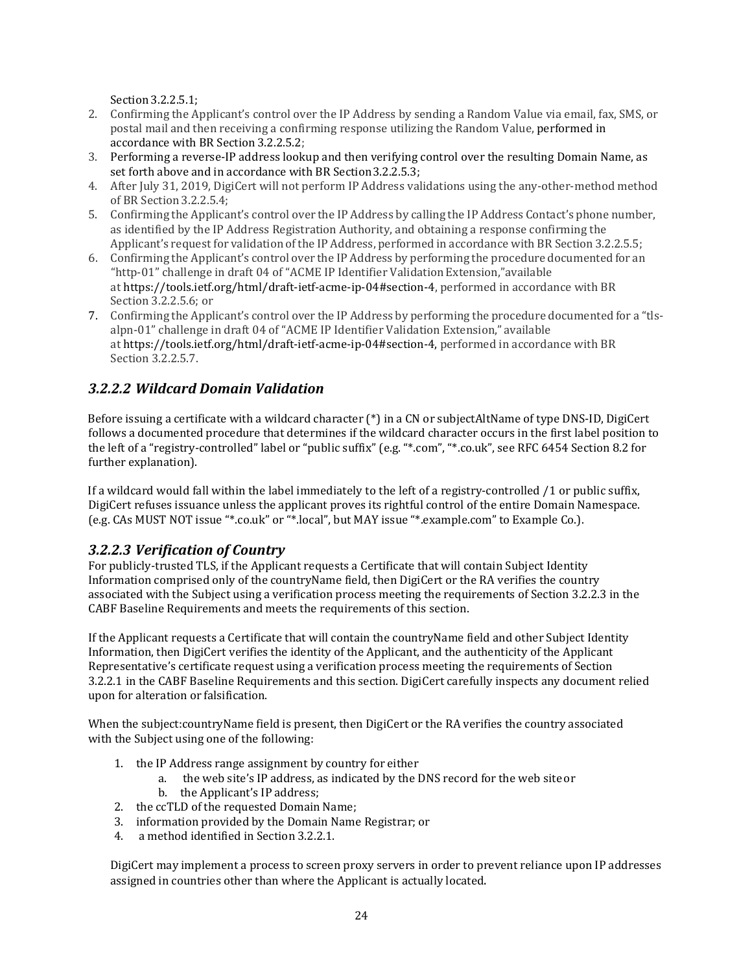Section 3.2.2.5.1;

- 2. Confirming the Applicant's control over the IP Address by sending a Random Value via email, fax, SMS, or postal mail and then receiving a confirming response utilizing the Random Value, performed in accordance with BR Section 3.2.2.5.2;
- 3. Performing a reverse-IP address lookup and then verifying control over the resulting Domain Name, as set forth above and in accordance with BR Section3.2.2.5.3;
- 4. After July 31, 2019, DigiCert will not perform IP Address validations using the any-other-method method of BR Section 3.2.2.5.4;
- 5. Confirming the Applicant's control over the IP Address by calling the IP Address Contact's phone number, as identified by the IP Address Registration Authority, and obtaining a response confirming the Applicant's request for validation of the IP Address, performed in accordance with BR Section 3.2.2.5.5;
- 6. Confirming the Applicant's control over the IP Address by performing the procedure documented for an "http-01" challenge in draft 04 of "ACME IP Identifier Validation Extension,"available at https://tools.ietf.org/html/draft-ietf-acme-ip-04#section-4, performed in accordance with BR Section 3.2.2.5.6; or
- 7. Confirming the Applicant's control over the IP Address by performing the procedure documented for a "tlsalpn-01" challenge in draft 04 of "ACME IP Identifier Validation Extension," available at https://tools.ietf.org/html/draft-ietf-acme-ip-04#section-4, performed in accordance with BR Section 3.2.2.5.7.

## <span id="page-23-0"></span>*3.2.2.2 Wildcard Domain Validation*

Before issuing a certificate with a wildcard character (\*) in a CN or subjectAltName of type DNS-ID, DigiCert follows a documented procedure that determines if the wildcard character occurs in the first label position to the left of a "registry-controlled" label or "public suffix" (e.g. "\*.com", "\*.co.uk", see RFC 6454 Section 8.2 for further explanation).

If a wildcard would fall within the label immediately to the left of a registry-controlled /1 or public suffix, DigiCert refuses issuance unless the applicant proves its rightful control of the entire Domain Namespace. (e.g. CAs MUST NOT issue "\*.co.uk" or "\*.local", but MAY issue "\*.example.com" to Example Co.).

#### <span id="page-23-1"></span>*3.2.2.3 Verification of Country*

For publicly-trusted TLS, if the Applicant requests a Certificate that will contain Subject Identity Information comprised only of the countryName field, then DigiCert or the RA verifies the country associated with the Subject using a verification process meeting the requirements of Section 3.2.2.3 in the CABF Baseline Requirements and meets the requirements of this section.

If the Applicant requests a Certificate that will contain the countryName field and other Subject Identity Information, then DigiCert verifies the identity of the Applicant, and the authenticity of the Applicant Representative's certificate request using a verification process meeting the requirements of Section 3.2.2.1 in the CABF Baseline Requirements and this section. DigiCert carefully inspects any document relied upon for alteration or falsification.

When the subject:countryName field is present, then DigiCert or the RA verifies the country associated with the Subject using one of the following:

- 1. the IP Address range assignment by country for either
	- a. the web site's IP address, as indicated by the DNS record for the web site or
	- b. the Applicant's IP address;
- 2. the ccTLD of the requested Domain Name;
- 3. information provided by the Domain Name Registrar; or
- a method identified in Section 3.2.2.1.

DigiCert may implement a process to screen proxy servers in order to prevent reliance upon IP addresses assigned in countries other than where the Applicant is actually located.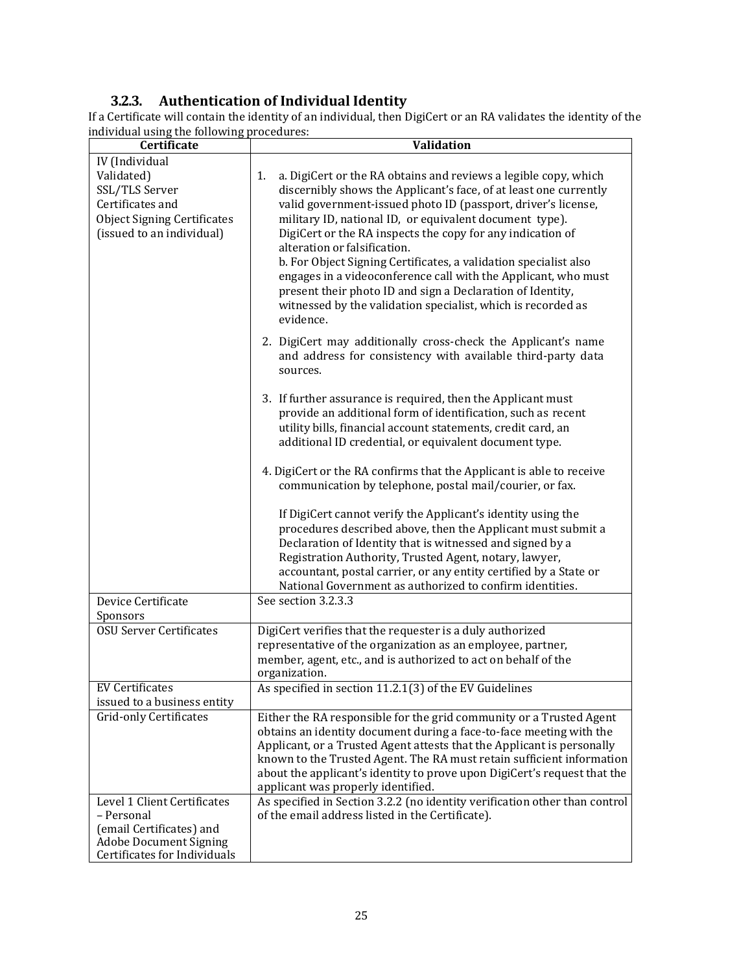## **3.2.3. Authentication of Individual Identity**

<span id="page-24-0"></span>If a Certificate will contain the identity of an individual, then DigiCert or an RA validates the identity of the individual using the following procedures:

| Certificate                                                                                                                            | <b>Validation</b>                                                                                                                                                                                                                                                                                                                                                                                                                                                                                                                                                                                                                                     |
|----------------------------------------------------------------------------------------------------------------------------------------|-------------------------------------------------------------------------------------------------------------------------------------------------------------------------------------------------------------------------------------------------------------------------------------------------------------------------------------------------------------------------------------------------------------------------------------------------------------------------------------------------------------------------------------------------------------------------------------------------------------------------------------------------------|
| IV (Individual                                                                                                                         |                                                                                                                                                                                                                                                                                                                                                                                                                                                                                                                                                                                                                                                       |
| Validated)<br>SSL/TLS Server<br>Certificates and<br><b>Object Signing Certificates</b><br>(issued to an individual)                    | a. DigiCert or the RA obtains and reviews a legible copy, which<br>1.<br>discernibly shows the Applicant's face, of at least one currently<br>valid government-issued photo ID (passport, driver's license,<br>military ID, national ID, or equivalent document type).<br>DigiCert or the RA inspects the copy for any indication of<br>alteration or falsification.<br>b. For Object Signing Certificates, a validation specialist also<br>engages in a videoconference call with the Applicant, who must<br>present their photo ID and sign a Declaration of Identity,<br>witnessed by the validation specialist, which is recorded as<br>evidence. |
|                                                                                                                                        | 2. DigiCert may additionally cross-check the Applicant's name<br>and address for consistency with available third-party data<br>sources.                                                                                                                                                                                                                                                                                                                                                                                                                                                                                                              |
|                                                                                                                                        | 3. If further assurance is required, then the Applicant must<br>provide an additional form of identification, such as recent<br>utility bills, financial account statements, credit card, an<br>additional ID credential, or equivalent document type.                                                                                                                                                                                                                                                                                                                                                                                                |
|                                                                                                                                        | 4. DigiCert or the RA confirms that the Applicant is able to receive<br>communication by telephone, postal mail/courier, or fax.                                                                                                                                                                                                                                                                                                                                                                                                                                                                                                                      |
|                                                                                                                                        | If DigiCert cannot verify the Applicant's identity using the<br>procedures described above, then the Applicant must submit a<br>Declaration of Identity that is witnessed and signed by a<br>Registration Authority, Trusted Agent, notary, lawyer,<br>accountant, postal carrier, or any entity certified by a State or<br>National Government as authorized to confirm identities.                                                                                                                                                                                                                                                                  |
| Device Certificate<br>Sponsors                                                                                                         | See section 3.2.3.3                                                                                                                                                                                                                                                                                                                                                                                                                                                                                                                                                                                                                                   |
| <b>OSU Server Certificates</b>                                                                                                         | DigiCert verifies that the requester is a duly authorized<br>representative of the organization as an employee, partner,<br>member, agent, etc., and is authorized to act on behalf of the<br>organization.                                                                                                                                                                                                                                                                                                                                                                                                                                           |
| <b>EV Certificates</b><br>issued to a business entity                                                                                  | As specified in section 11.2.1(3) of the EV Guidelines                                                                                                                                                                                                                                                                                                                                                                                                                                                                                                                                                                                                |
| <b>Grid-only Certificates</b>                                                                                                          | Either the RA responsible for the grid community or a Trusted Agent<br>obtains an identity document during a face-to-face meeting with the<br>Applicant, or a Trusted Agent attests that the Applicant is personally<br>known to the Trusted Agent. The RA must retain sufficient information<br>about the applicant's identity to prove upon DigiCert's request that the<br>applicant was properly identified.                                                                                                                                                                                                                                       |
| Level 1 Client Certificates<br>- Personal<br>(email Certificates) and<br><b>Adobe Document Signing</b><br>Certificates for Individuals | As specified in Section 3.2.2 (no identity verification other than control<br>of the email address listed in the Certificate).                                                                                                                                                                                                                                                                                                                                                                                                                                                                                                                        |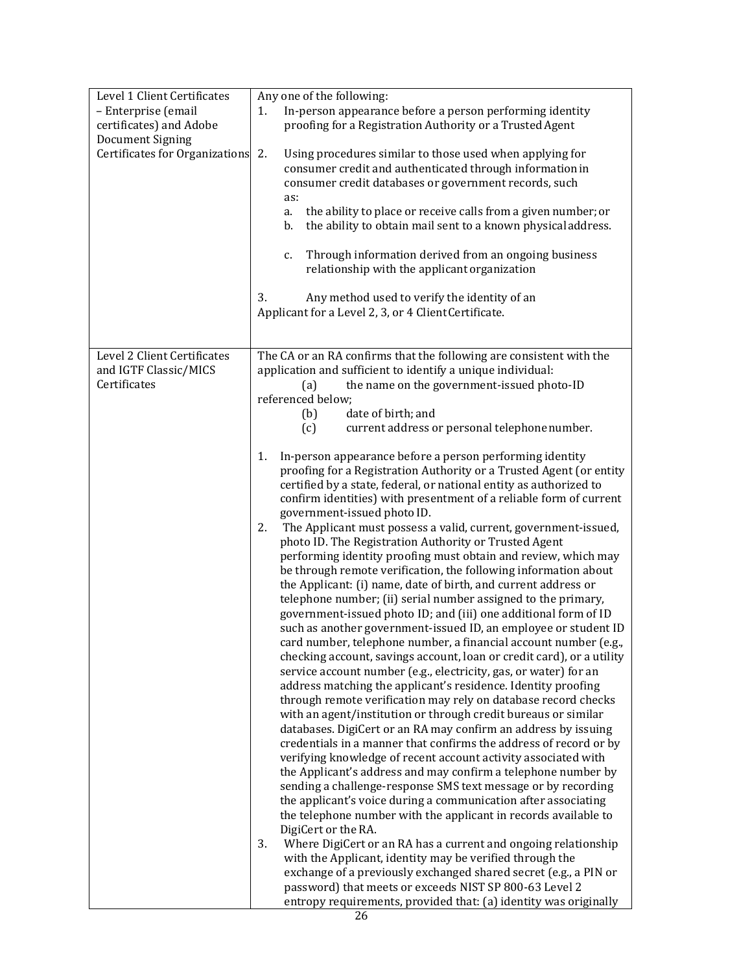| Level 1 Client Certificates    | Any one of the following:                                             |
|--------------------------------|-----------------------------------------------------------------------|
| - Enterprise (email            | In-person appearance before a person performing identity<br>1.        |
| certificates) and Adobe        | proofing for a Registration Authority or a Trusted Agent              |
| <b>Document Signing</b>        |                                                                       |
| Certificates for Organizations | 2.<br>Using procedures similar to those used when applying for        |
|                                | consumer credit and authenticated through information in              |
|                                | consumer credit databases or government records, such                 |
|                                | as:                                                                   |
|                                | the ability to place or receive calls from a given number; or<br>a.   |
|                                | the ability to obtain mail sent to a known physical address.<br>b.    |
|                                |                                                                       |
|                                | Through information derived from an ongoing business<br>c.            |
|                                | relationship with the applicant organization                          |
|                                |                                                                       |
|                                | 3.<br>Any method used to verify the identity of an                    |
|                                | Applicant for a Level 2, 3, or 4 Client Certificate.                  |
|                                |                                                                       |
|                                |                                                                       |
| Level 2 Client Certificates    | The CA or an RA confirms that the following are consistent with the   |
| and IGTF Classic/MICS          | application and sufficient to identify a unique individual:           |
| Certificates                   | the name on the government-issued photo-ID<br>(a)                     |
|                                | referenced below;                                                     |
|                                | date of birth; and<br>(b)                                             |
|                                | (c)<br>current address or personal telephone number.                  |
|                                |                                                                       |
|                                | In-person appearance before a person performing identity<br>1.        |
|                                | proofing for a Registration Authority or a Trusted Agent (or entity   |
|                                | certified by a state, federal, or national entity as authorized to    |
|                                | confirm identities) with presentment of a reliable form of current    |
|                                | government-issued photo ID.                                           |
|                                | The Applicant must possess a valid, current, government-issued,<br>2. |
|                                | photo ID. The Registration Authority or Trusted Agent                 |
|                                | performing identity proofing must obtain and review, which may        |
|                                | be through remote verification, the following information about       |
|                                | the Applicant: (i) name, date of birth, and current address or        |
|                                | telephone number; (ii) serial number assigned to the primary,         |
|                                | government-issued photo ID; and (iii) one additional form of ID       |
|                                | such as another government-issued ID, an employee or student ID       |
|                                | card number, telephone number, a financial account number (e.g.,      |
|                                | checking account, savings account, loan or credit card), or a utility |
|                                | service account number (e.g., electricity, gas, or water) for an      |
|                                | address matching the applicant's residence. Identity proofing         |
|                                | through remote verification may rely on database record checks        |
|                                | with an agent/institution or through credit bureaus or similar        |
|                                | databases. DigiCert or an RA may confirm an address by issuing        |
|                                | credentials in a manner that confirms the address of record or by     |
|                                | verifying knowledge of recent account activity associated with        |
|                                | the Applicant's address and may confirm a telephone number by         |
|                                | sending a challenge-response SMS text message or by recording         |
|                                | the applicant's voice during a communication after associating        |
|                                | the telephone number with the applicant in records available to       |
|                                | DigiCert or the RA.                                                   |
|                                | 3.<br>Where DigiCert or an RA has a current and ongoing relationship  |
|                                | with the Applicant, identity may be verified through the              |
|                                | exchange of a previously exchanged shared secret (e.g., a PIN or      |
|                                |                                                                       |
|                                | password) that meets or exceeds NIST SP 800-63 Level 2                |
|                                | entropy requirements, provided that: (a) identity was originally      |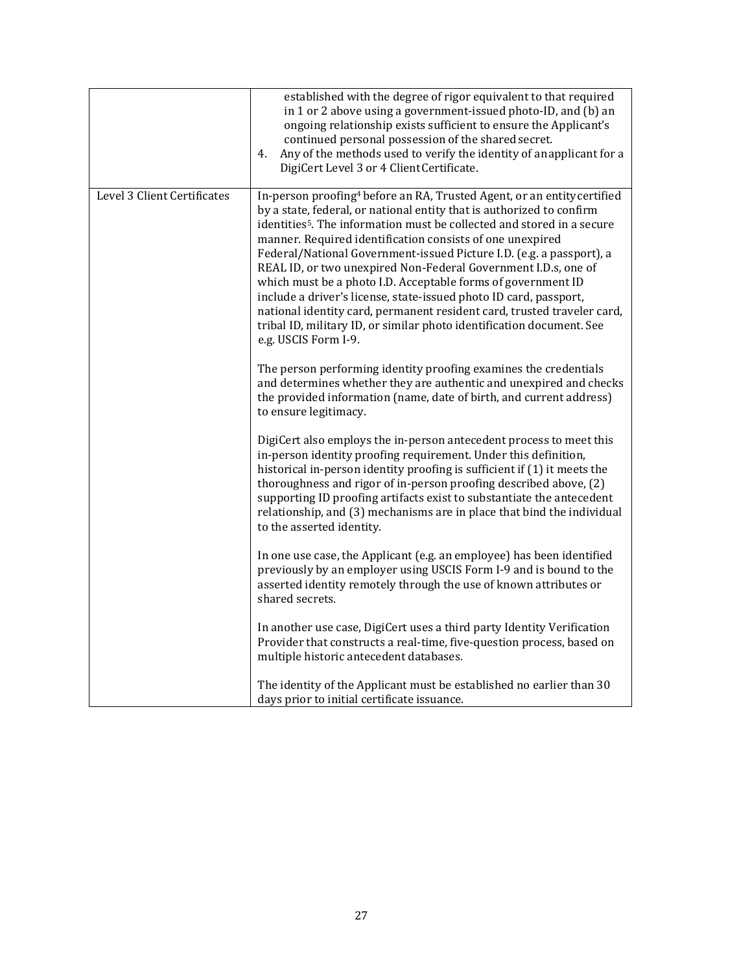|                             | established with the degree of rigor equivalent to that required<br>in 1 or 2 above using a government-issued photo-ID, and (b) an<br>ongoing relationship exists sufficient to ensure the Applicant's<br>continued personal possession of the shared secret.<br>Any of the methods used to verify the identity of anapplicant for a<br>4.<br>DigiCert Level 3 or 4 Client Certificate.                                                                                                                                                                                                                                                                                                                                                                                    |
|-----------------------------|----------------------------------------------------------------------------------------------------------------------------------------------------------------------------------------------------------------------------------------------------------------------------------------------------------------------------------------------------------------------------------------------------------------------------------------------------------------------------------------------------------------------------------------------------------------------------------------------------------------------------------------------------------------------------------------------------------------------------------------------------------------------------|
| Level 3 Client Certificates | In-person proofing <sup>4</sup> before an RA, Trusted Agent, or an entity certified<br>by a state, federal, or national entity that is authorized to confirm<br>identities <sup>5</sup> . The information must be collected and stored in a secure<br>manner. Required identification consists of one unexpired<br>Federal/National Government-issued Picture I.D. (e.g. a passport), a<br>REAL ID, or two unexpired Non-Federal Government I.D.s, one of<br>which must be a photo I.D. Acceptable forms of government ID<br>include a driver's license, state-issued photo ID card, passport,<br>national identity card, permanent resident card, trusted traveler card,<br>tribal ID, military ID, or similar photo identification document. See<br>e.g. USCIS Form I-9. |
|                             | The person performing identity proofing examines the credentials<br>and determines whether they are authentic and unexpired and checks<br>the provided information (name, date of birth, and current address)<br>to ensure legitimacy.                                                                                                                                                                                                                                                                                                                                                                                                                                                                                                                                     |
|                             | DigiCert also employs the in-person antecedent process to meet this<br>in-person identity proofing requirement. Under this definition,<br>historical in-person identity proofing is sufficient if (1) it meets the<br>thoroughness and rigor of in-person proofing described above, (2)<br>supporting ID proofing artifacts exist to substantiate the antecedent<br>relationship, and (3) mechanisms are in place that bind the individual<br>to the asserted identity.                                                                                                                                                                                                                                                                                                    |
|                             | In one use case, the Applicant (e.g. an employee) has been identified<br>previously by an employer using USCIS Form I-9 and is bound to the<br>asserted identity remotely through the use of known attributes or<br>shared secrets.                                                                                                                                                                                                                                                                                                                                                                                                                                                                                                                                        |
|                             | In another use case, DigiCert uses a third party Identity Verification<br>Provider that constructs a real-time, five-question process, based on<br>multiple historic antecedent databases.                                                                                                                                                                                                                                                                                                                                                                                                                                                                                                                                                                                 |
|                             | The identity of the Applicant must be established no earlier than 30<br>days prior to initial certificate issuance.                                                                                                                                                                                                                                                                                                                                                                                                                                                                                                                                                                                                                                                        |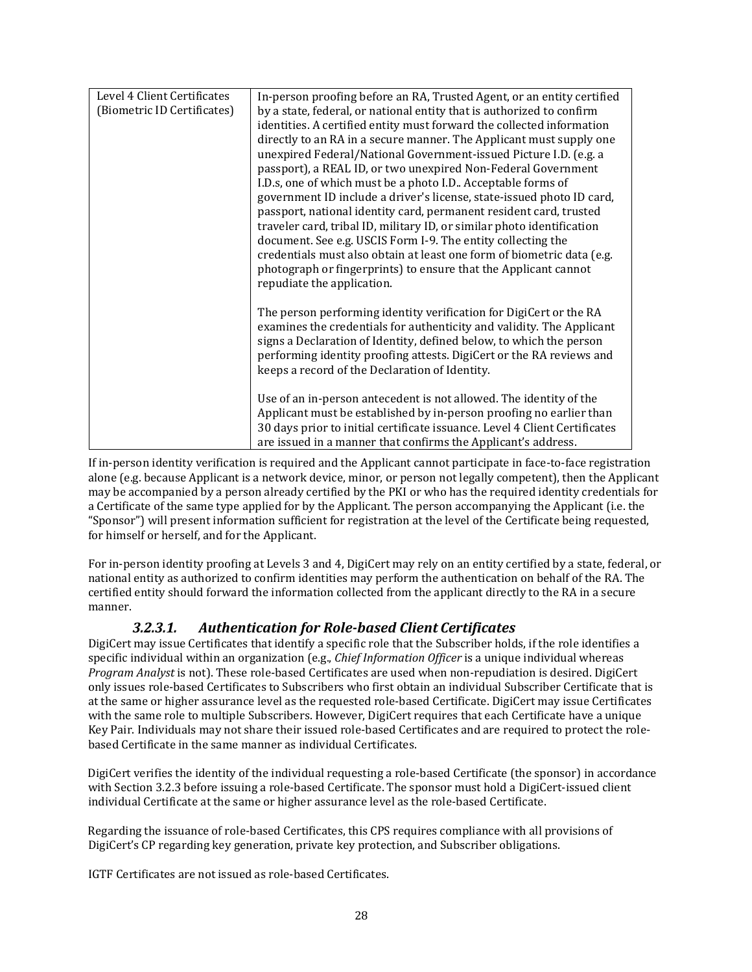| Level 4 Client Certificates | In-person proofing before an RA, Trusted Agent, or an entity certified                                                                                                                                                                                                                                                                                                                                                                                                                                                                                                                                                                                                                                                                                                                                                                                                                         |
|-----------------------------|------------------------------------------------------------------------------------------------------------------------------------------------------------------------------------------------------------------------------------------------------------------------------------------------------------------------------------------------------------------------------------------------------------------------------------------------------------------------------------------------------------------------------------------------------------------------------------------------------------------------------------------------------------------------------------------------------------------------------------------------------------------------------------------------------------------------------------------------------------------------------------------------|
| (Biometric ID Certificates) | by a state, federal, or national entity that is authorized to confirm<br>identities. A certified entity must forward the collected information<br>directly to an RA in a secure manner. The Applicant must supply one<br>unexpired Federal/National Government-issued Picture I.D. (e.g. a<br>passport), a REAL ID, or two unexpired Non-Federal Government<br>I.D.s, one of which must be a photo I.D Acceptable forms of<br>government ID include a driver's license, state-issued photo ID card,<br>passport, national identity card, permanent resident card, trusted<br>traveler card, tribal ID, military ID, or similar photo identification<br>document. See e.g. USCIS Form I-9. The entity collecting the<br>credentials must also obtain at least one form of biometric data (e.g.<br>photograph or fingerprints) to ensure that the Applicant cannot<br>repudiate the application. |
|                             | The person performing identity verification for DigiCert or the RA<br>examines the credentials for authenticity and validity. The Applicant<br>signs a Declaration of Identity, defined below, to which the person<br>performing identity proofing attests. DigiCert or the RA reviews and<br>keeps a record of the Declaration of Identity.<br>Use of an in-person antecedent is not allowed. The identity of the<br>Applicant must be established by in-person proofing no earlier than<br>30 days prior to initial certificate issuance. Level 4 Client Certificates<br>are issued in a manner that confirms the Applicant's address.                                                                                                                                                                                                                                                       |

<span id="page-27-1"></span>If in-person identity verification is required and the Applicant cannot participate in face-to-face registration alone (e.g. because Applicant is a network device, minor, or person not legally competent), then the Applicant may be accompanied by a person already certified by the PKI or who has the required identity credentials for a Certificate of the same type applied for by the Applicant. The person accompanying the Applicant (i.e. the "Sponsor") will present information sufficient for registration at the level of the Certificate being requested, for himself or herself, and for the Applicant.

For in-person identity proofing at Levels 3 and 4, DigiCert may rely on an entity certified by a state, federal, or national entity as authorized to confirm identities may perform the authentication on behalf of the RA. The certified entity should forward the information collected from the applicant directly to the RA in a secure manner.

## *3.2.3.1. Authentication for Role-based Client Certificates*

<span id="page-27-0"></span>DigiCert may issue Certificates that identify a specific role that the Subscriber holds, if the role identifies a specific individual within an organization (e.g., *Chief Information Officer* is a unique individual whereas *Program Analyst* is not). These role-based Certificates are used when non-repudiation is desired. DigiCert only issues role-based Certificates to Subscribers who first obtain an individual Subscriber Certificate that is at the same or higher assurance level as the requested role-based Certificate. DigiCert may issue Certificates with the same role to multiple Subscribers. However, DigiCert requires that each Certificate have a unique Key Pair. Individuals may not share their issued role-based Certificates and are required to protect the rolebased Certificate in the same manner as individual Certificates.

DigiCert verifies the identity of the individual requesting a role-based Certificate (the sponsor) in accordance with Section 3.2.3 before issuing a role-based Certificate. The sponsor must hold a DigiCert-issued client individual Certificate at the same or higher assurance level as the role-based Certificate.

Regarding the issuance of role-based Certificates, this CPS requires compliance with all provisions of DigiCert's CP regarding key generation, private key protection, and Subscriber obligations.

IGTF Certificates are not issued as role-based Certificates.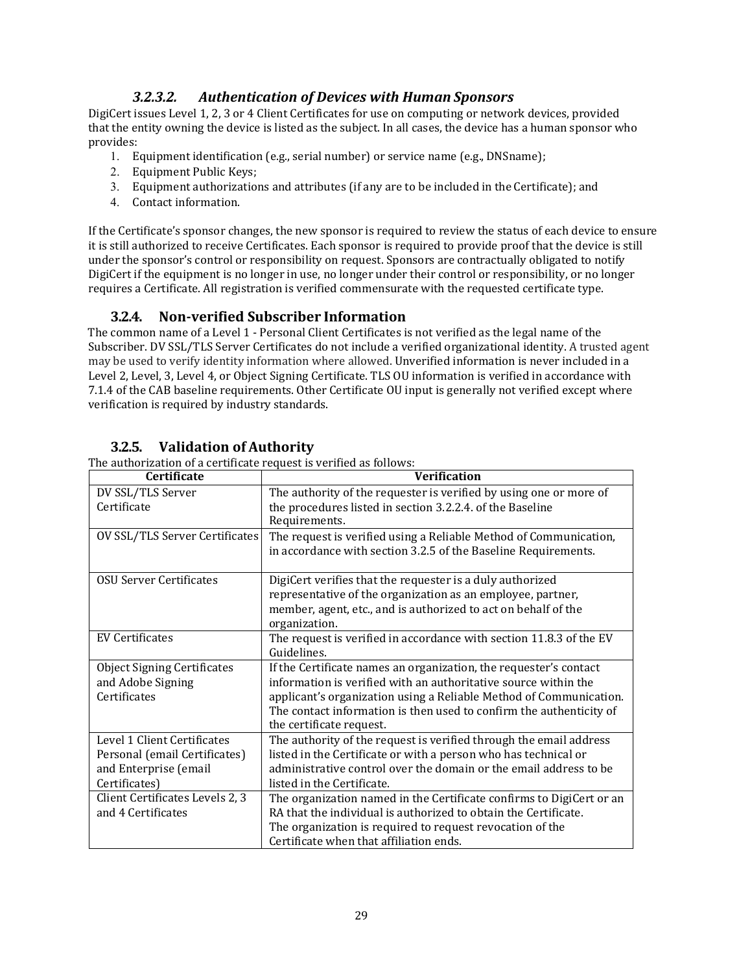## *3.2.3.2. Authentication of Devices with Human Sponsors*

<span id="page-28-0"></span>DigiCert issues Level 1, 2, 3 or 4 Client Certificates for use on computing or network devices, provided that the entity owning the device is listed as the subject. In all cases, the device has a human sponsor who provides:

- 1. Equipment identification (e.g., serial number) or service name (e.g., DNSname);
- 2. Equipment Public Keys;
- 3. Equipment authorizations and attributes (if any are to be included in the Certificate); and
- 4. Contact information.

If the Certificate's sponsor changes, the new sponsor is required to review the status of each device to ensure it is still authorized to receive Certificates. Each sponsor is required to provide proof that the device is still under the sponsor's control or responsibility on request. Sponsors are contractually obligated to notify DigiCert if the equipment is no longer in use, no longer under their control or responsibility, or no longer requires a Certificate. All registration is verified commensurate with the requested certificate type.

#### **3.2.4. Non-verified Subscriber Information**

<span id="page-28-1"></span>The common name of a Level 1 - Personal Client Certificates is not verified as the legal name of the Subscriber. DV SSL/TLS Server Certificates do not include a verified organizational identity. A trusted agent may be used to verify identity information where allowed. Unverified information is never included in a Level 2, Level, 3, Level 4, or Object Signing Certificate. TLS OU information is verified in accordance with 7.1.4 of the CAB baseline requirements. Other Certificate OU input is generally not verified except where verification is required by industry standards.

| Certificate                           | <b>Verification</b>                                                             |
|---------------------------------------|---------------------------------------------------------------------------------|
| DV SSL/TLS Server                     | The authority of the requester is verified by using one or more of              |
| Certificate                           | the procedures listed in section 3.2.2.4. of the Baseline                       |
|                                       | Requirements.                                                                   |
| <b>OV SSL/TLS Server Certificates</b> | The request is verified using a Reliable Method of Communication,               |
|                                       | in accordance with section 3.2.5 of the Baseline Requirements.                  |
| OSU Server Certificates               | DigiCert verifies that the requester is a duly authorized                       |
|                                       | representative of the organization as an employee, partner,                     |
|                                       | member, agent, etc., and is authorized to act on behalf of the<br>organization. |
| <b>EV Certificates</b>                | The request is verified in accordance with section 11.8.3 of the EV             |
|                                       | Guidelines.                                                                     |
| <b>Object Signing Certificates</b>    | If the Certificate names an organization, the requester's contact               |
| and Adobe Signing                     | information is verified with an authoritative source within the                 |
| Certificates                          | applicant's organization using a Reliable Method of Communication.              |
|                                       | The contact information is then used to confirm the authenticity of             |
|                                       | the certificate request.                                                        |
| Level 1 Client Certificates           | The authority of the request is verified through the email address              |
| Personal (email Certificates)         | listed in the Certificate or with a person who has technical or                 |
| and Enterprise (email                 | administrative control over the domain or the email address to be               |
| Certificates)                         | listed in the Certificate.                                                      |
| Client Certificates Levels 2, 3       | The organization named in the Certificate confirms to DigiCert or an            |
| and 4 Certificates                    | RA that the individual is authorized to obtain the Certificate.                 |
|                                       | The organization is required to request revocation of the                       |
|                                       | Certificate when that affiliation ends.                                         |

#### **3.2.5. Validation of Authority**

<span id="page-28-2"></span>The authorization of a certificate request is verified as follows: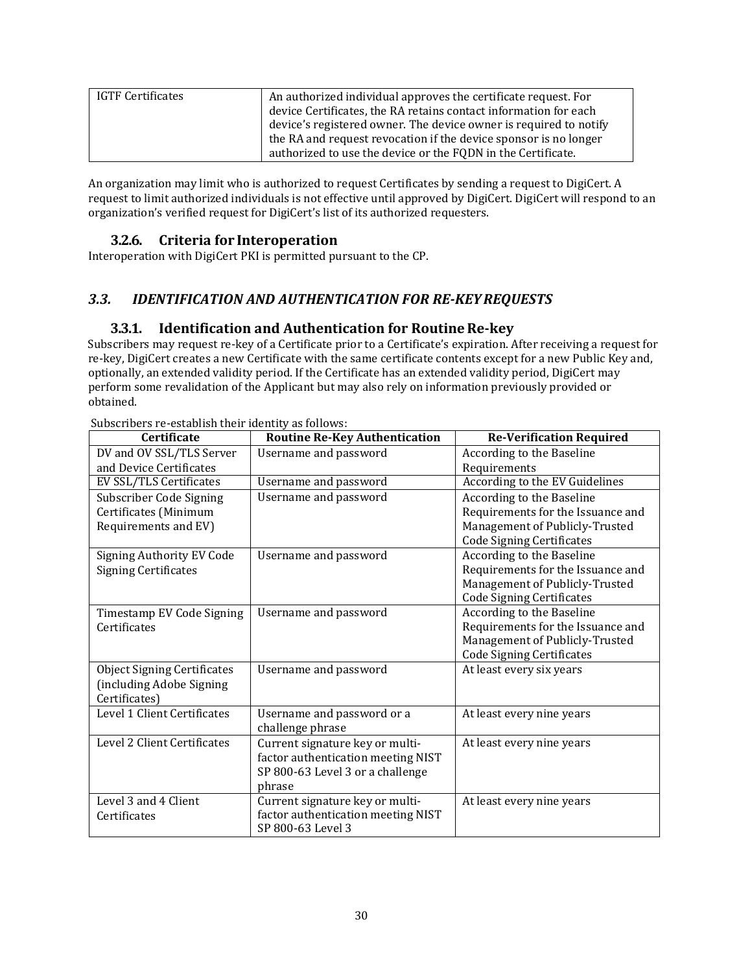| IGTF Certificates | An authorized individual approves the certificate request. For<br>device Certificates, the RA retains contact information for each<br>device's registered owner. The device owner is required to notify |
|-------------------|---------------------------------------------------------------------------------------------------------------------------------------------------------------------------------------------------------|
|                   | the RA and request revocation if the device sponsor is no longer<br>authorized to use the device or the FQDN in the Certificate.                                                                        |

An organization may limit who is authorized to request Certificates by sending a request to DigiCert. A request to limit authorized individuals is not effective until approved by DigiCert. DigiCert will respond to an organization's verified request for DigiCert's list of its authorized requesters.

## **3.2.6. Criteria for Interoperation**

<span id="page-29-0"></span>Interoperation with DigiCert PKI is permitted pursuant to the CP.

## <span id="page-29-2"></span><span id="page-29-1"></span>*3.3. IDENTIFICATION AND AUTHENTICATION FOR RE-KEYREQUESTS*

## **3.3.1. Identification and Authentication for RoutineRe-key**

Subscribers may request re-key of a Certificate prior to a Certificate's expiration. After receiving a request for re-key, DigiCert creates a new Certificate with the same certificate contents except for a new Public Key and, optionally, an extended validity period. If the Certificate has an extended validity period, DigiCert may perform some revalidation of the Applicant but may also rely on information previously provided or obtained.

| Certificate                        | <b>Routine Re-Key Authentication</b> | <b>Re-Verification Required</b>   |
|------------------------------------|--------------------------------------|-----------------------------------|
| DV and OV SSL/TLS Server           | Username and password                | According to the Baseline         |
| and Device Certificates            |                                      | Requirements                      |
| EV SSL/TLS Certificates            | Username and password                | According to the EV Guidelines    |
| Subscriber Code Signing            | Username and password                | According to the Baseline         |
| Certificates (Minimum              |                                      | Requirements for the Issuance and |
| Requirements and EV)               |                                      | Management of Publicly-Trusted    |
|                                    |                                      | <b>Code Signing Certificates</b>  |
| <b>Signing Authority EV Code</b>   | Username and password                | According to the Baseline         |
| <b>Signing Certificates</b>        |                                      | Requirements for the Issuance and |
|                                    |                                      | Management of Publicly-Trusted    |
|                                    |                                      | <b>Code Signing Certificates</b>  |
| Timestamp EV Code Signing          | Username and password                | According to the Baseline         |
| Certificates                       |                                      | Requirements for the Issuance and |
|                                    |                                      | Management of Publicly-Trusted    |
|                                    |                                      | <b>Code Signing Certificates</b>  |
| <b>Object Signing Certificates</b> | Username and password                | At least every six years          |
| (including Adobe Signing           |                                      |                                   |
| Certificates)                      |                                      |                                   |
| Level 1 Client Certificates        | Username and password or a           | At least every nine years         |
|                                    | challenge phrase                     |                                   |
| Level 2 Client Certificates        | Current signature key or multi-      | At least every nine years         |
|                                    | factor authentication meeting NIST   |                                   |
|                                    | SP 800-63 Level 3 or a challenge     |                                   |
|                                    | phrase                               |                                   |
| Level 3 and 4 Client               | Current signature key or multi-      | At least every nine years         |
| Certificates                       | factor authentication meeting NIST   |                                   |
|                                    | SP 800-63 Level 3                    |                                   |

Subscribers re-establish their identity as follows: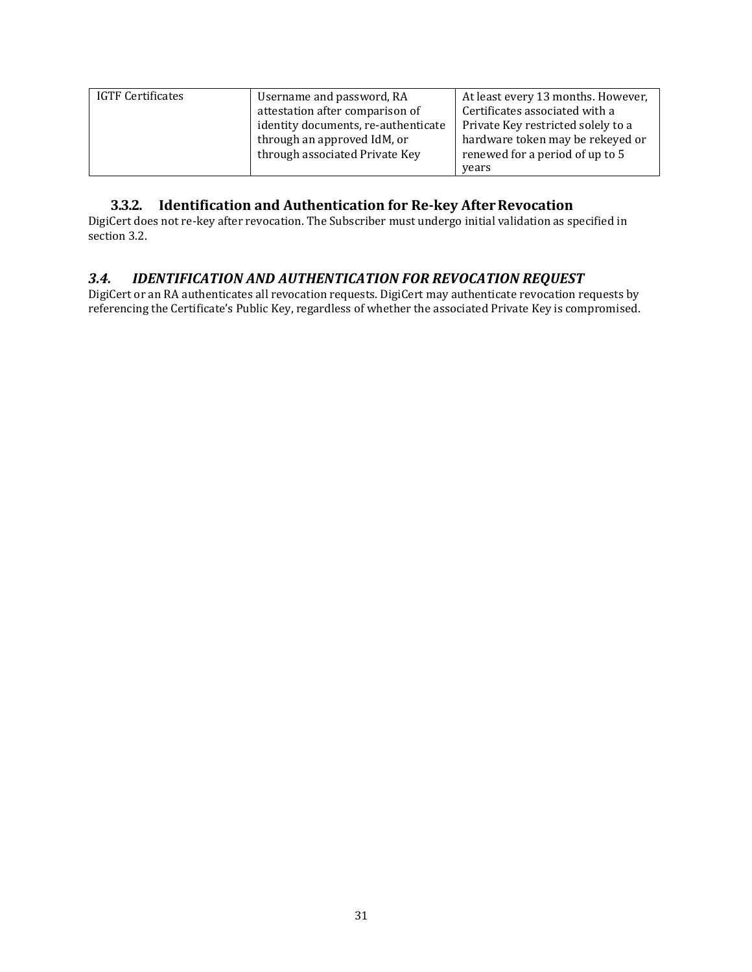| <b>IGTF Certificates</b> | Username and password, RA           | At least every 13 months. However, |
|--------------------------|-------------------------------------|------------------------------------|
|                          | attestation after comparison of     | Certificates associated with a     |
|                          | identity documents, re-authenticate | Private Key restricted solely to a |
|                          | through an approved IdM, or         | hardware token may be rekeyed or   |
|                          | through associated Private Key      | renewed for a period of up to 5    |
|                          |                                     | years                              |

## **3.3.2. Identification and Authentication for Re-key AfterRevocation**

<span id="page-30-0"></span>DigiCert does not re-key after revocation. The Subscriber must undergo initial validation as specified in section 3.2.

## <span id="page-30-1"></span>*3.4. IDENTIFICATION AND AUTHENTICATION FOR REVOCATION REQUEST*

DigiCert or an RA authenticates all revocation requests. DigiCert may authenticate revocation requests by referencing the Certificate's Public Key, regardless of whether the associated Private Key is compromised.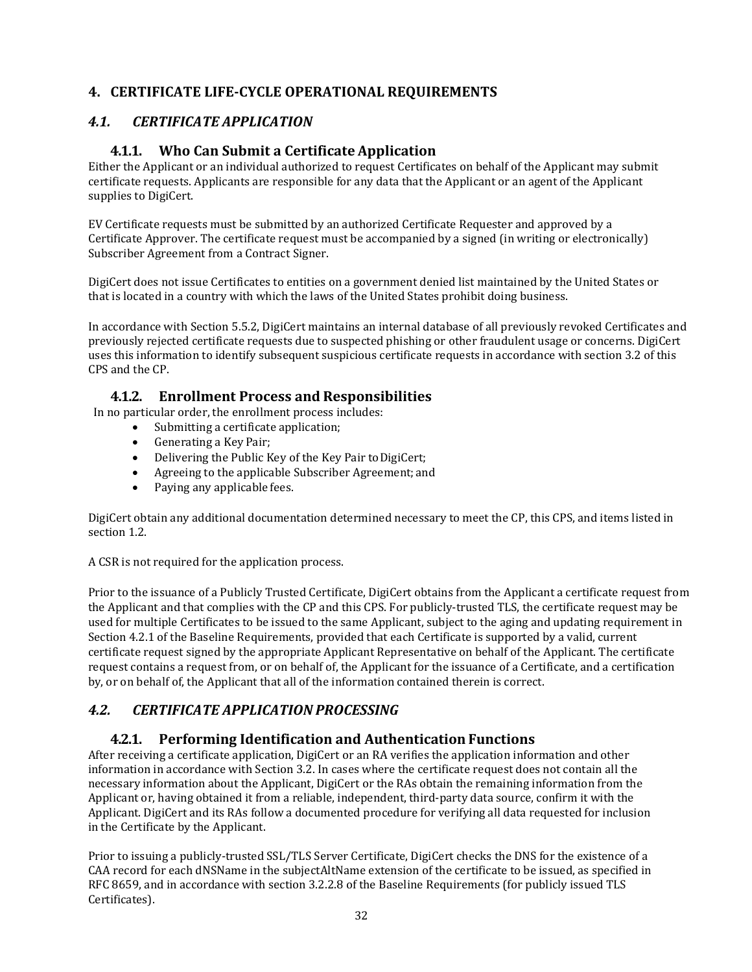## <span id="page-31-0"></span>**4. CERTIFICATE LIFE-CYCLE OPERATIONAL REQUIREMENTS**

## <span id="page-31-2"></span><span id="page-31-1"></span>*4.1. CERTIFICATE APPLICATION*

## **4.1.1. Who Can Submit a Certificate Application**

Either the Applicant or an individual authorized to request Certificates on behalf of the Applicant may submit certificate requests. Applicants are responsible for any data that the Applicant or an agent of the Applicant supplies to DigiCert.

EV Certificate requests must be submitted by an authorized Certificate Requester and approved by a Certificate Approver. The certificate request must be accompanied by a signed (in writing or electronically) Subscriber Agreement from a Contract Signer.

DigiCert does not issue Certificates to entities on a government denied list maintained by the United States or that is located in a country with which the laws of the United States prohibit doing business.

In accordance with Section 5.5.2, DigiCert maintains an internal database of all previously revoked Certificates and previously rejected certificate requests due to suspected phishing or other fraudulent usage or concerns. DigiCert uses this information to identify subsequent suspicious certificate requests in accordance with section 3.2 of this CPS and the CP.

#### **4.1.2. Enrollment Process and Responsibilities**

<span id="page-31-3"></span>In no particular order, the enrollment process includes:

- Submitting a certificate application;
- Generating a Key Pair;
- Delivering the Public Key of the Key Pair to DigiCert;
- Agreeing to the applicable Subscriber Agreement; and
- Paying any applicable fees.

DigiCert obtain any additional documentation determined necessary to meet the CP, this CPS, and items listed in section 1.2.

A CSR is not required for the application process.

Prior to the issuance of a Publicly Trusted Certificate, DigiCert obtains from the Applicant a certificate request from the Applicant and that complies with the CP and this CPS. For publicly-trusted TLS, the certificate request may be used for multiple Certificates to be issued to the same Applicant, subject to the aging and updating requirement in Section 4.2.1 of the Baseline Requirements, provided that each Certificate is supported by a valid, current certificate request signed by the appropriate Applicant Representative on behalf of the Applicant. The certificate request contains a request from, or on behalf of, the Applicant for the issuance of a Certificate, and a certification by, or on behalf of, the Applicant that all of the information contained therein is correct.

## <span id="page-31-5"></span><span id="page-31-4"></span>*4.2. CERTIFICATE APPLICATION PROCESSING*

## **4.2.1. Performing Identification and Authentication Functions**

After receiving a certificate application, DigiCert or an RA verifies the application information and other information in accordance with Section 3.2. In cases where the certificate request does not contain all the necessary information about the Applicant, DigiCert or the RAs obtain the remaining information from the Applicant or, having obtained it from a reliable, independent, third-party data source, confirm it with the Applicant. DigiCert and its RAs follow a documented procedure for verifying all data requested for inclusion in the Certificate by the Applicant.

Prior to issuing a publicly-trusted SSL/TLS Server Certificate, DigiCert checks the DNS for the existence of a CAA record for each dNSName in the subjectAltName extension of the certificate to be issued, as specified in RFC 8659, and in accordance with section 3.2.2.8 of the Baseline Requirements (for publicly issued TLS Certificates).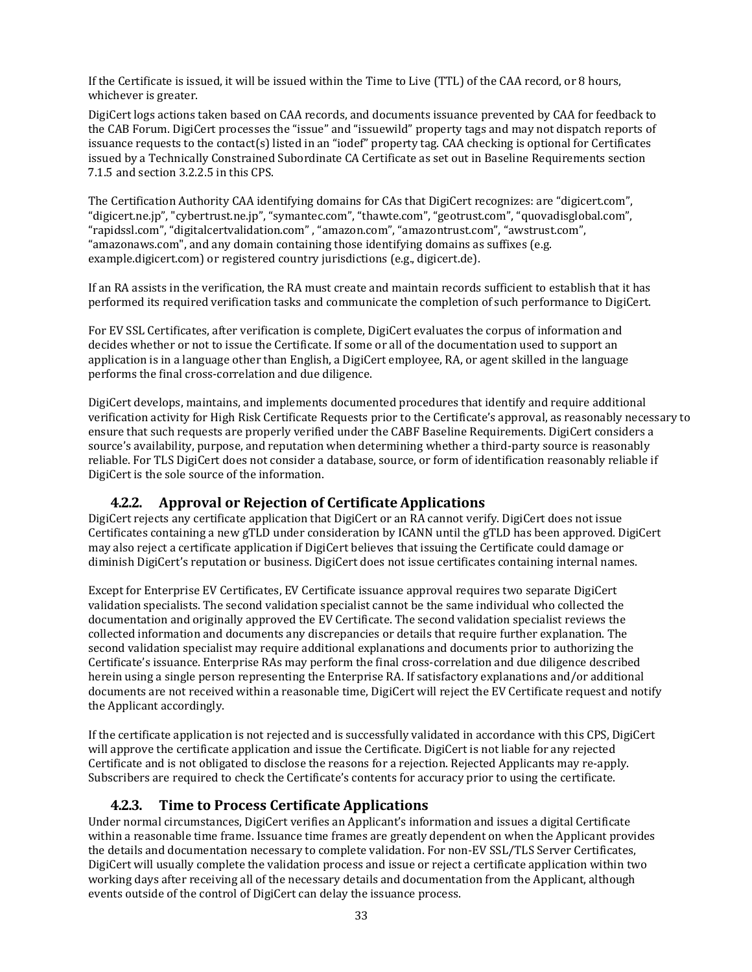If the Certificate is issued, it will be issued within the Time to Live (TTL) of the CAA record, or 8 hours, whichever is greater.

DigiCert logs actions taken based on CAA records, and documents issuance prevented by CAA for feedback to the CAB Forum. DigiCert processes the "issue" and "issuewild" property tags and may not dispatch reports of issuance requests to the contact(s) listed in an "iodef" property tag. CAA checking is optional for Certificates issued by a Technically Constrained Subordinate CA Certificate as set out in Baseline Requirements section 7.1.5 and section 3.2.2.5 in this CPS.

The Certification Authority CAA identifying domains for CAs that DigiCert recognizes: are "digicert.com", "digicert.ne.jp", "cybertrust.ne.jp", "symantec.com", "thawte.com", "geotrust.com", "quovadisglobal.com", "rapidssl.com", "digitalcertvalidation.com" , "amazon.com", "amazontrust.com", "awstrust.com", "amazonaws.com", and any domain containing those identifying domains as suffixes (e.g. example.digicert.com) or registered country jurisdictions (e.g., digicert.de).

If an RA assists in the verification, the RA must create and maintain records sufficient to establish that it has performed its required verification tasks and communicate the completion of such performance to DigiCert.

For EV SSL Certificates, after verification is complete, DigiCert evaluates the corpus of information and decides whether or not to issue the Certificate. If some or all of the documentation used to support an application is in a language other than English, a DigiCert employee, RA, or agent skilled in the language performs the final cross-correlation and due diligence.

DigiCert develops, maintains, and implements documented procedures that identify and require additional verification activity for High Risk Certificate Requests prior to the Certificate's approval, as reasonably necessary to ensure that such requests are properly verified under the CABF Baseline Requirements. DigiCert considers a source's availability, purpose, and reputation when determining whether a third-party source is reasonably reliable. For TLS DigiCert does not consider a database, source, or form of identification reasonably reliable if DigiCert is the sole source of the information.

#### **4.2.2. Approval or Rejection of Certificate Applications**

<span id="page-32-0"></span>DigiCert rejects any certificate application that DigiCert or an RA cannot verify. DigiCert does not issue Certificates containing a new gTLD under consideration by ICANN until the gTLD has been approved. DigiCert may also reject a certificate application if DigiCert believes that issuing the Certificate could damage or diminish DigiCert's reputation or business. DigiCert does not issue certificates containing internal names.

Except for Enterprise EV Certificates, EV Certificate issuance approval requires two separate DigiCert validation specialists. The second validation specialist cannot be the same individual who collected the documentation and originally approved the EV Certificate. The second validation specialist reviews the collected information and documents any discrepancies or details that require further explanation. The second validation specialist may require additional explanations and documents prior to authorizing the Certificate's issuance. Enterprise RAs may perform the final cross-correlation and due diligence described herein using a single person representing the Enterprise RA. If satisfactory explanations and/or additional documents are not received within a reasonable time, DigiCert will reject the EV Certificate request and notify the Applicant accordingly.

If the certificate application is not rejected and is successfully validated in accordance with this CPS, DigiCert will approve the certificate application and issue the Certificate. DigiCert is not liable for any rejected Certificate and is not obligated to disclose the reasons for a rejection. Rejected Applicants may re-apply. Subscribers are required to check the Certificate's contents for accuracy prior to using the certificate.

#### **4.2.3. Time to Process Certificate Applications**

<span id="page-32-1"></span>Under normal circumstances, DigiCert verifies an Applicant's information and issues a digital Certificate within a reasonable time frame. Issuance time frames are greatly dependent on when the Applicant provides the details and documentation necessary to complete validation. For non-EV SSL/TLS Server Certificates, DigiCert will usually complete the validation process and issue or reject a certificate application within two working days after receiving all of the necessary details and documentation from the Applicant, although events outside of the control of DigiCert can delay the issuance process.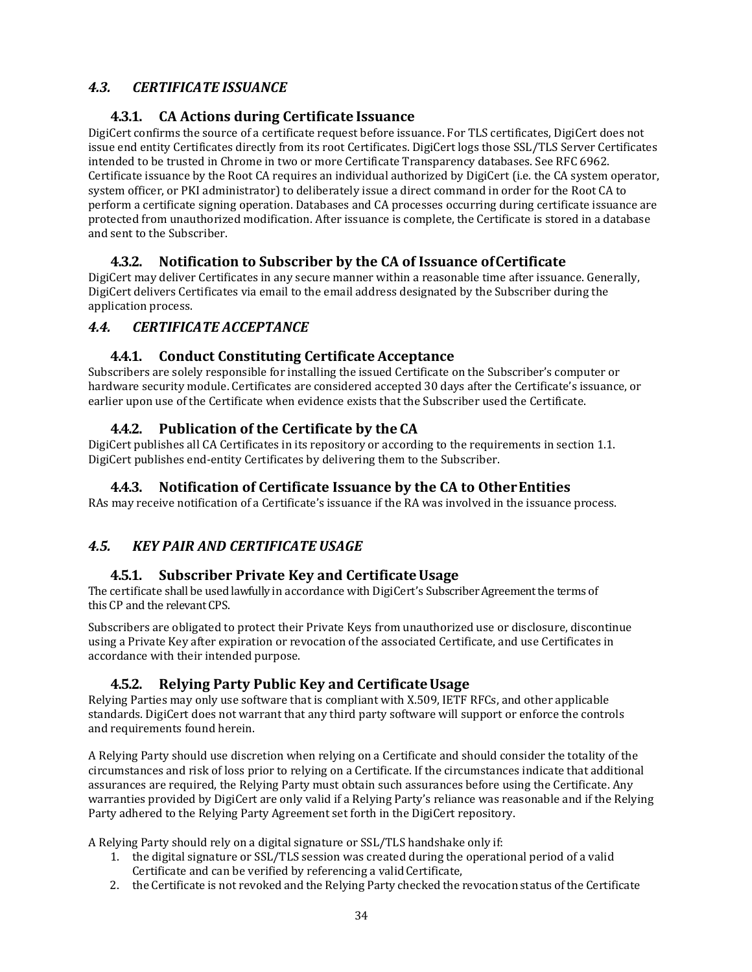# <span id="page-33-1"></span><span id="page-33-0"></span>*4.3. CERTIFICATE ISSUANCE*

## **4.3.1. CA Actions during Certificate Issuance**

DigiCert confirms the source of a certificate request before issuance. For TLS certificates, DigiCert does not issue end entity Certificates directly from its root Certificates. DigiCert logs those SSL/TLS Server Certificates intended to be trusted in Chrome in two or more Certificate Transparency databases. See RFC 6962. Certificate issuance by the Root CA requires an individual authorized by DigiCert (i.e. the CA system operator, system officer, or PKI administrator) to deliberately issue a direct command in order for the Root CA to perform a certificate signing operation. Databases and CA processes occurring during certificate issuance are protected from unauthorized modification. After issuance is complete, the Certificate is stored in a database and sent to the Subscriber.

## **4.3.2. Notification to Subscriber by the CA of Issuance ofCertificate**

<span id="page-33-2"></span>DigiCert may deliver Certificates in any secure manner within a reasonable time after issuance. Generally, DigiCert delivers Certificates via email to the email address designated by the Subscriber during the application process.

## <span id="page-33-4"></span><span id="page-33-3"></span>*4.4. CERTIFICATE ACCEPTANCE*

#### **4.4.1. Conduct Constituting Certificate Acceptance**

Subscribers are solely responsible for installing the issued Certificate on the Subscriber's computer or hardware security module. Certificates are considered accepted 30 days after the Certificate's issuance, or earlier upon use of the Certificate when evidence exists that the Subscriber used the Certificate.

## **4.4.2. Publication of the Certificate by the CA**

<span id="page-33-6"></span><span id="page-33-5"></span>DigiCert publishes all CA Certificates in its repository or according to the requirements in section 1.1. DigiCert publishes end-entity Certificates by delivering them to the Subscriber.

#### **4.4.3. Notification of Certificate Issuance by the CA to OtherEntities**

RAs may receive notification of a Certificate's issuance if the RA was involved in the issuance process.

## <span id="page-33-8"></span><span id="page-33-7"></span>*4.5. KEY PAIR AND CERTIFICATE USAGE*

#### **4.5.1. Subscriber Private Key and CertificateUsage**

The certificate shall be used lawfully in accordance with DigiCert's Subscriber Agreement the terms of this CP and the relevant CPS.

Subscribers are obligated to protect their Private Keys from unauthorized use or disclosure, discontinue using a Private Key after expiration or revocation of the associated Certificate, and use Certificates in accordance with their intended purpose.

#### **4.5.2. Relying Party Public Key and CertificateUsage**

<span id="page-33-9"></span>Relying Parties may only use software that is compliant with X.509, IETF RFCs, and other applicable standards. DigiCert does not warrant that any third party software will support or enforce the controls and requirements found herein.

A Relying Party should use discretion when relying on a Certificate and should consider the totality of the circumstances and risk of loss prior to relying on a Certificate. If the circumstances indicate that additional assurances are required, the Relying Party must obtain such assurances before using the Certificate. Any warranties provided by DigiCert are only valid if a Relying Party's reliance was reasonable and if the Relying Party adhered to the Relying Party Agreement set forth in the DigiCert repository.

A Relying Party should rely on a digital signature or SSL/TLS handshake only if:

- 1. the digital signature or SSL/TLS session was created during the operational period of a valid Certificate and can be verified by referencing a validCertificate,
- 2. the Certificate is not revoked and the Relying Party checked the revocation status of the Certificate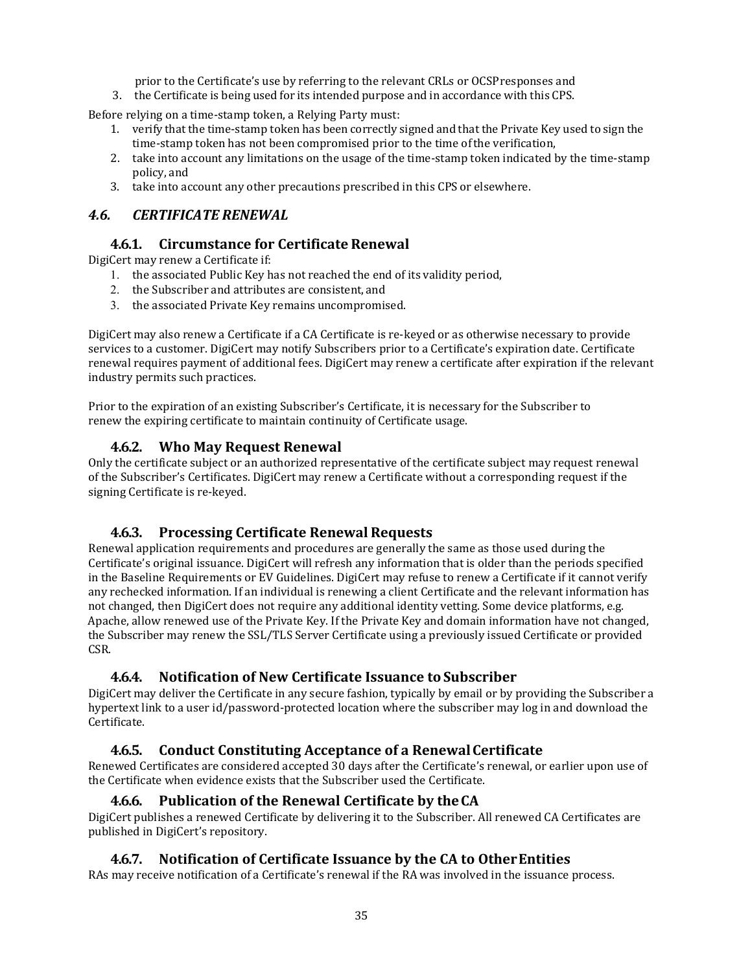prior to the Certificate's use by referring to the relevant CRLs or OCSPresponses and

3. the Certificate is being used for its intended purpose and in accordance with this CPS.

Before relying on a time-stamp token, a Relying Party must:

- 1. verify that the time-stamp token has been correctly signed and that the Private Key used to sign the time-stamp token has not been compromised prior to the time ofthe verification,
- 2. take into account any limitations on the usage of the time-stamp token indicated by the time-stamp policy, and
- 3. take into account any other precautions prescribed in this CPS or elsewhere.

## <span id="page-34-1"></span><span id="page-34-0"></span>*4.6. CERTIFICATE RENEWAL*

#### **4.6.1. Circumstance for Certificate Renewal**

DigiCert may renew a Certificate if:

- 1. the associated Public Key has not reached the end of its validity period,
- 2. the Subscriber and attributes are consistent, and
- 3. the associated Private Key remains uncompromised.

DigiCert may also renew a Certificate if a CA Certificate is re-keyed or as otherwise necessary to provide services to a customer. DigiCert may notify Subscribers prior to a Certificate's expiration date. Certificate renewal requires payment of additional fees. DigiCert may renew a certificate after expiration if the relevant industry permits such practices.

<span id="page-34-2"></span>Prior to the expiration of an existing Subscriber's Certificate, it is necessary for the Subscriber to renew the expiring certificate to maintain continuity of Certificate usage.

## **4.6.2. Who May Request Renewal**

Only the certificate subject or an authorized representative of the certificate subject may request renewal of the Subscriber's Certificates. DigiCert may renew a Certificate without a corresponding request if the signing Certificate is re-keyed.

## **4.6.3. Processing Certificate Renewal Requests**

<span id="page-34-3"></span>Renewal application requirements and procedures are generally the same as those used during the Certificate's original issuance. DigiCert will refresh any information that is older than the periods specified in the Baseline Requirements or EV Guidelines. DigiCert may refuse to renew a Certificate if it cannot verify any rechecked information. If an individual is renewing a client Certificate and the relevant information has not changed, then DigiCert does not require any additional identity vetting. Some device platforms, e.g. Apache, allow renewed use of the Private Key. If the Private Key and domain information have not changed, the Subscriber may renew the SSL/TLS Server Certificate using a previously issued Certificate or provided CSR.

## **4.6.4. Notification of New Certificate Issuance toSubscriber**

<span id="page-34-4"></span>DigiCert may deliver the Certificate in any secure fashion, typically by email or by providing the Subscriber a hypertext link to a user id/password-protected location where the subscriber may log in and download the Certificate.

## **4.6.5. Conduct Constituting Acceptance of a RenewalCertificate**

<span id="page-34-5"></span>Renewed Certificates are considered accepted 30 days after the Certificate's renewal, or earlier upon use of the Certificate when evidence exists that the Subscriber used the Certificate.

#### **4.6.6. Publication of the Renewal Certificate by theCA**

<span id="page-34-7"></span><span id="page-34-6"></span>DigiCert publishes a renewed Certificate by delivering it to the Subscriber. All renewed CA Certificates are published in DigiCert's repository.

## **4.6.7. Notification of Certificate Issuance by the CA to OtherEntities**

RAs may receive notification of a Certificate's renewal if the RA was involved in the issuance process.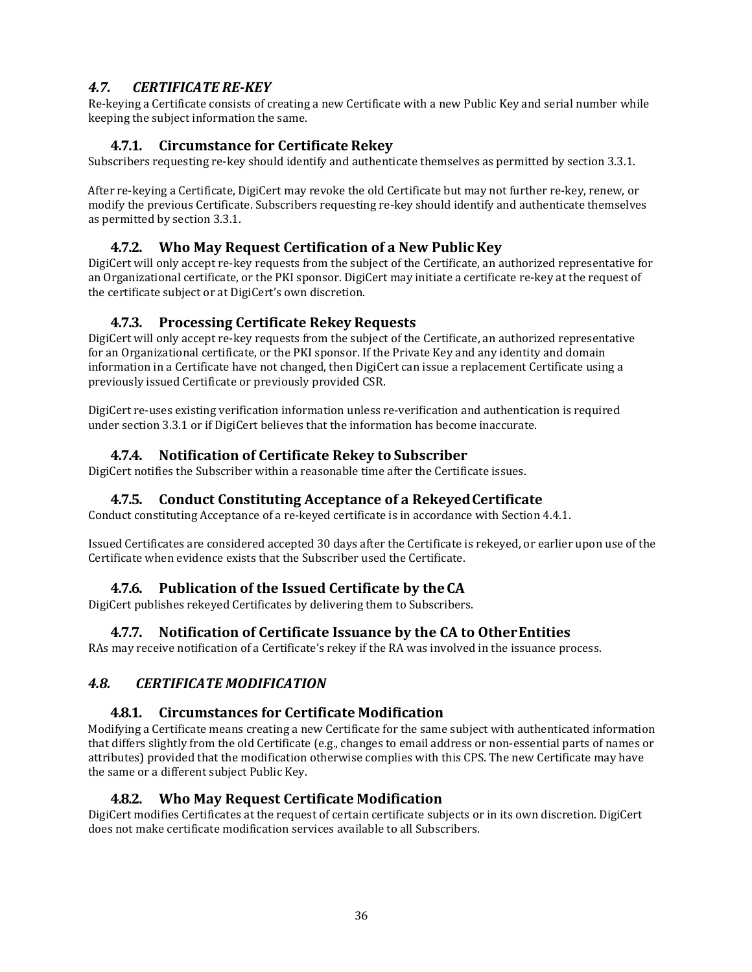## <span id="page-35-0"></span>*4.7. CERTIFICATE RE-KEY*

<span id="page-35-1"></span>Re-keying a Certificate consists of creating a new Certificate with a new Public Key and serial number while keeping the subject information the same.

## **4.7.1. Circumstance for Certificate Rekey**

Subscribers requesting re-key should identify and authenticate themselves as permitted by section 3.3.1.

After re-keying a Certificate, DigiCert may revoke the old Certificate but may not further re-key, renew, or modify the previous Certificate. Subscribers requesting re-key should identify and authenticate themselves as permitted by section 3.3.1.

## **4.7.2. Who May Request Certification of a New PublicKey**

<span id="page-35-2"></span>DigiCert will only accept re-key requests from the subject of the Certificate, an authorized representative for an Organizational certificate, or the PKI sponsor. DigiCert may initiate a certificate re-key at the request of the certificate subject or at DigiCert's own discretion.

#### **4.7.3. Processing Certificate Rekey Requests**

<span id="page-35-3"></span>DigiCert will only accept re-key requests from the subject of the Certificate, an authorized representative for an Organizational certificate, or the PKI sponsor. If the Private Key and any identity and domain information in a Certificate have not changed, then DigiCert can issue a replacement Certificate using a previously issued Certificate or previously provided CSR.

DigiCert re-uses existing verification information unless re-verification and authentication is required under section 3.3.1 or if DigiCert believes that the information has become inaccurate.

## **4.7.4. Notification of Certificate Rekey to Subscriber**

<span id="page-35-4"></span>DigiCert notifies the Subscriber within a reasonable time after the Certificate issues.

#### **4.7.5. Conduct Constituting Acceptance of a RekeyedCertificate**

<span id="page-35-5"></span>Conduct constituting Acceptance of a re-keyed certificate is in accordance with Section 4.4.1.

Issued Certificates are considered accepted 30 days after the Certificate is rekeyed, or earlier upon use of the Certificate when evidence exists that the Subscriber used the Certificate.

#### **4.7.6. Publication of the Issued Certificate by theCA**

<span id="page-35-6"></span>DigiCert publishes rekeyed Certificates by delivering them to Subscribers.

#### **4.7.7. Notification of Certificate Issuance by the CA to OtherEntities**

<span id="page-35-7"></span>RAs may receive notification of a Certificate's rekey if the RA was involved in the issuance process.

#### <span id="page-35-9"></span><span id="page-35-8"></span>*4.8. CERTIFICATE MODIFICATION*

#### **4.8.1. Circumstances for Certificate Modification**

Modifying a Certificate means creating a new Certificate for the same subject with authenticated information that differs slightly from the old Certificate (e.g., changes to email address or non-essential parts of names or attributes) provided that the modification otherwise complies with this CPS. The new Certificate may have the same or a different subject Public Key.

#### **4.8.2. Who May Request Certificate Modification**

<span id="page-35-10"></span>DigiCert modifies Certificates at the request of certain certificate subjects or in its own discretion. DigiCert does not make certificate modification services available to all Subscribers.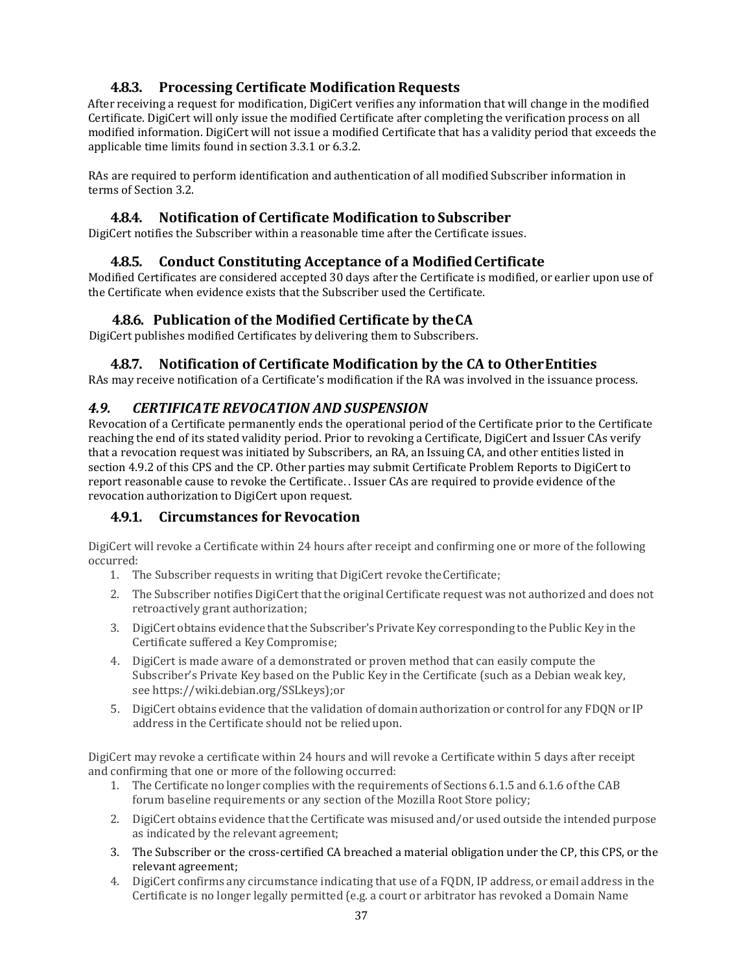## **4.8.3. Processing Certificate Modification Requests**

After receiving a request for modification, DigiCert verifies any information that will change in the modified Certificate. DigiCert will only issue the modified Certificate after completing the verification process on all modified information. DigiCert will not issue a modified Certificate that has a validity period that exceeds the applicable time limits found in section 3.3.1 or 6.3.2.

RAs are required to perform identification and authentication of all modified Subscriber information in terms of Section 3.2.

### **4.8.4. Notification of Certificate Modification to Subscriber**

DigiCert notifies the Subscriber within a reasonable time after the Certificate issues.

#### **4.8.5. Conduct Constituting Acceptance of a ModifiedCertificate**

Modified Certificates are considered accepted 30 days after the Certificate is modified, or earlier upon use of the Certificate when evidence exists that the Subscriber used the Certificate.

### **4.8.6. Publication of the Modified Certificate by theCA**

DigiCert publishes modified Certificates by delivering them to Subscribers.

#### **4.8.7. Notification of Certificate Modification by the CA to OtherEntities**

RAs may receive notification of a Certificate's modification if the RA was involved in the issuance process.

#### *4.9. CERTIFICATE REVOCATION AND SUSPENSION*

Revocation of a Certificate permanently ends the operational period of the Certificate prior to the Certificate reaching the end of its stated validity period. Prior to revoking a Certificate, DigiCert and Issuer CAs verify that a revocation request was initiated by Subscribers, an RA, an Issuing CA, and other entities listed in section 4.9.2 of this CPS and the CP. Other parties may submit Certificate Problem Reports to DigiCert to report reasonable cause to revoke the Certificate. . Issuer CAs are required to provide evidence of the revocation authorization to DigiCert upon request.

### **4.9.1. Circumstances for Revocation**

DigiCert will revoke a Certificate within 24 hours after receipt and confirming one or more of the following occurred:

- 1. The Subscriber requests in writing that DigiCert revoke theCertificate;
- 2. The Subscriber notifies DigiCert that the original Certificate request was not authorized and does not retroactively grant authorization;
- 3. DigiCert obtains evidence that the Subscriber's Private Key corresponding to the Public Key in the Certificate suffered a Key Compromise;
- 4. DigiCert is made aware of a demonstrated or proven method that can easily compute the Subscriber's Private Key based on the Public Key in the Certificate (such as a Debian weak key, see https://wiki.debian.org/SSLkeys);or
- 5. DigiCert obtains evidence that the validation of domain authorization or control for any FDQN or IP address in the Certificate should not be relied upon.

DigiCert may revoke a certificate within 24 hours and will revoke a Certificate within 5 days after receipt and confirming that one or more of the following occurred:

- 1. The Certificate no longer complies with the requirements of Sections 6.1.5 and 6.1.6 ofthe CAB forum baseline requirements or any section of the Mozilla Root Store policy;
- 2. DigiCert obtains evidence that the Certificate was misused and/or used outside the intended purpose as indicated by the relevant agreement;
- 3. The Subscriber or the cross-certified CA breached a material obligation under the CP, this CPS, or the relevant agreement;
- 4. DigiCert confirms any circumstance indicating that use of a FQDN, IP address, or email address in the Certificate is no longer legally permitted (e.g. a court or arbitrator has revoked a Domain Name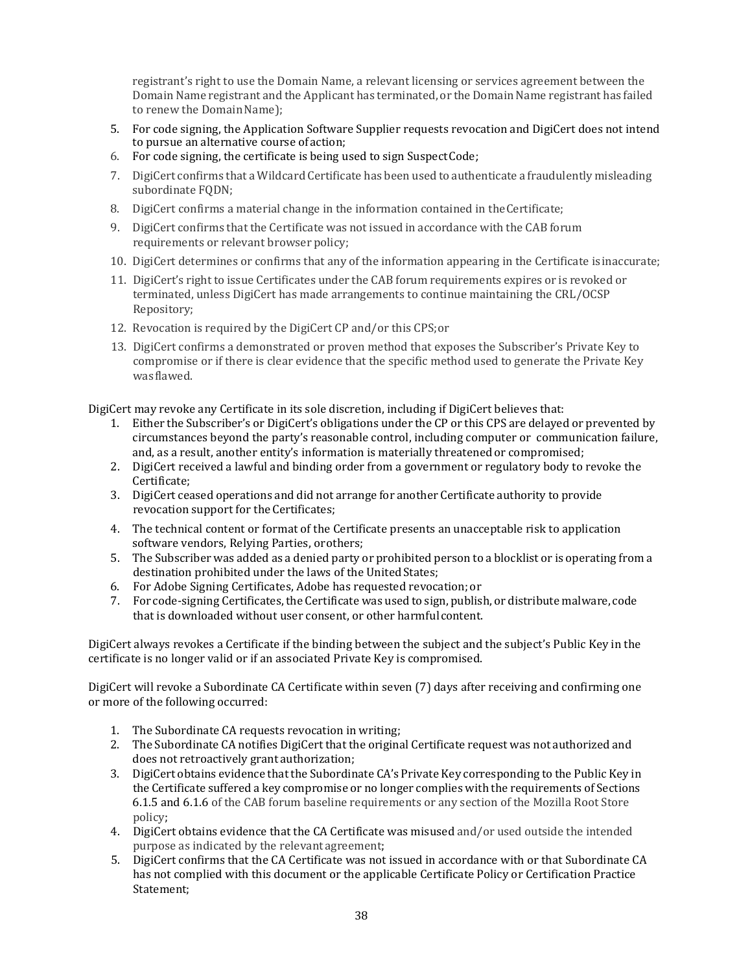registrant's right to use the Domain Name, a relevant licensing or services agreement between the Domain Name registrant and the Applicant has terminated, or the Domain Name registrant has failed to renew the Domain Name):

- 5. For code signing, the Application Software Supplier requests revocation and DigiCert does not intend to pursue an alternative course ofaction;
- 6. For code signing, the certificate is being used to sign SuspectCode;
- 7. DigiCert confirms that a Wildcard Certificate has been used to authenticate a fraudulently misleading subordinate FQDN;
- 8. DigiCert confirms a material change in the information contained in theCertificate;
- 9. DigiCert confirms that the Certificate was not issued in accordance with the CAB forum requirements or relevant browser policy;
- 10. DigiCert determines or confirms that any of the information appearing in the Certificate is inaccurate;
- 11. DigiCert's right to issue Certificates under the CAB forum requirements expires or is revoked or terminated, unless DigiCert has made arrangements to continue maintaining the CRL/OCSP Repository;
- 12. Revocation is required by the DigiCert CP and/or this CPS;or
- 13. DigiCert confirms a demonstrated or proven method that exposes the Subscriber's Private Key to compromise or if there is clear evidence that the specific method used to generate the Private Key wasflawed.

DigiCert may revoke any Certificate in its sole discretion, including if DigiCert believes that:

- 1. Either the Subscriber's or DigiCert's obligations under the CP or this CPS are delayed or prevented by circumstances beyond the party's reasonable control, including computer or communication failure, and, as a result, another entity's information is materially threatened or compromised;
- 2. DigiCert received a lawful and binding order from a government or regulatory body to revoke the Certificate;
- 3. DigiCert ceased operations and did not arrange for another Certificate authority to provide revocation support for the Certificates;
- 4. The technical content or format of the Certificate presents an unacceptable risk to application software vendors, Relying Parties, orothers;
- 5. The Subscriber was added as a denied party or prohibited person to a blocklist or is operating from a destination prohibited under the laws of the United States;
- 6. For Adobe Signing Certificates, Adobe has requested revocation; or
- 7. For code-signing Certificates, the Certificate was used to sign, publish, or distribute malware, code that is downloaded without user consent, or other harmfulcontent.

DigiCert always revokes a Certificate if the binding between the subject and the subject's Public Key in the certificate is no longer valid or if an associated Private Key is compromised.

DigiCert will revoke a Subordinate CA Certificate within seven (7) days after receiving and confirming one or more of the following occurred:

- 1. The Subordinate CA requests revocation in writing;
- 2. The Subordinate CA notifies DigiCert that the original Certificate request was not authorized and does not retroactively grant authorization;
- 3. DigiCert obtains evidence that the Subordinate CA's Private Key corresponding to the Public Key in the Certificate suffered a key compromise or no longer complies with the requirements of Sections 6.1.5 and 6.1.6 of the CAB forum baseline requirements or any section of the Mozilla Root Store policy;
- 4. DigiCert obtains evidence that the CA Certificate was misused and/or used outside the intended purpose as indicated by the relevant agreement;
- 5. DigiCert confirms that the CA Certificate was not issued in accordance with or that Subordinate CA has not complied with this document or the applicable Certificate Policy or Certification Practice Statement;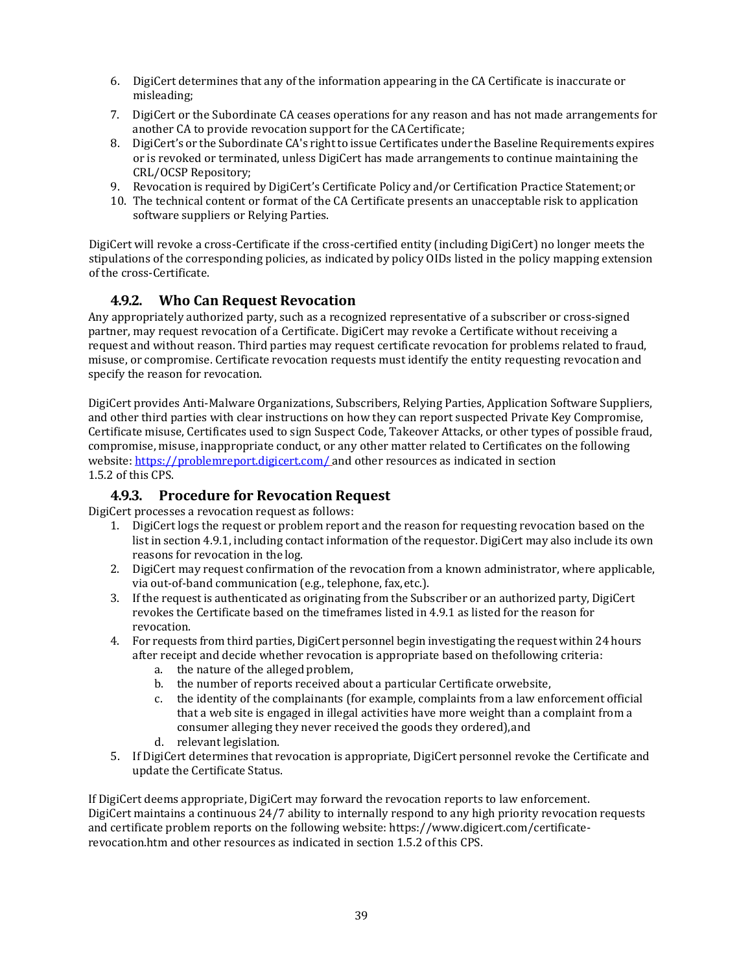- 6. DigiCert determines that any of the information appearing in the CA Certificate is inaccurate or misleading;
- 7. DigiCert or the Subordinate CA ceases operations for any reason and has not made arrangements for another CA to provide revocation support for the CACertificate;
- 8. DigiCert's or the Subordinate CA's right to issue Certificates under the Baseline Requirements expires or is revoked or terminated, unless DigiCert has made arrangements to continue maintaining the CRL/OCSP Repository;
- 9. Revocation is required by DigiCert's Certificate Policy and/or Certification Practice Statement;or
- 10. The technical content or format of the CA Certificate presents an unacceptable risk to application software suppliers or Relying Parties.

DigiCert will revoke a cross-Certificate if the cross-certified entity (including DigiCert) no longer meets the stipulations of the corresponding policies, as indicated by policy OIDs listed in the policy mapping extension of the cross-Certificate.

### **4.9.2. Who Can Request Revocation**

Any appropriately authorized party, such as a recognized representative of a subscriber or cross-signed partner, may request revocation of a Certificate. DigiCert may revoke a Certificate without receiving a request and without reason. Third parties may request certificate revocation for problems related to fraud, misuse, or compromise. Certificate revocation requests must identify the entity requesting revocation and specify the reason for revocation.

DigiCert provides Anti-Malware Organizations, Subscribers, Relying Parties, Application Software Suppliers, and other third parties with clear instructions on how they can report suspected Private Key Compromise, Certificate misuse, Certificates used to sign Suspect Code, Takeover Attacks, or other types of possible fraud, compromise, misuse, inappropriate conduct, or any other matter related to Certificates on the following website:<https://problemreport.digicert.com/> and other resources as indicated in section 1.5.2 of this CPS.

#### **4.9.3. Procedure for Revocation Request**

DigiCert processes a revocation request as follows:

- 1. DigiCert logs the request or problem report and the reason for requesting revocation based on the list in section 4.9.1, including contact information of the requestor. DigiCert may also include its own reasons for revocation in the log.
- 2. DigiCert may request confirmation of the revocation from a known administrator, where applicable, via out-of-band communication (e.g., telephone, fax,etc.).
- 3. If the request is authenticated as originating from the Subscriber or an authorized party, DigiCert revokes the Certificate based on the timeframes listed in 4.9.1 as listed for the reason for revocation.
- 4. For requests from third parties, DigiCert personnel begin investigating the request within 24 hours after receipt and decide whether revocation is appropriate based on thefollowing criteria:
	- a. the nature of the alleged problem,
	- b. the number of reports received about a particular Certificate orwebsite,
	- c. the identity of the complainants (for example, complaints from a law enforcement official that a web site is engaged in illegal activities have more weight than a complaint from a consumer alleging they never received the goods they ordered),and
	- d. relevant legislation.
- 5. If DigiCert determines that revocation is appropriate, DigiCert personnel revoke the Certificate and update the Certificate Status.

If DigiCert deems appropriate, DigiCert may forward the revocation reports to law enforcement. DigiCert maintains a continuous 24/7 ability to internally respond to any high priority revocation requests and certificate problem reports on the following website: https:/[/www.digicert.com/certificate](http://www.digicert.com/certificate-revocation.htm)[revocation.htm a](http://www.digicert.com/certificate-revocation.htm)nd other resources as indicated in section 1.5.2 of this CPS.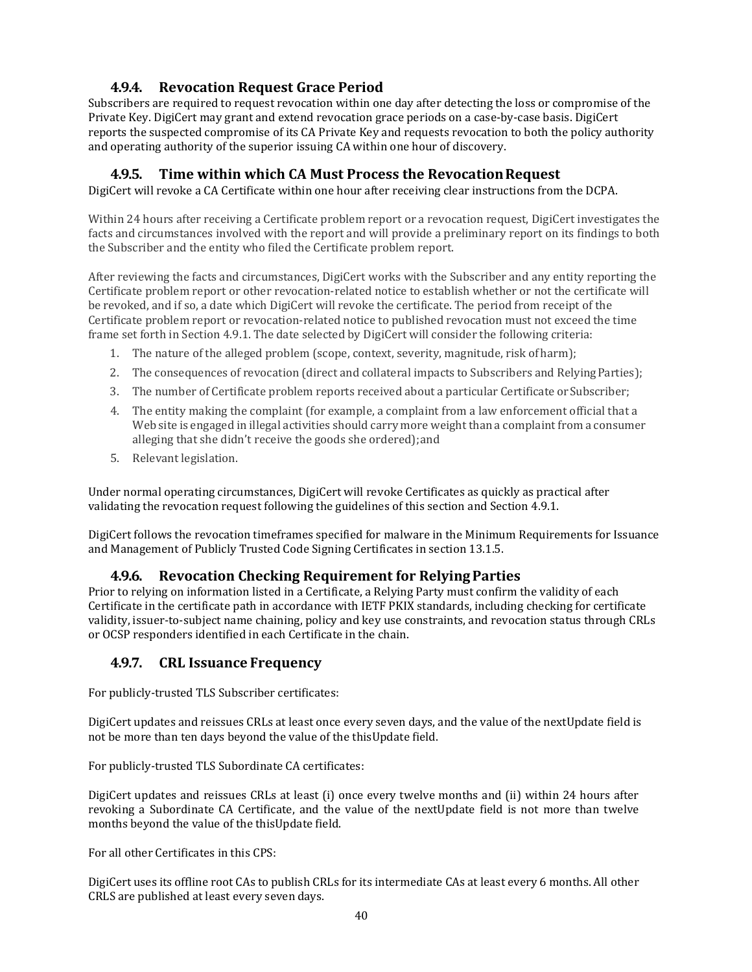## **4.9.4. Revocation Request Grace Period**

Subscribers are required to request revocation within one day after detecting the loss or compromise of the Private Key. DigiCert may grant and extend revocation grace periods on a case-by-case basis. DigiCert reports the suspected compromise of its CA Private Key and requests revocation to both the policy authority and operating authority of the superior issuing CA within one hour of discovery.

## **4.9.5. Time within which CA Must Process the RevocationRequest**

DigiCert will revoke a CA Certificate within one hour after receiving clear instructions from the DCPA.

Within 24 hours after receiving a Certificate problem report or a revocation request, DigiCert investigates the facts and circumstances involved with the report and will provide a preliminary report on its findings to both the Subscriber and the entity who filed the Certificate problem report.

After reviewing the facts and circumstances, DigiCert works with the Subscriber and any entity reporting the Certificate problem report or other revocation-related notice to establish whether or not the certificate will be revoked, and if so, a date which DigiCert will revoke the certificate. The period from receipt of the Certificate problem report or revocation-related notice to published revocation must not exceed the time frame set forth in Section 4.9.1. The date selected by DigiCert will consider the following criteria:

- 1. The nature of the alleged problem (scope, context, severity, magnitude, risk ofharm);
- 2. The consequences of revocation (direct and collateral impacts to Subscribers and RelyingParties);
- 3. The number of Certificate problem reports received about a particular Certificate orSubscriber;
- 4. The entity making the complaint (for example, a complaint from a law enforcement official that a Web site is engaged in illegal activities should carry more weight than a complaint from a consumer alleging that she didn't receive the goods she ordered);and
- 5. Relevant legislation.

Under normal operating circumstances, DigiCert will revoke Certificates as quickly as practical after validating the revocation request following the guidelines of this section and Section 4.9.1.

DigiCert follows the revocation timeframes specified for malware in the Minimum Requirements for Issuance and Management of Publicly Trusted Code Signing Certificates in section 13.1.5.

### **4.9.6. Revocation Checking Requirement for RelyingParties**

Prior to relying on information listed in a Certificate, a Relying Party must confirm the validity of each Certificate in the certificate path in accordance with IETF PKIX standards, including checking for certificate validity, issuer-to-subject name chaining, policy and key use constraints, and revocation status through CRLs or OCSP responders identified in each Certificate in the chain.

### **4.9.7. CRL Issuance Frequency**

For publicly-trusted TLS Subscriber certificates:

DigiCert updates and reissues CRLs at least once every seven days, and the value of the nextUpdate field is not be more than ten days beyond the value of the thisUpdate field.

For publicly-trusted TLS Subordinate CA certificates:

DigiCert updates and reissues CRLs at least (i) once every twelve months and (ii) within 24 hours after revoking a Subordinate CA Certificate, and the value of the nextUpdate field is not more than twelve months beyond the value of the thisUpdate field.

For all other Certificates in this CPS:

DigiCert uses its offline root CAs to publish CRLs for its intermediate CAs at least every 6 months. All other CRLS are published at least every seven days.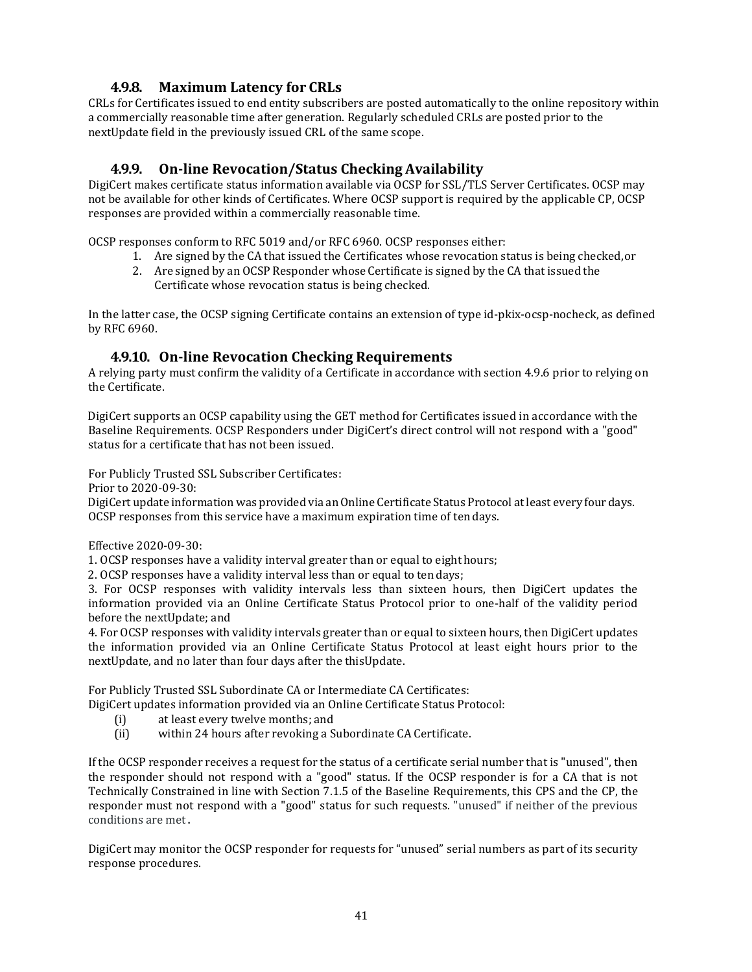## **4.9.8. Maximum Latency for CRLs**

CRLs for Certificates issued to end entity subscribers are posted automatically to the online repository within a commercially reasonable time after generation. Regularly scheduled CRLs are posted prior to the nextUpdate field in the previously issued CRL of the same scope.

### **4.9.9. On-line Revocation/Status Checking Availability**

DigiCert makes certificate status information available via OCSP for SSL/TLS Server Certificates. OCSP may not be available for other kinds of Certificates. Where OCSP support is required by the applicable CP, OCSP responses are provided within a commercially reasonable time.

OCSP responses conform to RFC 5019 and/or RFC 6960. OCSP responses either:

- 1. Are signed by the CA that issued the Certificates whose revocation status is being checked,or
	- 2. Are signed by an OCSP Responder whose Certificate is signed by the CA that issued the Certificate whose revocation status is being checked.

In the latter case, the OCSP signing Certificate contains an extension of type id-pkix-ocsp-nocheck, as defined by RFC 6960.

#### **4.9.10. On-line Revocation Checking Requirements**

A relying party must confirm the validity of a Certificate in accordance with section 4.9.6 prior to relying on the Certificate.

DigiCert supports an OCSP capability using the GET method for Certificates issued in accordance with the Baseline Requirements. OCSP Responders under DigiCert's direct control will not respond with a "good" status for a certificate that has not been issued.

For Publicly Trusted SSL Subscriber Certificates:

Prior to 2020-09-30:

DigiCert update information was provided via an Online Certificate Status Protocol atleast every four days. OCSP responses from this service have a maximum expiration time of ten days.

Effective 2020-09-30:

1. OCSP responses have a validity interval greater than or equal to eight hours;

2. OCSP responses have a validity interval less than or equal to ten days;

3. For OCSP responses with validity intervals less than sixteen hours, then DigiCert updates the information provided via an Online Certificate Status Protocol prior to one-half of the validity period before the nextUpdate; and

4. For OCSP responses with validity intervals greater than or equal to sixteen hours, then DigiCert updates the information provided via an Online Certificate Status Protocol at least eight hours prior to the nextUpdate, and no later than four days after the thisUpdate.

For Publicly Trusted SSL Subordinate CA or Intermediate CA Certificates:

DigiCert updates information provided via an Online Certificate Status Protocol:

- (i) at least every twelve months; and<br>(ii) within 24 hours after revoking a S
- within 24 hours after revoking a Subordinate CA Certificate.

If the OCSP responder receives a request for the status of a certificate serial number that is "unused", then the responder should not respond with a "good" status. If the OCSP responder is for a CA that is not Technically Constrained in line with Section 7.1.5 of the Baseline Requirements, this CPS and the CP, the responder must not respond with a "good" status for such requests. "unused" if neither of the previous conditions are met.

DigiCert may monitor the OCSP responder for requests for "unused" serial numbers as part of its security response procedures.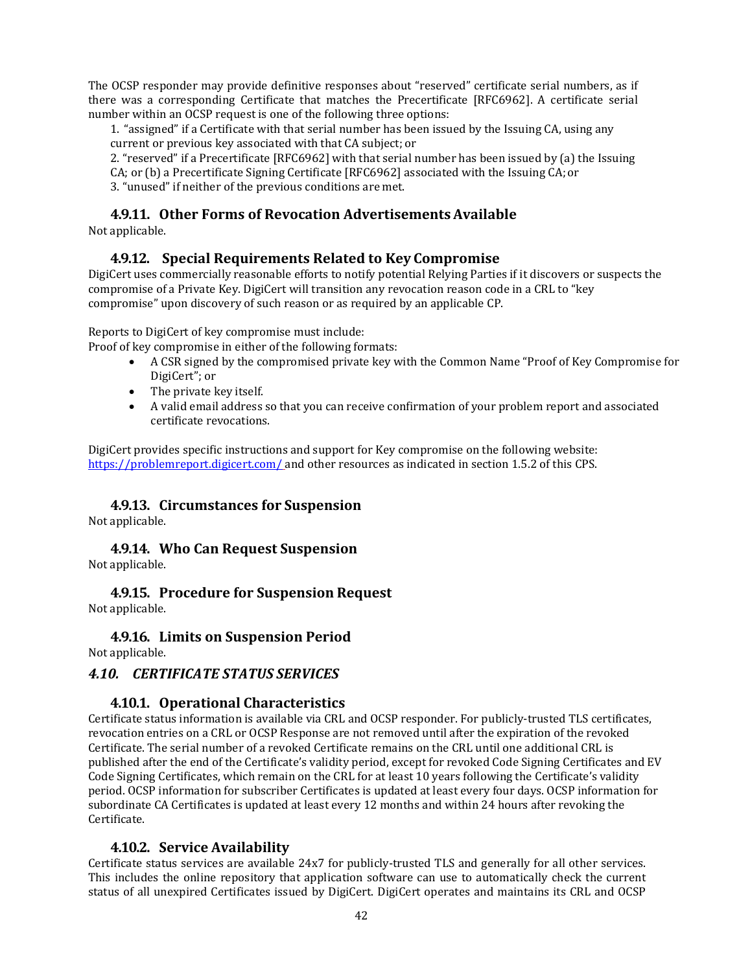The OCSP responder may provide definitive responses about "reserved" certificate serial numbers, as if there was a corresponding Certificate that matches the Precertificate [RFC6962]. A certificate serial number within an OCSP request is one of the following three options:

1. "assigned" if a Certificate with that serial number has been issued by the Issuing CA, using any current or previous key associated with that CA subject; or

2. "reserved" if a Precertificate [RFC6962] with that serial number has been issued by (a) the Issuing CA; or (b) a Precertificate Signing Certificate [RFC6962] associated with the Issuing CA;or

3. "unused" if neither of the previous conditions are met.

### **4.9.11. Other Forms of Revocation AdvertisementsAvailable**

Not applicable.

#### **4.9.12. Special Requirements Related to Key Compromise**

DigiCert uses commercially reasonable efforts to notify potential Relying Parties if it discovers or suspects the compromise of a Private Key. DigiCert will transition any revocation reason code in a CRL to "key compromise" upon discovery of such reason or as required by an applicable CP.

Reports to DigiCert of key compromise must include:

Proof of key compromise in either of the following formats:

- A CSR signed by the compromised private key with the Common Name "Proof of Key Compromise for DigiCert"; or
- The private key itself.
- A valid email address so that you can receive confirmation of your problem report and associated certificate revocations.

DigiCert provides specific instructions and support for Key compromise on the following website: <https://problemreport.digicert.com/> and other resources as indicated in section 1.5.2 of this CPS.

#### **4.9.13. Circumstances for Suspension**

Not applicable.

**4.9.14. Who Can Request Suspension** Not applicable.

**4.9.15. Procedure for Suspension Request**

Not applicable.

**4.9.16. Limits on Suspension Period**

Not applicable.

#### *4.10. CERTIFICATE STATUS SERVICES*

#### **4.10.1. Operational Characteristics**

Certificate status information is available via CRL and OCSP responder. For publicly-trusted TLS certificates, revocation entries on a CRL or OCSP Response are not removed until after the expiration of the revoked Certificate. The serial number of a revoked Certificate remains on the CRL until one additional CRL is published after the end of the Certificate's validity period, except for revoked Code Signing Certificates and EV Code Signing Certificates, which remain on the CRL for at least 10 years following the Certificate's validity period. OCSP information for subscriber Certificates is updated at least every four days. OCSP information for subordinate CA Certificates is updated at least every 12 months and within 24 hours after revoking the Certificate.

#### **4.10.2. Service Availability**

Certificate status services are available 24x7 for publicly-trusted TLS and generally for all other services. This includes the online repository that application software can use to automatically check the current status of all unexpired Certificates issued by DigiCert. DigiCert operates and maintains its CRL and OCSP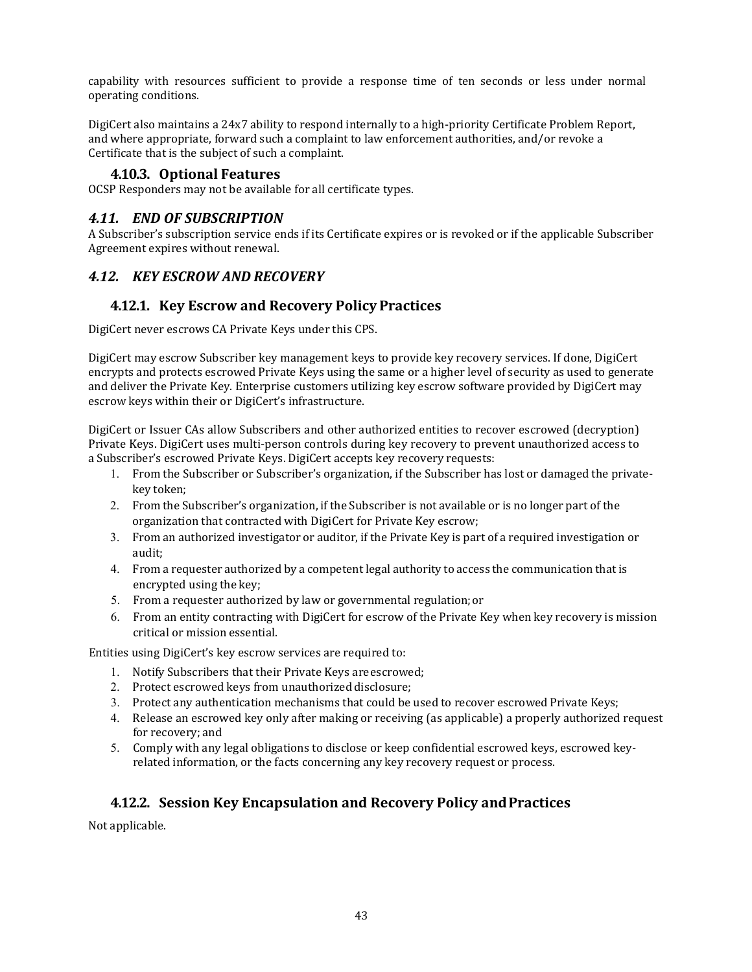capability with resources sufficient to provide a response time of ten seconds or less under normal operating conditions.

DigiCert also maintains a 24x7 ability to respond internally to a high-priority Certificate Problem Report, and where appropriate, forward such a complaint to law enforcement authorities, and/or revoke a Certificate that is the subject of such a complaint.

#### **4.10.3. Optional Features**

OCSP Responders may not be available for all certificate types.

#### *4.11. END OF SUBSCRIPTION*

A Subscriber's subscription service ends if its Certificate expires or is revoked or if the applicable Subscriber Agreement expires without renewal.

#### *4.12. KEY ESCROW AND RECOVERY*

#### **4.12.1. Key Escrow and Recovery Policy Practices**

DigiCert never escrows CA Private Keys under this CPS.

DigiCert may escrow Subscriber key management keys to provide key recovery services. If done, DigiCert encrypts and protects escrowed Private Keys using the same or a higher level of security as used to generate and deliver the Private Key. Enterprise customers utilizing key escrow software provided by DigiCert may escrow keys within their or DigiCert's infrastructure.

DigiCert or Issuer CAs allow Subscribers and other authorized entities to recover escrowed (decryption) Private Keys. DigiCert uses multi-person controls during key recovery to prevent unauthorized access to a Subscriber's escrowed Private Keys. DigiCert accepts key recovery requests:

- 1. From the Subscriber or Subscriber's organization, if the Subscriber has lost or damaged the privatekey token;
- 2. From the Subscriber's organization, if the Subscriber is not available or is no longer part of the organization that contracted with DigiCert for Private Key escrow;
- 3. From an authorized investigator or auditor, if the Private Key is part of a required investigation or audit;
- 4. From a requester authorized by a competent legal authority to access the communication that is encrypted using the key;
- 5. From a requester authorized by law or governmental regulation;or
- 6. From an entity contracting with DigiCert for escrow of the Private Key when key recovery is mission critical or mission essential.

Entities using DigiCert's key escrow services are required to:

- 1. Notify Subscribers that their Private Keys areescrowed;
- 2. Protect escrowed keys from unauthorized disclosure;
- 3. Protect any authentication mechanisms that could be used to recover escrowed Private Keys;
- 4. Release an escrowed key only after making or receiving (as applicable) a properly authorized request for recovery; and
- 5. Comply with any legal obligations to disclose or keep confidential escrowed keys, escrowed keyrelated information, or the facts concerning any key recovery request or process.

### **4.12.2. Session Key Encapsulation and Recovery Policy andPractices**

Not applicable.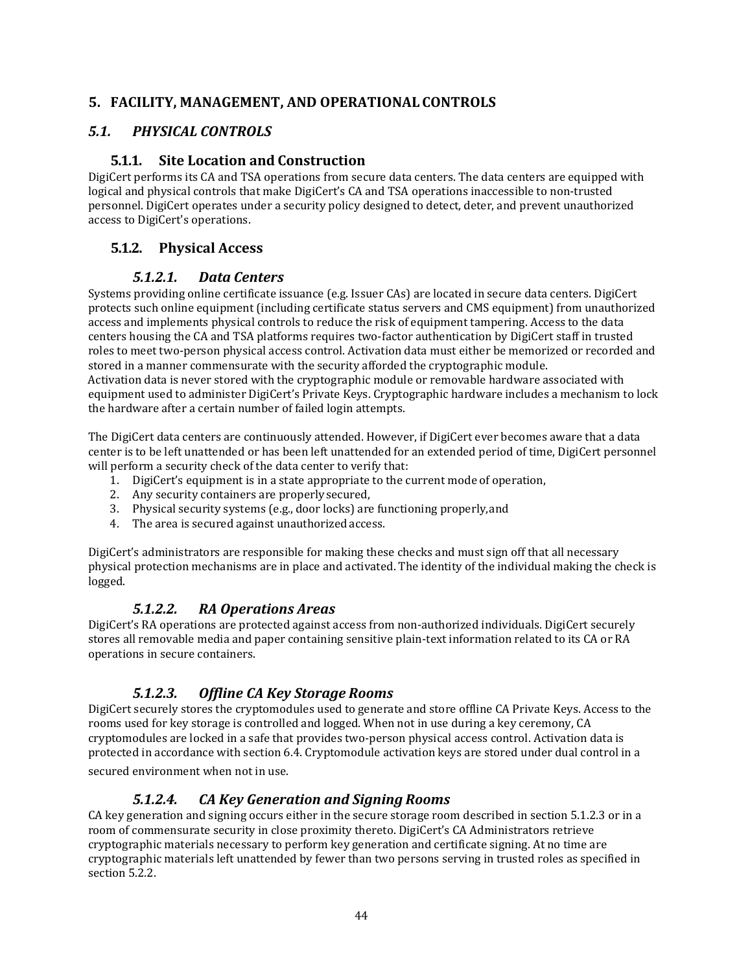### **5. FACILITY, MANAGEMENT, AND OPERATIONAL CONTROLS**

### *5.1. PHYSICAL CONTROLS*

### **5.1.1. Site Location and Construction**

DigiCert performs its CA and TSA operations from secure data centers. The data centers are equipped with logical and physical controls that make DigiCert's CA and TSA operations inaccessible to non-trusted personnel. DigiCert operates under a security policy designed to detect, deter, and prevent unauthorized access to DigiCert's operations.

## **5.1.2. Physical Access**

### *5.1.2.1. Data Centers*

Systems providing online certificate issuance (e.g. Issuer CAs) are located in secure data centers. DigiCert protects such online equipment (including certificate status servers and CMS equipment) from unauthorized access and implements physical controls to reduce the risk of equipment tampering. Access to the data centers housing the CA and TSA platforms requires two-factor authentication by DigiCert staff in trusted roles to meet two-person physical access control. Activation data must either be memorized or recorded and stored in a manner commensurate with the security afforded the cryptographic module. Activation data is never stored with the cryptographic module or removable hardware associated with equipment used to administer DigiCert's Private Keys. Cryptographic hardware includes a mechanism to lock the hardware after a certain number of failed login attempts.

The DigiCert data centers are continuously attended. However, if DigiCert ever becomes aware that a data center is to be left unattended or has been left unattended for an extended period of time, DigiCert personnel will perform a security check of the data center to verify that:

- 1. DigiCert's equipment is in a state appropriate to the current mode of operation,
- 2. Any security containers are properlysecured,
- 3. Physical security systems (e.g., door locks) are functioning properly,and
- 4. The area is secured against unauthorized access.

DigiCert's administrators are responsible for making these checks and must sign off that all necessary physical protection mechanisms are in place and activated. The identity of the individual making the check is logged.

#### *5.1.2.2. RA Operations Areas*

DigiCert's RA operations are protected against access from non-authorized individuals. DigiCert securely stores all removable media and paper containing sensitive plain-text information related to its CA or RA operations in secure containers.

### *5.1.2.3. Offline CA Key Storage Rooms*

DigiCert securely stores the cryptomodules used to generate and store offline CA Private Keys. Access to the rooms used for key storage is controlled and logged. When not in use during a key ceremony, CA cryptomodules are locked in a safe that provides two-person physical access control. Activation data is protected in accordance with section 6.4. Cryptomodule activation keys are stored under dual control in a

secured environment when not in use.

### *5.1.2.4. CA Key Generation and Signing Rooms*

CA key generation and signing occurs either in the secure storage room described in section 5.1.2.3 or in a room of commensurate security in close proximity thereto. DigiCert's CA Administrators retrieve cryptographic materials necessary to perform key generation and certificate signing. At no time are cryptographic materials left unattended by fewer than two persons serving in trusted roles as specified in section 5.2.2.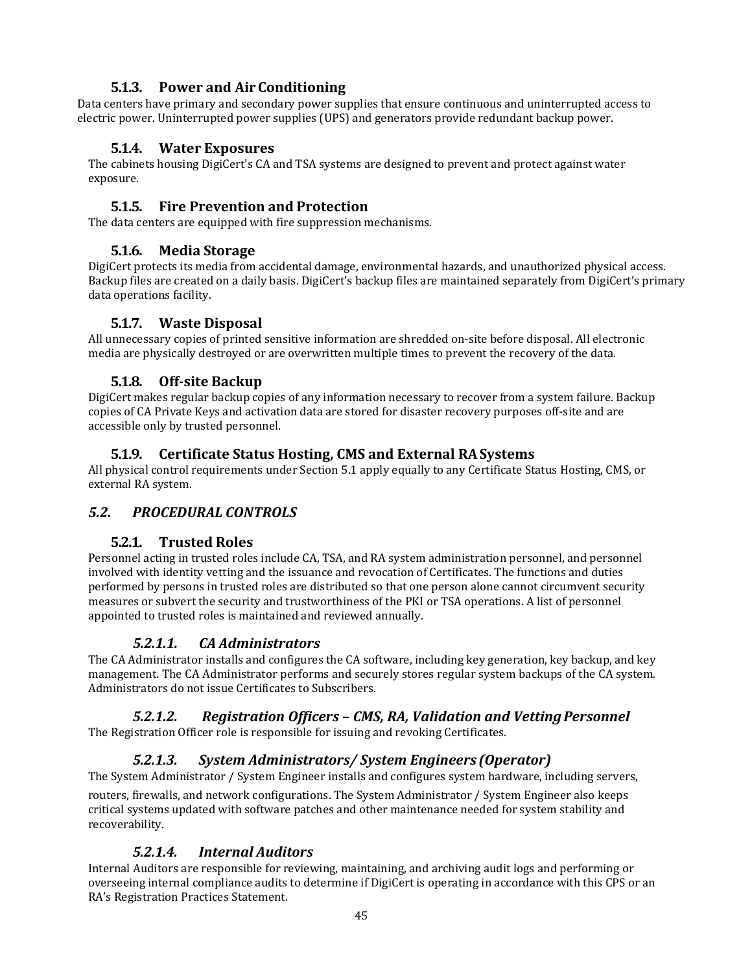## **5.1.3. Power and Air Conditioning**

Data centers have primary and secondary power supplies that ensure continuous and uninterrupted access to electric power. Uninterrupted power supplies (UPS) and generators provide redundant backup power.

#### **5.1.4. Water Exposures**

The cabinets housing DigiCert's CA and TSA systems are designed to prevent and protect against water exposure.

#### **5.1.5. Fire Prevention and Protection**

The data centers are equipped with fire suppression mechanisms.

### **5.1.6. Media Storage**

DigiCert protects its media from accidental damage, environmental hazards, and unauthorized physical access. Backup files are created on a daily basis. DigiCert's backup files are maintained separately from DigiCert's primary data operations facility.

### **5.1.7. Waste Disposal**

All unnecessary copies of printed sensitive information are shredded on-site before disposal. All electronic media are physically destroyed or are overwritten multiple times to prevent the recovery of the data.

### **5.1.8. Off-site Backup**

DigiCert makes regular backup copies of any information necessary to recover from a system failure. Backup copies of CA Private Keys and activation data are stored for disaster recovery purposes off-site and are accessible only by trusted personnel.

### **5.1.9. Certificate Status Hosting, CMS and External RASystems**

All physical control requirements under Section 5.1 apply equally to any Certificate Status Hosting, CMS, or external RA system.

### *5.2. PROCEDURAL CONTROLS*

#### **5.2.1. Trusted Roles**

Personnel acting in trusted roles include CA, TSA, and RA system administration personnel, and personnel involved with identity vetting and the issuance and revocation of Certificates. The functions and duties performed by persons in trusted roles are distributed so that one person alone cannot circumvent security measures or subvert the security and trustworthiness of the PKI or TSA operations. A list of personnel appointed to trusted roles is maintained and reviewed annually.

#### *5.2.1.1. CA Administrators*

The CA Administrator installs and configures the CA software, including key generation, key backup, and key management. The CA Administrator performs and securely stores regular system backups of the CA system. Administrators do not issue Certificates to Subscribers.

# *5.2.1.2. Registration Officers – CMS, RA, Validation and VettingPersonnel*

The Registration Officer role is responsible for issuing and revoking Certificates.

### *5.2.1.3. System Administrators/ System Engineers (Operator)*

The System Administrator / System Engineer installs and configures system hardware, including servers,

routers, firewalls, and network configurations. The System Administrator / System Engineer also keeps critical systems updated with software patches and other maintenance needed for system stability and recoverability.

### *5.2.1.4. Internal Auditors*

Internal Auditors are responsible for reviewing, maintaining, and archiving audit logs and performing or overseeing internal compliance audits to determine if DigiCert is operating in accordance with this CPS or an RA's Registration Practices Statement.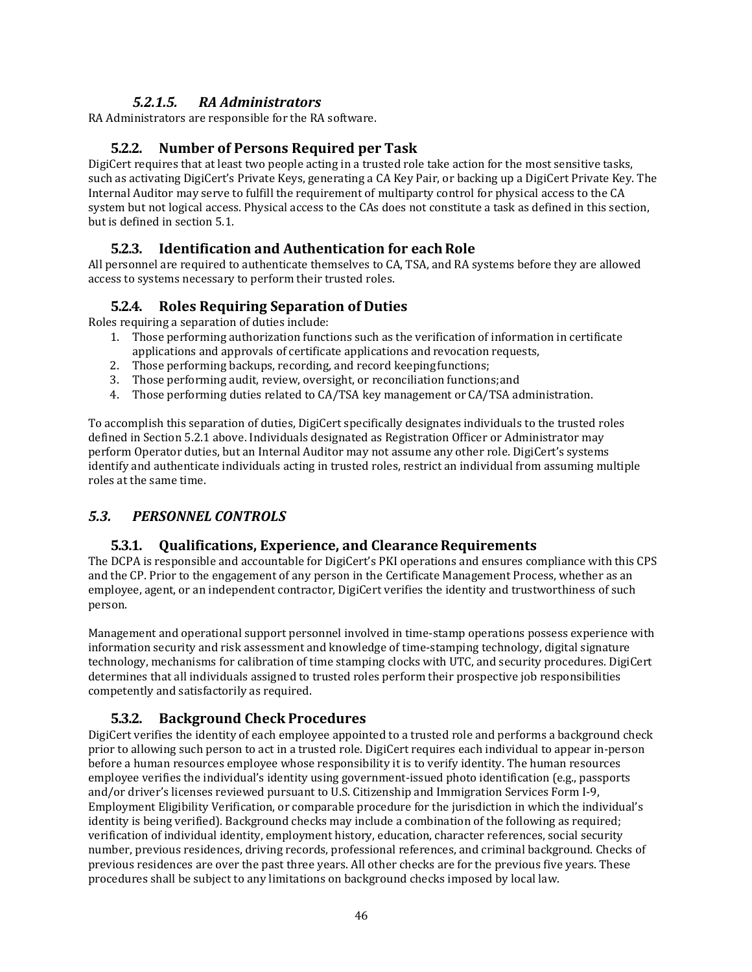### *5.2.1.5. RA Administrators*

RA Administrators are responsible for the RA software.

### **5.2.2. Number of Persons Required per Task**

DigiCert requires that at least two people acting in a trusted role take action for the most sensitive tasks, such as activating DigiCert's Private Keys, generating a CA Key Pair, or backing up a DigiCert Private Key. The Internal Auditor may serve to fulfill the requirement of multiparty control for physical access to the CA system but not logical access. Physical access to the CAs does not constitute a task as defined in this section, but is defined in section 5.1.

### **5.2.3. Identification and Authentication for eachRole**

All personnel are required to authenticate themselves to CA, TSA, and RA systems before they are allowed access to systems necessary to perform their trusted roles.

### **5.2.4. Roles Requiring Separation of Duties**

Roles requiring a separation of duties include:

- 1. Those performing authorization functions such as the verification of information in certificate applications and approvals of certificate applications and revocation requests,
- 2. Those performing backups, recording, and record keepingfunctions;
- 3. Those performing audit, review, oversight, or reconciliation functions;and
- 4. Those performing duties related to CA/TSA key management or CA/TSA administration.

To accomplish this separation of duties, DigiCert specifically designates individuals to the trusted roles defined in Section 5.2.1 above. Individuals designated as Registration Officer or Administrator may perform Operator duties, but an Internal Auditor may not assume any other role. DigiCert's systems identify and authenticate individuals acting in trusted roles, restrict an individual from assuming multiple roles at the same time.

### *5.3. PERSONNEL CONTROLS*

#### **5.3.1. Qualifications, Experience, and ClearanceRequirements**

The DCPA is responsible and accountable for DigiCert's PKI operations and ensures compliance with this CPS and the CP. Prior to the engagement of any person in the Certificate Management Process, whether as an employee, agent, or an independent contractor, DigiCert verifies the identity and trustworthiness of such person.

Management and operational support personnel involved in time-stamp operations possess experience with information security and risk assessment and knowledge of time-stamping technology, digital signature technology, mechanisms for calibration of time stamping clocks with UTC, and security procedures. DigiCert determines that all individuals assigned to trusted roles perform their prospective job responsibilities competently and satisfactorily as required.

### **5.3.2. Background Check Procedures**

DigiCert verifies the identity of each employee appointed to a trusted role and performs a background check prior to allowing such person to act in a trusted role. DigiCert requires each individual to appear in-person before a human resources employee whose responsibility it is to verify identity. The human resources employee verifies the individual's identity using government-issued photo identification (e.g., passports and/or driver's licenses reviewed pursuant to U.S. Citizenship and Immigration Services Form I-9, Employment Eligibility Verification, or comparable procedure for the jurisdiction in which the individual's identity is being verified). Background checks may include a combination of the following as required; verification of individual identity, employment history, education, character references, social security number, previous residences, driving records, professional references, and criminal background. Checks of previous residences are over the past three years. All other checks are for the previous five years. These procedures shall be subject to any limitations on background checks imposed by local law.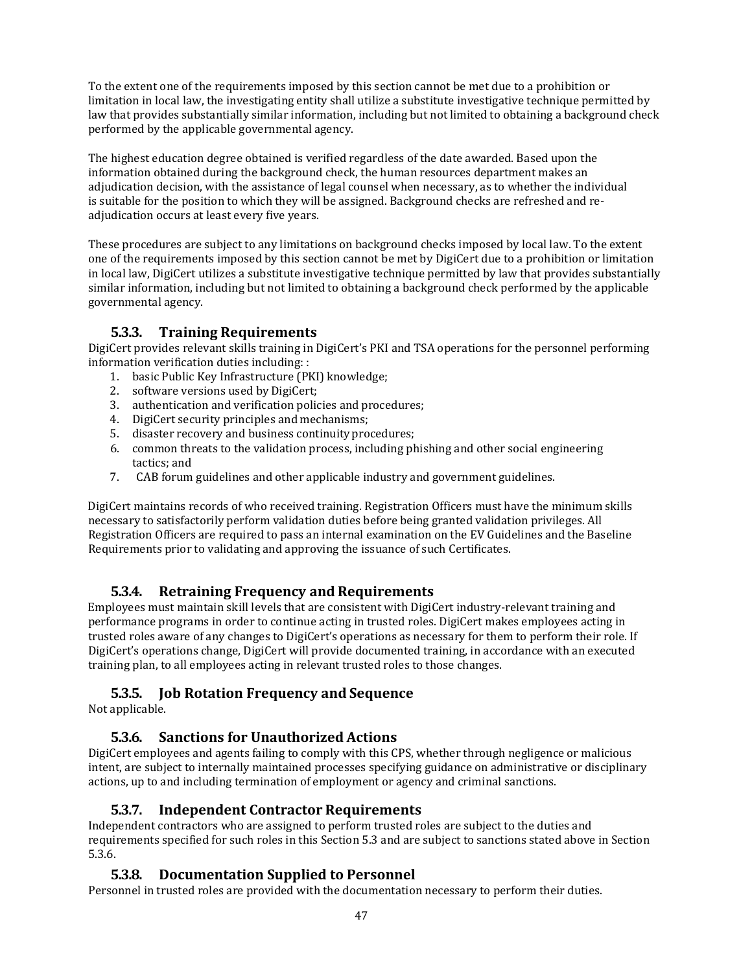To the extent one of the requirements imposed by this section cannot be met due to a prohibition or limitation in local law, the investigating entity shall utilize a substitute investigative technique permitted by law that provides substantially similar information, including but not limited to obtaining a background check performed by the applicable governmental agency.

The highest education degree obtained is verified regardless of the date awarded. Based upon the information obtained during the background check, the human resources department makes an adjudication decision, with the assistance of legal counsel when necessary, as to whether the individual is suitable for the position to which they will be assigned. Background checks are refreshed and readjudication occurs at least every five years.

These procedures are subject to any limitations on background checks imposed by local law. To the extent one of the requirements imposed by this section cannot be met by DigiCert due to a prohibition or limitation in local law, DigiCert utilizes a substitute investigative technique permitted by law that provides substantially similar information, including but not limited to obtaining a background check performed by the applicable governmental agency.

## **5.3.3. Training Requirements**

DigiCert provides relevant skills training in DigiCert's PKI and TSA operations for the personnel performing information verification duties including: :

- 1. basic Public Key Infrastructure (PKI) knowledge;
- 2. software versions used by DigiCert;
- 3. authentication and verification policies and procedures;
- 4. DigiCert security principles and mechanisms;
- 5. disaster recovery and business continuity procedures:
- 6. common threats to the validation process, including phishing and other social engineering tactics; and
- 7. CAB forum guidelines and other applicable industry and government guidelines.

DigiCert maintains records of who received training. Registration Officers must have the minimum skills necessary to satisfactorily perform validation duties before being granted validation privileges. All Registration Officers are required to pass an internal examination on the EV Guidelines and the Baseline Requirements prior to validating and approving the issuance of such Certificates.

### **5.3.4. Retraining Frequency and Requirements**

Employees must maintain skill levels that are consistent with DigiCert industry-relevant training and performance programs in order to continue acting in trusted roles. DigiCert makes employees acting in trusted roles aware of any changes to DigiCert's operations as necessary for them to perform their role. If DigiCert's operations change, DigiCert will provide documented training, in accordance with an executed training plan, to all employees acting in relevant trusted roles to those changes.

### **5.3.5. Job Rotation Frequency and Sequence**

Not applicable.

### **5.3.6. Sanctions for Unauthorized Actions**

DigiCert employees and agents failing to comply with this CPS, whether through negligence or malicious intent, are subject to internally maintained processes specifying guidance on administrative or disciplinary actions, up to and including termination of employment or agency and criminal sanctions.

#### **5.3.7. Independent Contractor Requirements**

Independent contractors who are assigned to perform trusted roles are subject to the duties and requirements specified for such roles in this Section 5.3 and are subject to sanctions stated above in Section 5.3.6.

### **5.3.8. Documentation Supplied to Personnel**

Personnel in trusted roles are provided with the documentation necessary to perform their duties.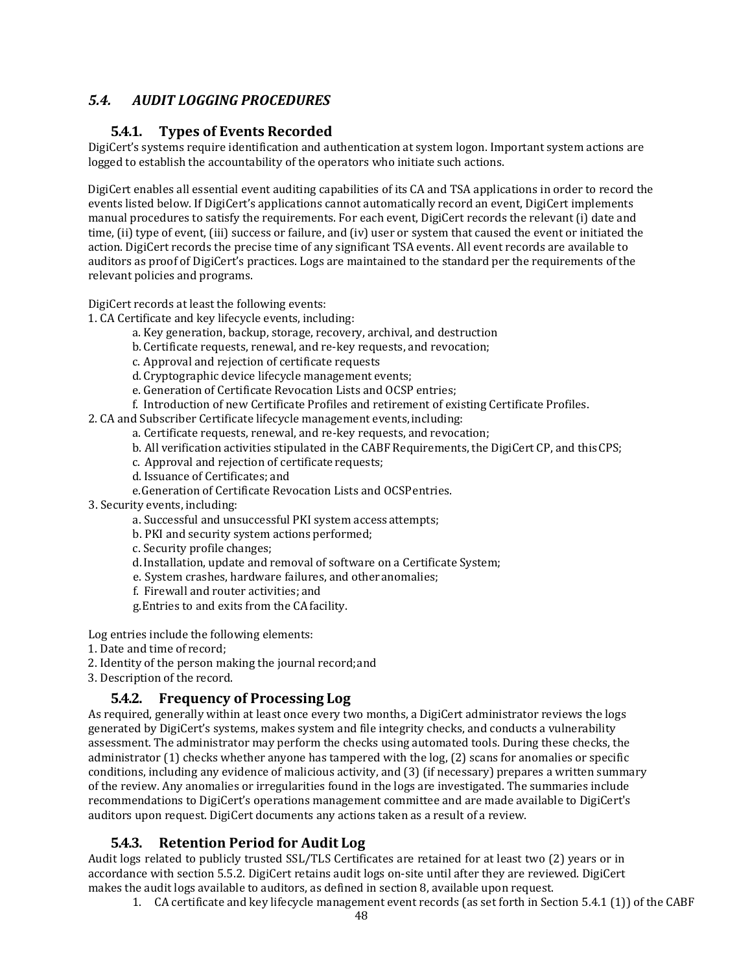## *5.4. AUDIT LOGGING PROCEDURES*

### **5.4.1. Types of Events Recorded**

DigiCert's systems require identification and authentication at system logon. Important system actions are logged to establish the accountability of the operators who initiate such actions.

DigiCert enables all essential event auditing capabilities of its CA and TSA applications in order to record the events listed below. If DigiCert's applications cannot automatically record an event, DigiCert implements manual procedures to satisfy the requirements. For each event, DigiCert records the relevant (i) date and time, (ii) type of event, (iii) success or failure, and (iv) user or system that caused the event or initiated the action. DigiCert records the precise time of any significant TSA events. All event records are available to auditors as proof of DigiCert's practices. Logs are maintained to the standard per the requirements of the relevant policies and programs.

DigiCert records at least the following events:

1. CA Certificate and key lifecycle events, including:

- a. Key generation, backup, storage, recovery, archival, and destruction
- b. Certificate requests, renewal, and re-key requests, and revocation;
- c. Approval and rejection of certificate requests
- d. Cryptographic device lifecycle management events;
- e. Generation of Certificate Revocation Lists and OCSP entries;
- f. Introduction of new Certificate Profiles and retirement of existing Certificate Profiles.

2. CA and Subscriber Certificate lifecycle management events, including:

- a. Certificate requests, renewal, and re-key requests, and revocation;
- b. All verification activities stipulated in the CABF Requirements, the DigiCert CP, and thisCPS;
- c. Approval and rejection of certificate requests;
- d. Issuance of Certificates; and
- e.Generation of Certificate Revocation Lists and OCSPentries.

3. Security events, including:

- a. Successful and unsuccessful PKI system access attempts;
- b. PKI and security system actions performed;
- c. Security profile changes;
- d.Installation, update and removal of software on a Certificate System;
- e. System crashes, hardware failures, and otheranomalies;
- f. Firewall and router activities; and
- g.Entries to and exits from the CAfacility.

Log entries include the following elements:

- 1. Date and time of record;
- 2. Identity of the person making the journal record;and
- 3. Description of the record.

### **5.4.2. Frequency of Processing Log**

As required, generally within at least once every two months, a DigiCert administrator reviews the logs generated by DigiCert's systems, makes system and file integrity checks, and conducts a vulnerability assessment. The administrator may perform the checks using automated tools. During these checks, the administrator (1) checks whether anyone has tampered with the log, (2) scans for anomalies or specific conditions, including any evidence of malicious activity, and (3) (if necessary) prepares a written summary of the review. Any anomalies or irregularities found in the logs are investigated. The summaries include recommendations to DigiCert's operations management committee and are made available to DigiCert's auditors upon request. DigiCert documents any actions taken as a result of a review.

### **5.4.3. Retention Period for Audit Log**

Audit logs related to publicly trusted SSL/TLS Certificates are retained for at least two (2) years or in accordance with section 5.5.2. DigiCert retains audit logs on-site until after they are reviewed. DigiCert makes the audit logs available to auditors, as defined in section 8, available upon request.

1. CA certificate and key lifecycle management event records (as set forth in Section 5.4.1 (1)) of the CABF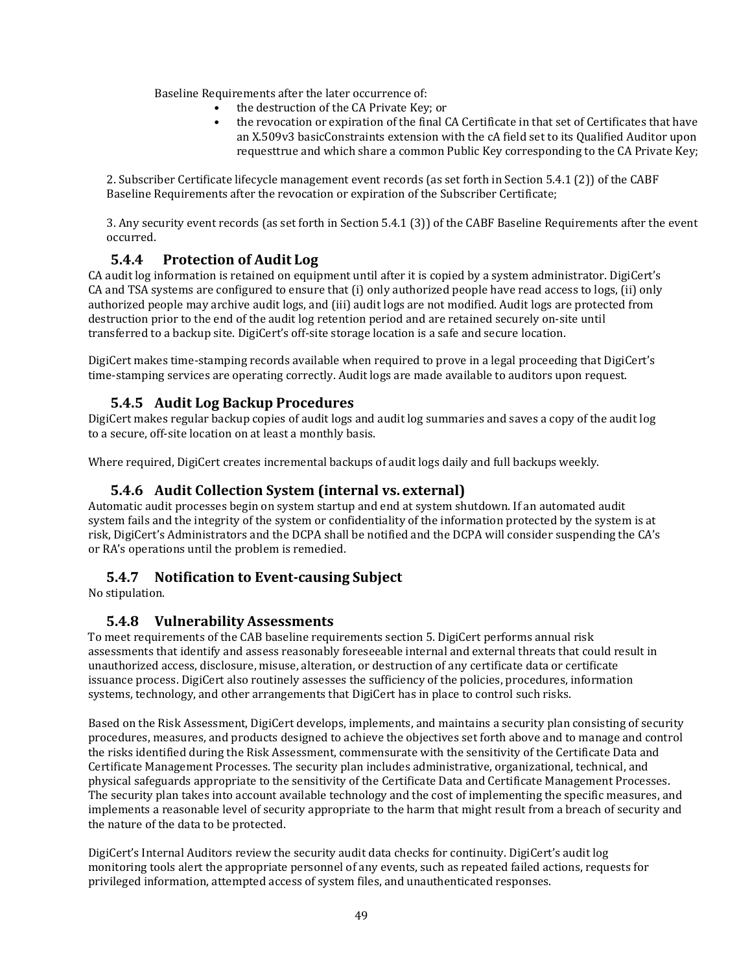Baseline Requirements after the later occurrence of:

- the destruction of the CA Private Key; or
- the revocation or expiration of the final CA Certificate in that set of Certificates that have an X.509v3 basicConstraints extension with the cA field set to its Qualified Auditor upon requesttrue and which share a common Public Key corresponding to the CA Private Key;

2. Subscriber Certificate lifecycle management event records (as set forth in Section 5.4.1 (2)) of the CABF Baseline Requirements after the revocation or expiration of the Subscriber Certificate;

3. Any security event records (as set forth in Section 5.4.1 (3)) of the CABF Baseline Requirements after the event occurred.

### **5.4.4 Protection of Audit Log**

CA audit log information is retained on equipment until after it is copied by a system administrator. DigiCert's CA and TSA systems are configured to ensure that (i) only authorized people have read access to logs, (ii) only authorized people may archive audit logs, and (iii) audit logs are not modified. Audit logs are protected from destruction prior to the end of the audit log retention period and are retained securely on-site until transferred to a backup site. DigiCert's off-site storage location is a safe and secure location.

DigiCert makes time-stamping records available when required to prove in a legal proceeding that DigiCert's time-stamping services are operating correctly. Audit logs are made available to auditors upon request.

#### **5.4.5 Audit Log Backup Procedures**

DigiCert makes regular backup copies of audit logs and audit log summaries and saves a copy of the audit log to a secure, off-site location on at least a monthly basis.

Where required, DigiCert creates incremental backups of audit logs daily and full backups weekly.

#### **5.4.6 Audit Collection System (internal vs. external)**

Automatic audit processes begin on system startup and end at system shutdown. If an automated audit system fails and the integrity of the system or confidentiality of the information protected by the system is at risk, DigiCert's Administrators and the DCPA shall be notified and the DCPA will consider suspending the CA's or RA's operations until the problem is remedied.

#### **5.4.7 Notification to Event-causing Subject**

No stipulation.

#### **5.4.8 Vulnerability Assessments**

To meet requirements of the CAB baseline requirements section 5. DigiCert performs annual risk assessments that identify and assess reasonably foreseeable internal and external threats that could result in unauthorized access, disclosure, misuse, alteration, or destruction of any certificate data or certificate issuance process. DigiCert also routinely assesses the sufficiency of the policies, procedures, information systems, technology, and other arrangements that DigiCert has in place to control such risks.

Based on the Risk Assessment, DigiCert develops, implements, and maintains a security plan consisting of security procedures, measures, and products designed to achieve the objectives set forth above and to manage and control the risks identified during the Risk Assessment, commensurate with the sensitivity of the Certificate Data and Certificate Management Processes. The security plan includes administrative, organizational, technical, and physical safeguards appropriate to the sensitivity of the Certificate Data and Certificate Management Processes. The security plan takes into account available technology and the cost of implementing the specific measures, and implements a reasonable level of security appropriate to the harm that might result from a breach of security and the nature of the data to be protected.

DigiCert's Internal Auditors review the security audit data checks for continuity. DigiCert's audit log monitoring tools alert the appropriate personnel of any events, such as repeated failed actions, requests for privileged information, attempted access of system files, and unauthenticated responses.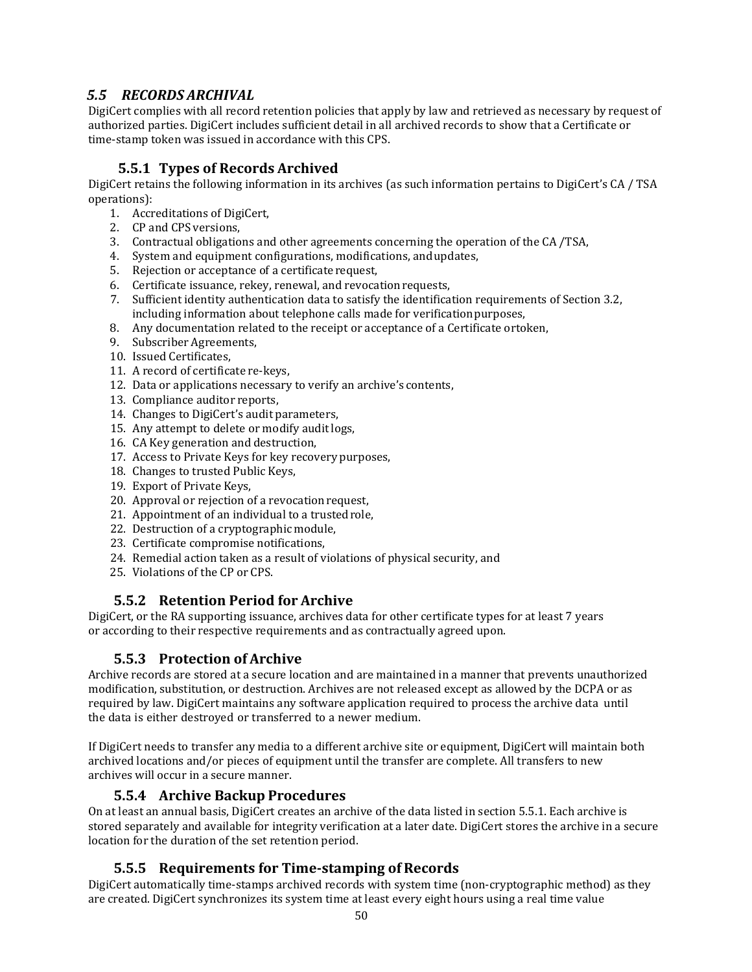## *5.5 RECORDS ARCHIVAL*

DigiCert complies with all record retention policies that apply by law and retrieved as necessary by request of authorized parties. DigiCert includes sufficient detail in all archived records to show that a Certificate or time-stamp token was issued in accordance with this CPS.

## **5.5.1 Types of Records Archived**

DigiCert retains the following information in its archives (as such information pertains to DigiCert's CA / TSA operations):

- 1. Accreditations of DigiCert,
- 2. CP and CPS versions,
- 3. Contractual obligations and other agreements concerning the operation of the CA /TSA,
- 4. System and equipment configurations, modifications, andupdates,
- 5. Rejection or acceptance of a certificaterequest,
- 6. Certificate issuance, rekey, renewal, and revocationrequests,
- 7. Sufficient identity authentication data to satisfy the identification requirements of Section 3.2, including information about telephone calls made for verificationpurposes,
- 8. Any documentation related to the receipt or acceptance of a Certificate ortoken,
- 9. Subscriber Agreements,
- 10. Issued Certificates,
- 11. A record of certificate re-keys,
- 12. Data or applications necessary to verify an archive's contents,
- 13. Compliance auditor reports,
- 14. Changes to DigiCert's audit parameters,
- 15. Any attempt to delete or modify audit logs,
- 16. CA Key generation and destruction,
- 17. Access to Private Keys for key recovery purposes,
- 18. Changes to trusted Public Keys,
- 19. Export of Private Keys,
- 20. Approval or rejection of a revocation request,
- 21. Appointment of an individual to a trustedrole,
- 22. Destruction of a cryptographic module,
- 23. Certificate compromise notifications,
- 24. Remedial action taken as a result of violations of physical security, and
- 25. Violations of the CP or CPS.

### **5.5.2 Retention Period for Archive**

DigiCert, or the RA supporting issuance, archives data for other certificate types for at least 7 years or according to their respective requirements and as contractually agreed upon.

# **5.5.3 Protection of Archive**

Archive records are stored at a secure location and are maintained in a manner that prevents unauthorized modification, substitution, or destruction. Archives are not released except as allowed by the DCPA or as required by law. DigiCert maintains any software application required to process the archive data until the data is either destroyed or transferred to a newer medium.

If DigiCert needs to transfer any media to a different archive site or equipment, DigiCert will maintain both archived locations and/or pieces of equipment until the transfer are complete. All transfers to new archives will occur in a secure manner.

#### **5.5.4 Archive Backup Procedures**

On at least an annual basis, DigiCert creates an archive of the data listed in section 5.5.1. Each archive is stored separately and available for integrity verification at a later date. DigiCert stores the archive in a secure location for the duration of the set retention period.

### **5.5.5 Requirements for Time-stamping of Records**

DigiCert automatically time-stamps archived records with system time (non-cryptographic method) as they are created. DigiCert synchronizes its system time at least every eight hours using a real time value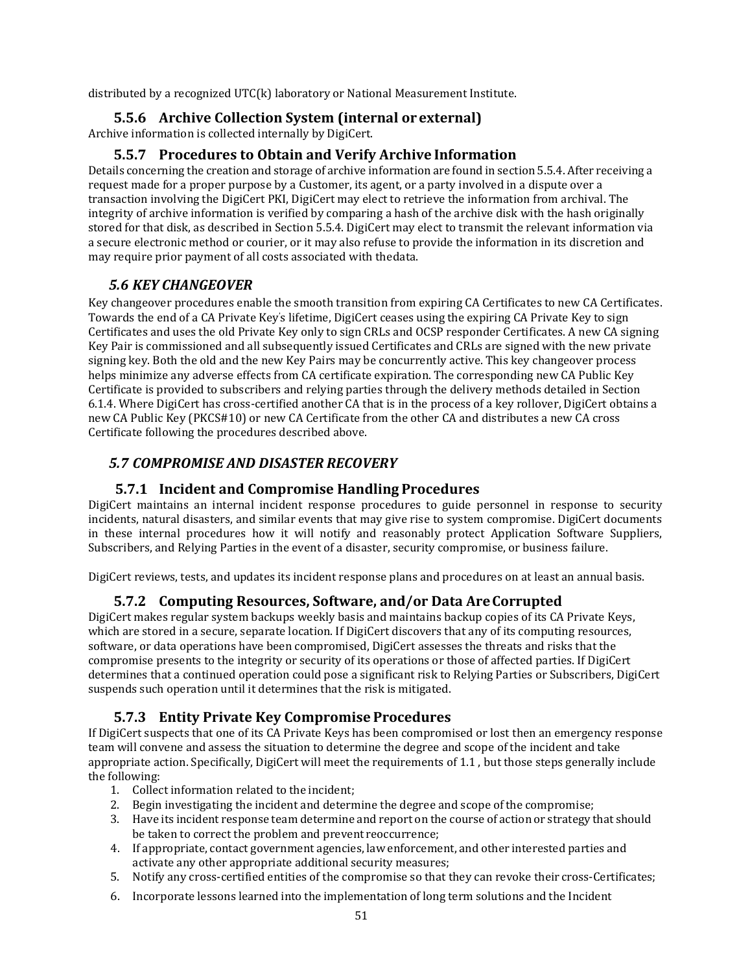distributed by a recognized UTC(k) laboratory or National Measurement Institute.

#### **5.5.6 Archive Collection System (internal or external)**

Archive information is collected internally by DigiCert.

#### **5.5.7 Procedures to Obtain and Verify Archive Information**

Details concerning the creation and storage of archive information are found in section 5.5.4. After receiving a request made for a proper purpose by a Customer, its agent, or a party involved in a dispute over a transaction involving the DigiCert PKI, DigiCert may elect to retrieve the information from archival. The integrity of archive information is verified by comparing a hash of the archive disk with the hash originally stored for that disk, as described in Section 5.5.4. DigiCert may elect to transmit the relevant information via a secure electronic method or courier, or it may also refuse to provide the information in its discretion and may require prior payment of all costs associated with thedata.

#### *5.6 KEY CHANGEOVER*

Key changeover procedures enable the smooth transition from expiring CA Certificates to new CA Certificates. Towards the end of a CA Private Key' s lifetime, DigiCert ceases using the expiring CA Private Key to sign Certificates and uses the old Private Key only to sign CRLs and OCSP responder Certificates. A new CA signing Key Pair is commissioned and all subsequently issued Certificates and CRLs are signed with the new private signing key. Both the old and the new Key Pairs may be concurrently active. This key changeover process helps minimize any adverse effects from CA certificate expiration. The corresponding new CA Public Key Certificate is provided to subscribers and relying parties through the delivery methods detailed in Section 6.1.4. Where DigiCert has cross-certified another CA that is in the process of a key rollover, DigiCert obtains a new CA Public Key (PKCS#10) or new CA Certificate from the other CA and distributes a new CA cross Certificate following the procedures described above.

### *5.7 COMPROMISE AND DISASTER RECOVERY*

#### **5.7.1 Incident and Compromise Handling Procedures**

DigiCert maintains an internal incident response procedures to guide personnel in response to security incidents, natural disasters, and similar events that may give rise to system compromise. DigiCert documents in these internal procedures how it will notify and reasonably protect Application Software Suppliers, Subscribers, and Relying Parties in the event of a disaster, security compromise, or business failure.

DigiCert reviews, tests, and updates its incident response plans and procedures on at least an annual basis.

#### **5.7.2 Computing Resources, Software, and/or Data AreCorrupted**

DigiCert makes regular system backups weekly basis and maintains backup copies of its CA Private Keys, which are stored in a secure, separate location. If DigiCert discovers that any of its computing resources, software, or data operations have been compromised, DigiCert assesses the threats and risks that the compromise presents to the integrity or security of its operations or those of affected parties. If DigiCert determines that a continued operation could pose a significant risk to Relying Parties or Subscribers, DigiCert suspends such operation until it determines that the risk is mitigated.

#### **5.7.3 Entity Private Key Compromise Procedures**

If DigiCert suspects that one of its CA Private Keys has been compromised or lost then an emergency response team will convene and assess the situation to determine the degree and scope of the incident and take appropriate action. Specifically, DigiCert will meet the requirements of 1.1 , but those steps generally include the following:

- 1. Collect information related to the incident;
- 2. Begin investigating the incident and determine the degree and scope ofthe compromise;
- 3. Have its incident response team determine and report on the course of action or strategy that should be taken to correct the problem and prevent reoccurrence;
- 4. If appropriate, contact government agencies, law enforcement, and other interested parties and activate any other appropriate additional security measures;
- 5. Notify any cross-certified entities of the compromise so that they can revoke their cross-Certificates;
- 6. Incorporate lessons learned into the implementation of long term solutions and the Incident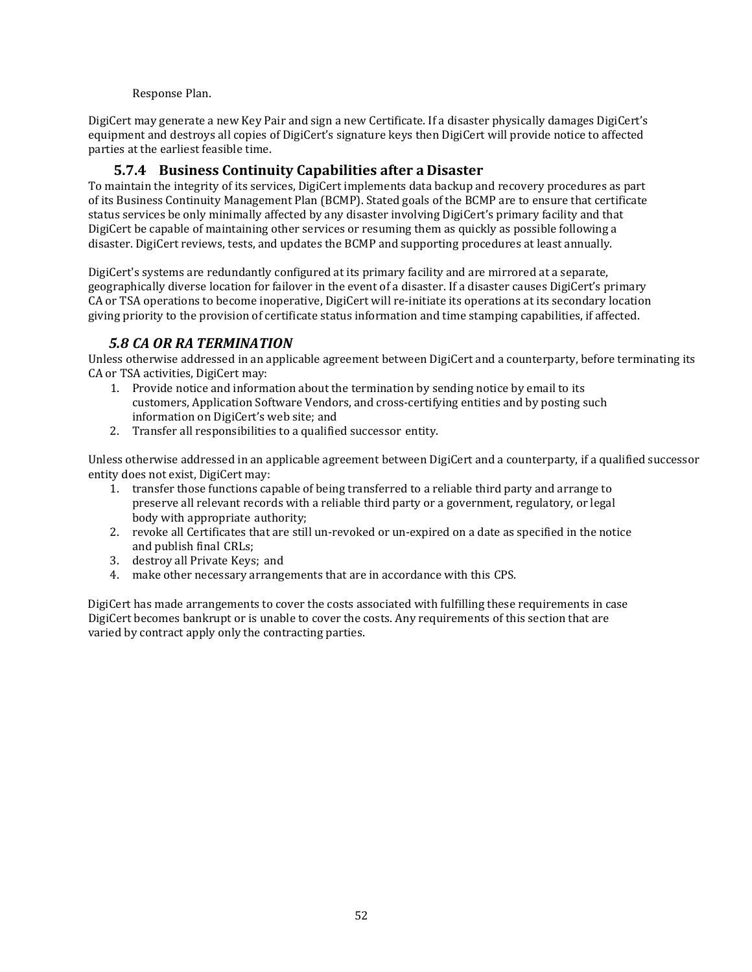#### Response Plan.

DigiCert may generate a new Key Pair and sign a new Certificate. If a disaster physically damages DigiCert's equipment and destroys all copies of DigiCert's signature keys then DigiCert will provide notice to affected parties at the earliest feasible time.

### **5.7.4 Business Continuity Capabilities after a Disaster**

To maintain the integrity of its services, DigiCert implements data backup and recovery procedures as part of its Business Continuity Management Plan (BCMP). Stated goals of the BCMP are to ensure that certificate status services be only minimally affected by any disaster involving DigiCert's primary facility and that DigiCert be capable of maintaining other services or resuming them as quickly as possible following a disaster. DigiCert reviews, tests, and updates the BCMP and supporting procedures at least annually.

DigiCert's systems are redundantly configured at its primary facility and are mirrored at a separate, geographically diverse location for failover in the event of a disaster. If a disaster causes DigiCert's primary CA or TSA operations to become inoperative, DigiCert will re-initiate its operations at its secondary location giving priority to the provision of certificate status information and time stamping capabilities, if affected.

#### *5.8 CA OR RA TERMINATION*

Unless otherwise addressed in an applicable agreement between DigiCert and a counterparty, before terminating its CA or TSA activities, DigiCert may:

- 1. Provide notice and information about the termination by sending notice by email to its customers, Application Software Vendors, and cross-certifying entities and by posting such information on DigiCert's web site; and
- 2. Transfer all responsibilities to a qualified successor entity.

Unless otherwise addressed in an applicable agreement between DigiCert and a counterparty, if a qualified successor entity does not exist, DigiCert may:

- 1. transfer those functions capable of being transferred to a reliable third party and arrange to preserve all relevant records with a reliable third party or a government, regulatory, or legal body with appropriate authority;
- 2. revoke all Certificates that are still un-revoked or un-expired on a date as specified in the notice and publish final CRLs;
- 3. destroy all Private Keys; and
- 4. make other necessary arrangements that are in accordance with this CPS.

DigiCert has made arrangements to cover the costs associated with fulfilling these requirements in case DigiCert becomes bankrupt or is unable to cover the costs. Any requirements of this section that are varied by contract apply only the contracting parties.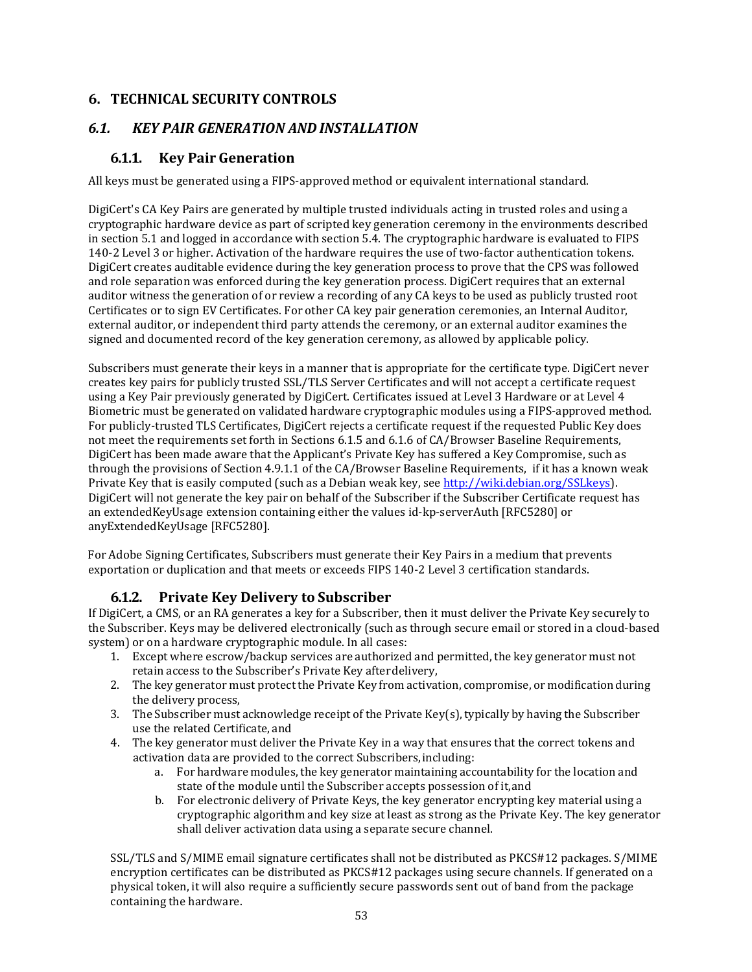## **6. TECHNICAL SECURITY CONTROLS**

### *6.1. KEY PAIR GENERATION AND INSTALLATION*

### **6.1.1. Key Pair Generation**

All keys must be generated using a FIPS-approved method or equivalent international standard.

DigiCert's CA Key Pairs are generated by multiple trusted individuals acting in trusted roles and using a cryptographic hardware device as part of scripted key generation ceremony in the environments described in section 5.1 and logged in accordance with section 5.4. The cryptographic hardware is evaluated to FIPS 140-2 Level 3 or higher. Activation of the hardware requires the use of two-factor authentication tokens. DigiCert creates auditable evidence during the key generation process to prove that the CPS was followed and role separation was enforced during the key generation process. DigiCert requires that an external auditor witness the generation of or review a recording of any CA keys to be used as publicly trusted root Certificates or to sign EV Certificates. For other CA key pair generation ceremonies, an Internal Auditor, external auditor, or independent third party attends the ceremony, or an external auditor examines the signed and documented record of the key generation ceremony, as allowed by applicable policy.

Subscribers must generate their keys in a manner that is appropriate for the certificate type. DigiCert never creates key pairs for publicly trusted SSL/TLS Server Certificates and will not accept a certificate request using a Key Pair previously generated by DigiCert. Certificates issued at Level 3 Hardware or at Level 4 Biometric must be generated on validated hardware cryptographic modules using a FIPS-approved method. For publicly-trusted TLS Certificates, DigiCert rejects a certificate request if the requested Public Key does not meet the requirements set forth in Sections 6.1.5 and 6.1.6 of CA/Browser Baseline Requirements, DigiCert has been made aware that the Applicant's Private Key has suffered a Key Compromise, such as through the provisions of Section 4.9.1.1 of the CA/Browser Baseline Requirements, if it has a known weak Private Key that is easily computed (such as a Debian weak key, see [http://wiki.debian.org/SSLkeys\)](http://wiki.debian.org/SSLkeys). DigiCert will not generate the key pair on behalf of the Subscriber if the Subscriber Certificate request has an extendedKeyUsage extension containing either the values id-kp-serverAuth [RFC5280] or anyExtendedKeyUsage [RFC5280].

For Adobe Signing Certificates, Subscribers must generate their Key Pairs in a medium that prevents exportation or duplication and that meets or exceeds FIPS 140-2 Level 3 certification standards.

# **6.1.2. Private Key Delivery to Subscriber**

If DigiCert, a CMS, or an RA generates a key for a Subscriber, then it must deliver the Private Key securely to the Subscriber. Keys may be delivered electronically (such as through secure email or stored in a cloud-based system) or on a hardware cryptographic module. In all cases:

- 1. Except where escrow/backup services are authorized and permitted, the key generator must not retain access to the Subscriber's Private Key afterdelivery,
- 2. The key generator must protect the Private Key from activation, compromise, or modification during the delivery process,
- 3. The Subscriber must acknowledge receipt of the Private Key(s), typically by having the Subscriber use the related Certificate, and
- 4. The key generator must deliver the Private Key in a way that ensures that the correct tokens and activation data are provided to the correct Subscribers,including:
	- a. For hardware modules, the key generator maintaining accountability for the location and state of the module until the Subscriber accepts possession of it,and
	- b. For electronic delivery of Private Keys, the key generator encrypting key material using a cryptographic algorithm and key size at least as strong as the Private Key. The key generator shall deliver activation data using a separate secure channel.

SSL/TLS and S/MIME email signature certificates shall not be distributed as PKCS#12 packages. S/MIME encryption certificates can be distributed as PKCS#12 packages using secure channels. If generated on a physical token, it will also require a sufficiently secure passwords sent out of band from the package containing the hardware.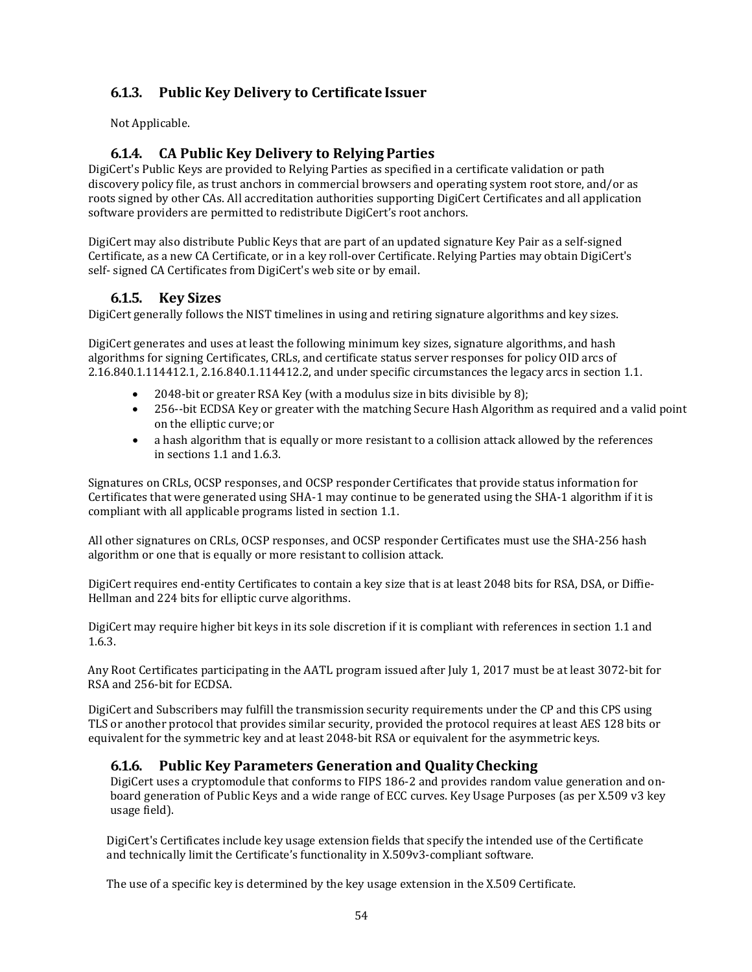# **6.1.3. Public Key Delivery to Certificate Issuer**

Not Applicable.

## **6.1.4. CA Public Key Delivery to Relying Parties**

DigiCert's Public Keys are provided to Relying Parties as specified in a certificate validation or path discovery policy file, as trust anchors in commercial browsers and operating system root store, and/or as roots signed by other CAs. All accreditation authorities supporting DigiCert Certificates and all application software providers are permitted to redistribute DigiCert's root anchors.

DigiCert may also distribute Public Keys that are part of an updated signature Key Pair as a self-signed Certificate, as a new CA Certificate, or in a key roll-over Certificate. Relying Parties may obtain DigiCert's self- signed CA Certificates from DigiCert's web site or by email.

### **6.1.5. Key Sizes**

DigiCert generally follows the NIST timelines in using and retiring signature algorithms and key sizes.

DigiCert generates and uses at least the following minimum key sizes, signature algorithms, and hash algorithms for signing Certificates, CRLs, and certificate status server responses for policy OID arcs of 2.16.840.1.114412.1, 2.16.840.1.114412.2, and under specific circumstances the legacy arcs in section 1.1.

- 2048-bit or greater RSA Key (with a modulus size in bits divisible by 8);
- 256--bit ECDSA Key or greater with the matching Secure Hash Algorithm as required and a valid point on the elliptic curve;or
- a hash algorithm that is equally or more resistant to a collision attack allowed by the references in sections 1.1 and 1.6.3.

Signatures on CRLs, OCSP responses, and OCSP responder Certificates that provide status information for Certificates that were generated using SHA-1 may continue to be generated using the SHA-1 algorithm if it is compliant with all applicable programs listed in section 1.1.

All other signatures on CRLs, OCSP responses, and OCSP responder Certificates must use the SHA-256 hash algorithm or one that is equally or more resistant to collision attack.

DigiCert requires end-entity Certificates to contain a key size that is at least 2048 bits for RSA, DSA, or Diffie-Hellman and 224 bits for elliptic curve algorithms.

DigiCert may require higher bit keys in its sole discretion if it is compliant with references in section 1.1 and 1.6.3.

Any Root Certificates participating in the AATL program issued after July 1, 2017 must be at least 3072-bit for RSA and 256-bit for ECDSA.

DigiCert and Subscribers may fulfill the transmission security requirements under the CP and this CPS using TLS or another protocol that provides similar security, provided the protocol requires at least AES 128 bits or equivalent for the symmetric key and at least 2048-bit RSA or equivalent for the asymmetric keys.

### **6.1.6. Public Key Parameters Generation and QualityChecking**

DigiCert uses a cryptomodule that conforms to FIPS 186-2 and provides random value generation and onboard generation of Public Keys and a wide range of ECC curves. Key Usage Purposes (as per X.509 v3 key usage field).

DigiCert's Certificates include key usage extension fields that specify the intended use of the Certificate and technically limit the Certificate's functionality in X.509v3-compliant software.

The use of a specific key is determined by the key usage extension in the X.509 Certificate.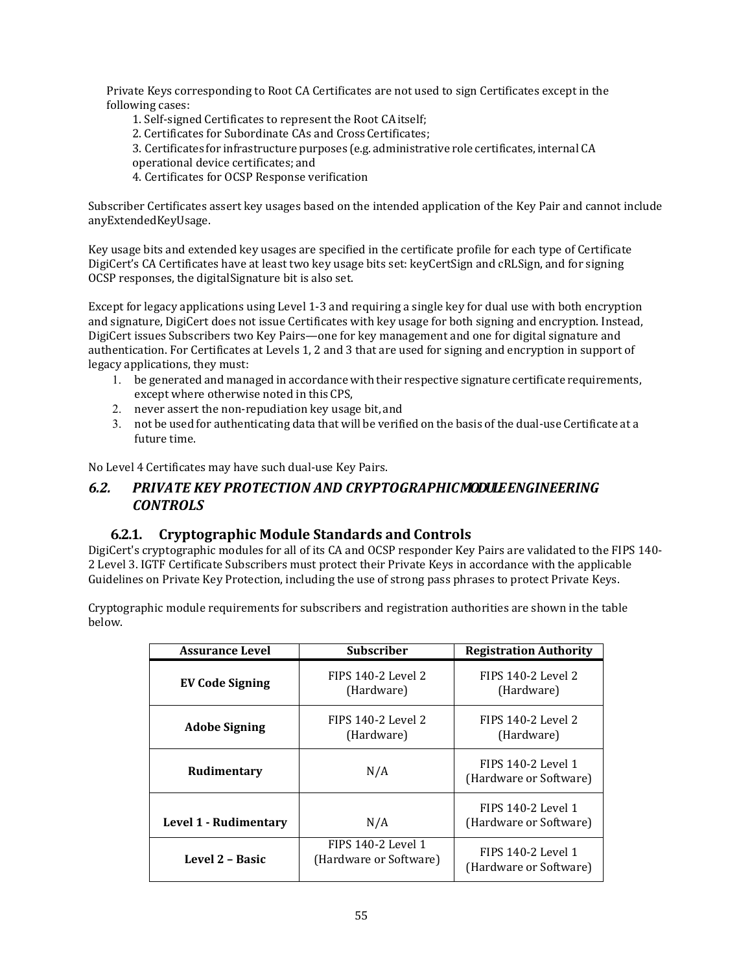Private Keys corresponding to Root CA Certificates are not used to sign Certificates except in the following cases:

1. Self-signed Certificates to represent the Root CAitself;

2. Certificates for Subordinate CAs and CrossCertificates;

- 3. Certificates for infrastructure purposes (e.g. administrative role certificates, internal CA
- operational device certificates; and

4. Certificates for OCSP Response verification

Subscriber Certificates assert key usages based on the intended application of the Key Pair and cannot include anyExtendedKeyUsage.

Key usage bits and extended key usages are specified in the certificate profile for each type of Certificate DigiCert's CA Certificates have at least two key usage bits set: keyCertSign and cRLSign, and for signing OCSP responses, the digitalSignature bit is also set.

Except for legacy applications using Level 1-3 and requiring a single key for dual use with both encryption and signature, DigiCert does not issue Certificates with key usage for both signing and encryption. Instead, DigiCert issues Subscribers two Key Pairs—one for key management and one for digital signature and authentication. For Certificates at Levels 1, 2 and 3 that are used for signing and encryption in support of legacy applications, they must:

- 1. be generated and managed in accordance with their respective signature certificate requirements, except where otherwise noted in this CPS,
- 2. never assert the non-repudiation key usage bit, and
- 3. not be used for authenticating data that will be verified on the basis of the dual-use Certificate at a future time.

No Level 4 Certificates may have such dual-use Key Pairs.

#### *6.2. PRIVATE KEY PROTECTION AND CRYPTOGRAPHICMODULEENGINEERING CONTROLS*

#### **6.2.1. Cryptographic Module Standards and Controls**

DigiCert's cryptographic modules for all of its CA and OCSP responder Key Pairs are validated to the FIPS 140- 2 Level 3. IGTF Certificate Subscribers must protect their Private Keys in accordance with the applicable Guidelines on Private Key Protection, including the use of strong pass phrases to protect Private Keys.

Cryptographic module requirements for subscribers and registration authorities are shown in the table below.

| <b>Assurance Level</b> | <b>Subscriber</b>                            | <b>Registration Authority</b>                |
|------------------------|----------------------------------------------|----------------------------------------------|
| <b>EV Code Signing</b> | FIPS 140-2 Level 2<br>(Hardware)             | FIPS 140-2 Level 2<br>(Hardware)             |
| <b>Adobe Signing</b>   | FIPS 140-2 Level 2<br>(Hardware)             | FIPS 140-2 Level 2<br>(Hardware)             |
| Rudimentary            | N/A                                          | FIPS 140-2 Level 1<br>(Hardware or Software) |
| Level 1 - Rudimentary  | N/A                                          | FIPS 140-2 Level 1<br>(Hardware or Software) |
| Level 2 - Basic        | FIPS 140-2 Level 1<br>(Hardware or Software) | FIPS 140-2 Level 1<br>(Hardware or Software) |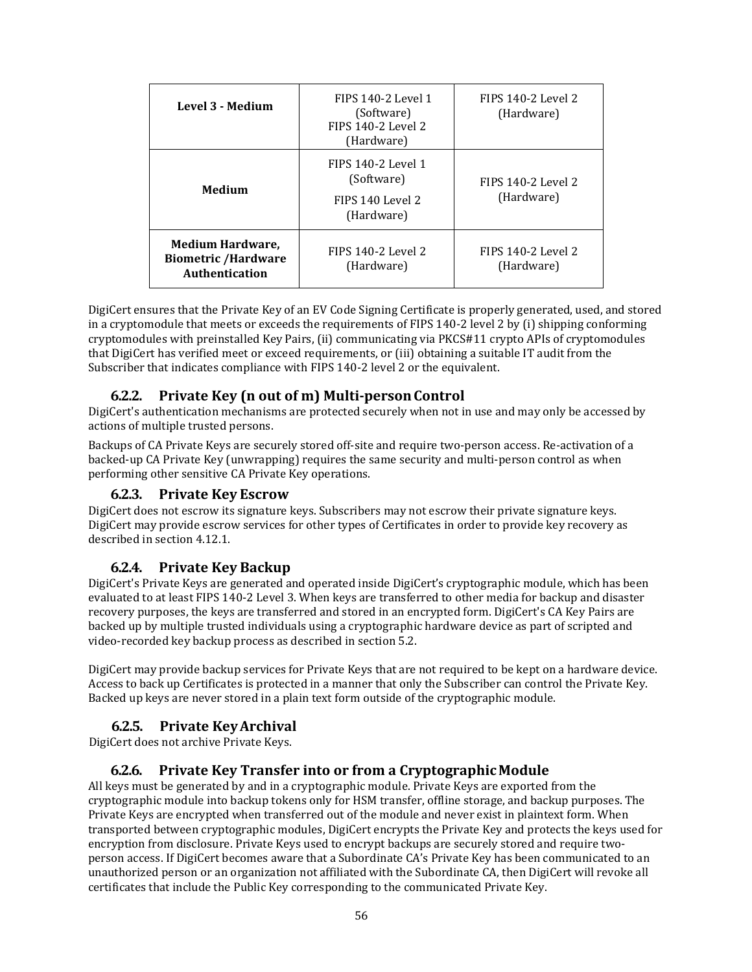| Level 3 - Medium                                                        | FIPS 140-2 Level 1<br>(Software)<br>FIPS 140-2 Level 2<br>(Hardware) | FIPS 140-2 Level 2<br>(Hardware) |
|-------------------------------------------------------------------------|----------------------------------------------------------------------|----------------------------------|
| <b>Medium</b>                                                           | FIPS 140-2 Level 1<br>(Software)<br>FIPS 140 Level 2<br>(Hardware)   | FIPS 140-2 Level 2<br>(Hardware) |
| <b>Medium Hardware,</b><br><b>Biometric /Hardware</b><br>Authentication | FIPS 140-2 Level 2<br>(Hardware)                                     | FIPS 140-2 Level 2<br>(Hardware) |

DigiCert ensures that the Private Key of an EV Code Signing Certificate is properly generated, used, and stored in a cryptomodule that meets or exceeds the requirements of FIPS 140-2 level 2 by (i) shipping conforming cryptomodules with preinstalled Key Pairs, (ii) communicating via PKCS#11 crypto APIs of cryptomodules that DigiCert has verified meet or exceed requirements, or (iii) obtaining a suitable IT audit from the Subscriber that indicates compliance with FIPS 140-2 level 2 or the equivalent.

### **6.2.2. Private Key (n out of m) Multi-personControl**

DigiCert's authentication mechanisms are protected securely when not in use and may only be accessed by actions of multiple trusted persons.

Backups of CA Private Keys are securely stored off-site and require two-person access. Re-activation of a backed-up CA Private Key (unwrapping) requires the same security and multi-person control as when performing other sensitive CA Private Key operations.

#### **6.2.3. Private Key Escrow**

DigiCert does not escrow its signature keys. Subscribers may not escrow their private signature keys. DigiCert may provide escrow services for other types of Certificates in order to provide key recovery as described in section 4.12.1.

#### **6.2.4. Private Key Backup**

DigiCert's Private Keys are generated and operated inside DigiCert's cryptographic module, which has been evaluated to at least FIPS 140-2 Level 3. When keys are transferred to other media for backup and disaster recovery purposes, the keys are transferred and stored in an encrypted form. DigiCert's CA Key Pairs are backed up by multiple trusted individuals using a cryptographic hardware device as part of scripted and video-recorded key backup process as described in section 5.2.

DigiCert may provide backup services for Private Keys that are not required to be kept on a hardware device. Access to back up Certificates is protected in a manner that only the Subscriber can control the Private Key. Backed up keys are never stored in a plain text form outside of the cryptographic module.

#### **6.2.5. Private KeyArchival**

DigiCert does not archive Private Keys.

#### **6.2.6. Private Key Transfer into or from a CryptographicModule**

All keys must be generated by and in a cryptographic module. Private Keys are exported from the cryptographic module into backup tokens only for HSM transfer, offline storage, and backup purposes. The Private Keys are encrypted when transferred out of the module and never exist in plaintext form. When transported between cryptographic modules, DigiCert encrypts the Private Key and protects the keys used for encryption from disclosure. Private Keys used to encrypt backups are securely stored and require twoperson access. If DigiCert becomes aware that a Subordinate CA's Private Key has been communicated to an unauthorized person or an organization not affiliated with the Subordinate CA, then DigiCert will revoke all certificates that include the Public Key corresponding to the communicated Private Key.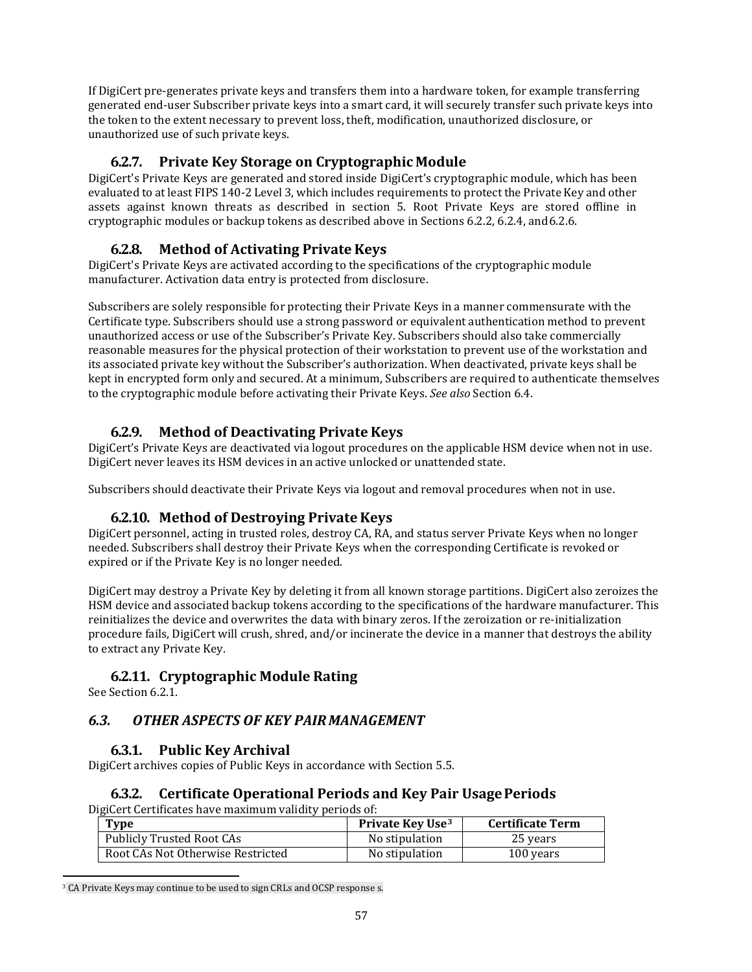If DigiCert pre-generates private keys and transfers them into a hardware token, for example transferring generated end-user Subscriber private keys into a smart card, it will securely transfer such private keys into the token to the extent necessary to prevent loss, theft, modification, unauthorized disclosure, or unauthorized use of such private keys.

### **6.2.7. Private Key Storage on Cryptographic Module**

DigiCert's Private Keys are generated and stored inside DigiCert's cryptographic module, which has been evaluated to at least FIPS 140-2 Level 3, which includes requirements to protect the Private Key and other assets against known threats as described in section 5. Root Private Keys are stored offline in cryptographic modules or backup tokens as described above in Sections 6.2.2, 6.2.4, and6.2.6.

### **6.2.8. Method of Activating PrivateKeys**

DigiCert's Private Keys are activated according to the specifications of the cryptographic module manufacturer. Activation data entry is protected from disclosure.

Subscribers are solely responsible for protecting their Private Keys in a manner commensurate with the Certificate type. Subscribers should use a strong password or equivalent authentication method to prevent unauthorized access or use of the Subscriber's Private Key. Subscribers should also take commercially reasonable measures for the physical protection of their workstation to prevent use of the workstation and its associated private key without the Subscriber's authorization. When deactivated, private keys shall be kept in encrypted form only and secured. At a minimum, Subscribers are required to authenticate themselves to the cryptographic module before activating their Private Keys. *See also* Section 6.4.

### **6.2.9. Method of Deactivating PrivateKeys**

DigiCert's Private Keys are deactivated via logout procedures on the applicable HSM device when not in use. DigiCert never leaves its HSM devices in an active unlocked or unattended state.

Subscribers should deactivate their Private Keys via logout and removal procedures when not in use.

#### **6.2.10. Method of Destroying PrivateKeys**

DigiCert personnel, acting in trusted roles, destroy CA, RA, and status server Private Keys when no longer needed. Subscribers shall destroy their Private Keys when the corresponding Certificate is revoked or expired or if the Private Key is no longer needed.

DigiCert may destroy a Private Key by deleting it from all known storage partitions. DigiCert also zeroizes the HSM device and associated backup tokens according to the specifications of the hardware manufacturer. This reinitializes the device and overwrites the data with binary zeros. If the zeroization or re-initialization procedure fails, DigiCert will crush, shred, and/or incinerate the device in a manner that destroys the ability to extract any Private Key.

### **6.2.11. Cryptographic Module Rating**

See Section 6.2.1

### *6.3. OTHER ASPECTS OF KEY PAIR MANAGEMENT*

#### **6.3.1. Public Key Archival**

DigiCert archives copies of Public Keys in accordance with Section 5.5.

#### **6.3.2. Certificate Operational Periods and Key Pair UsagePeriods**

DigiCert Certificates have maximum validity periods of:

| <b>Type</b>                       | Private Key Use <sup>3</sup> | <b>Certificate Term</b> |
|-----------------------------------|------------------------------|-------------------------|
| Publicly Trusted Root CAs         | No stipulation               | 25 years                |
| Root CAs Not Otherwise Restricted | No stipulation               | 100 years               |

<span id="page-56-0"></span><sup>&</sup>lt;sup>3</sup> CA Private Keys may continue to be used to sign CRLs and OCSP response s.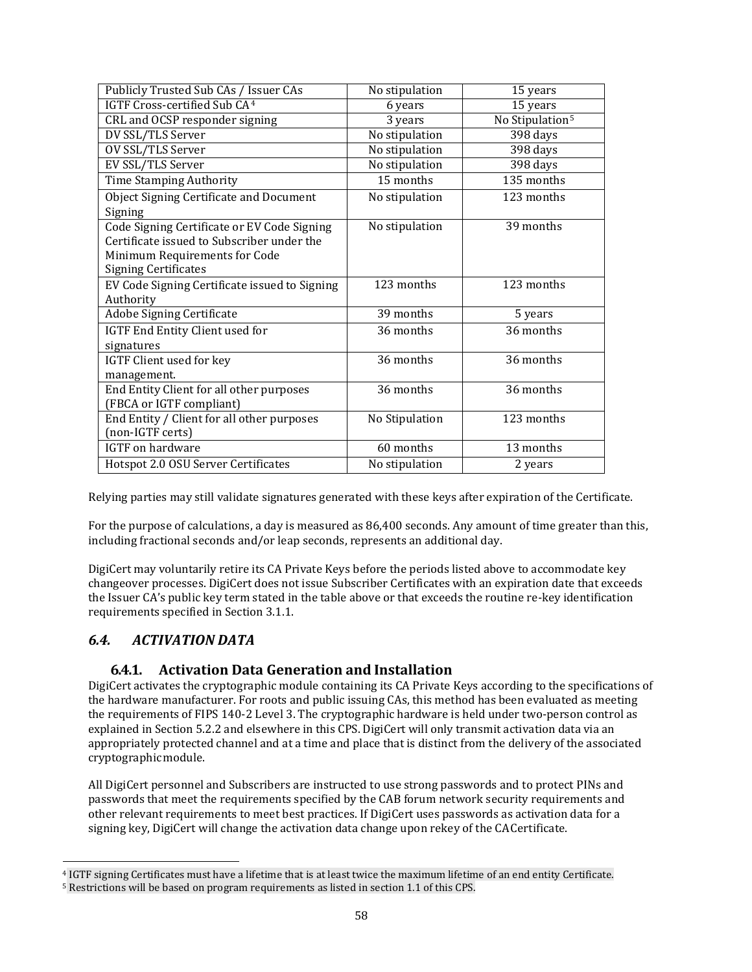| Publicly Trusted Sub CAs / Issuer CAs         | No stipulation | 15 years                    |
|-----------------------------------------------|----------------|-----------------------------|
| IGTF Cross-certified Sub CA <sup>4</sup>      | 6 years        | 15 years                    |
| CRL and OCSP responder signing                | 3 years        | No Stipulation <sup>5</sup> |
| DV SSL/TLS Server                             | No stipulation | 398 days                    |
| OV SSL/TLS Server                             | No stipulation | 398 days                    |
| EV SSL/TLS Server                             | No stipulation | 398 days                    |
| Time Stamping Authority                       | 15 months      | 135 months                  |
| Object Signing Certificate and Document       | No stipulation | 123 months                  |
| Signing                                       |                |                             |
| Code Signing Certificate or EV Code Signing   | No stipulation | 39 months                   |
| Certificate issued to Subscriber under the    |                |                             |
| Minimum Requirements for Code                 |                |                             |
| <b>Signing Certificates</b>                   |                |                             |
| EV Code Signing Certificate issued to Signing | 123 months     | 123 months                  |
| Authority                                     |                |                             |
| Adobe Signing Certificate                     | 39 months      | 5 years                     |
| IGTF End Entity Client used for               | 36 months      | 36 months                   |
| signatures                                    |                |                             |
| IGTF Client used for key                      | 36 months      | 36 months                   |
| management.                                   |                |                             |
| End Entity Client for all other purposes      | 36 months      | 36 months                   |
| (FBCA or IGTF compliant)                      |                |                             |
| End Entity / Client for all other purposes    | No Stipulation | 123 months                  |
| (non-IGTF certs)                              |                |                             |
| <b>IGTF</b> on hardware                       | 60 months      | 13 months                   |
| Hotspot 2.0 OSU Server Certificates           | No stipulation | 2 years                     |

Relying parties may still validate signatures generated with these keys after expiration of the Certificate.

For the purpose of calculations, a day is measured as 86,400 seconds. Any amount of time greater than this, including fractional seconds and/or leap seconds, represents an additional day.

DigiCert may voluntarily retire its CA Private Keys before the periods listed above to accommodate key changeover processes. DigiCert does not issue Subscriber Certificates with an expiration date that exceeds the Issuer CA's public key term stated in the table above or that exceeds the routine re-key identification requirements specified in Section 3.1.1.

### *6.4. ACTIVATION DATA*

#### **6.4.1. Activation Data Generation and Installation**

DigiCert activates the cryptographic module containing its CA Private Keys according to the specifications of the hardware manufacturer. For roots and public issuing CAs, this method has been evaluated as meeting the requirements of FIPS 140-2 Level 3. The cryptographic hardware is held under two-person control as explained in Section 5.2.2 and elsewhere in this CPS. DigiCert will only transmit activation data via an appropriately protected channel and at a time and place that is distinct from the delivery of the associated cryptographicmodule.

All DigiCert personnel and Subscribers are instructed to use strong passwords and to protect PINs and passwords that meet the requirements specified by the CAB forum network security requirements and other relevant requirements to meet best practices. If DigiCert uses passwords as activation data for a signing key, DigiCert will change the activation data change upon rekey of the CACertificate.

<span id="page-57-1"></span><span id="page-57-0"></span><sup>4</sup> IGTF signing Certificates must have a lifetime that is at least twice the maximum lifetime of an end entity Certificate. <sup>5</sup> Restrictions will be based on program requirements as listed in section 1.1 of this CPS.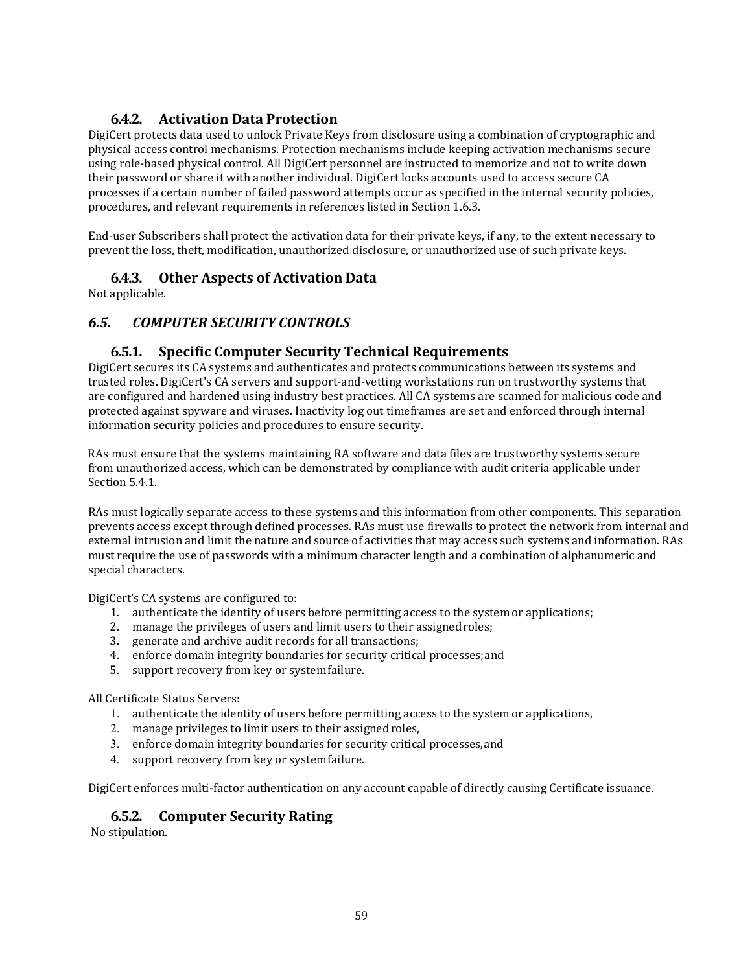## **6.4.2. Activation Data Protection**

DigiCert protects data used to unlock Private Keys from disclosure using a combination of cryptographic and physical access control mechanisms. Protection mechanisms include keeping activation mechanisms secure using role-based physical control. All DigiCert personnel are instructed to memorize and not to write down their password or share it with another individual. DigiCert locks accounts used to access secure CA processes if a certain number of failed password attempts occur as specified in the internal security policies, procedures, and relevant requirements in references listed in Section 1.6.3.

End-user Subscribers shall protect the activation data for their private keys, if any, to the extent necessary to prevent the loss, theft, modification, unauthorized disclosure, or unauthorized use of such private keys.

### **6.4.3. Other Aspects of Activation Data**

Not applicable.

### *6.5. COMPUTER SECURITY CONTROLS*

### **6.5.1. Specific Computer Security TechnicalRequirements**

DigiCert secures its CA systems and authenticates and protects communications between its systems and trusted roles. DigiCert's CA servers and support-and-vetting workstations run on trustworthy systems that are configured and hardened using industry best practices. All CA systems are scanned for malicious code and protected against spyware and viruses. Inactivity log out timeframes are set and enforced through internal information security policies and procedures to ensure security.

RAs must ensure that the systems maintaining RA software and data files are trustworthy systems secure from unauthorized access, which can be demonstrated by compliance with audit criteria applicable under Section 5.4.1.

RAs must logically separate access to these systems and this information from other components. This separation prevents access except through defined processes. RAs must use firewalls to protect the network from internal and external intrusion and limit the nature and source of activities that may access such systems and information. RAs must require the use of passwords with a minimum character length and a combination of alphanumeric and special characters.

DigiCert's CA systems are configured to:

- 1. authenticate the identity of users before permitting access to the system or applications;
- 2. manage the privileges of users and limit users to their assignedroles;
- 3. generate and archive audit records for all transactions;
- 4. enforce domain integrity boundaries for security critical processes;and
- 5. support recovery from key or systemfailure.

All Certificate Status Servers:

- 1. authenticate the identity of users before permitting access to the system or applications,
- 2. manage privileges to limit users to their assigned roles,
- 3. enforce domain integrity boundaries for security critical processes,and
- 4. support recovery from key or systemfailure.

DigiCert enforces multi-factor authentication on any account capable of directly causing Certificate issuance.

#### **6.5.2. Computer Security Rating**

No stipulation.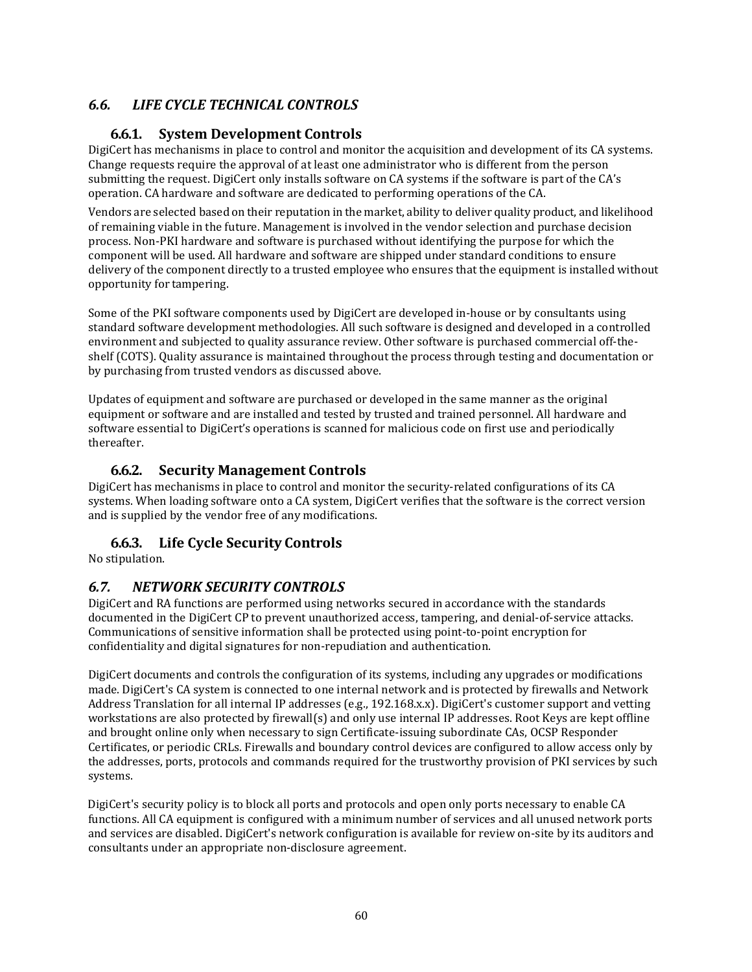# *6.6. LIFE CYCLE TECHNICAL CONTROLS*

### **6.6.1. System Development Controls**

DigiCert has mechanisms in place to control and monitor the acquisition and development of its CA systems. Change requests require the approval of at least one administrator who is different from the person submitting the request. DigiCert only installs software on CA systems if the software is part of the CA's operation. CA hardware and software are dedicated to performing operations of the CA.

Vendors are selected based on their reputation in the market, ability to deliver quality product, and likelihood of remaining viable in the future. Management is involved in the vendor selection and purchase decision process. Non-PKI hardware and software is purchased without identifying the purpose for which the component will be used. All hardware and software are shipped under standard conditions to ensure delivery of the component directly to a trusted employee who ensures that the equipment is installed without opportunity for tampering.

Some of the PKI software components used by DigiCert are developed in-house or by consultants using standard software development methodologies. All such software is designed and developed in a controlled environment and subjected to quality assurance review. Other software is purchased commercial off-theshelf (COTS). Quality assurance is maintained throughout the process through testing and documentation or by purchasing from trusted vendors as discussed above.

Updates of equipment and software are purchased or developed in the same manner as the original equipment or software and are installed and tested by trusted and trained personnel. All hardware and software essential to DigiCert's operations is scanned for malicious code on first use and periodically thereafter.

#### **6.6.2. Security Management Controls**

DigiCert has mechanisms in place to control and monitor the security-related configurations of its CA systems. When loading software onto a CA system, DigiCert verifies that the software is the correct version and is supplied by the vendor free of any modifications.

### **6.6.3. Life Cycle Security Controls**

No stipulation.

### *6.7. NETWORK SECURITY CONTROLS*

DigiCert and RA functions are performed using networks secured in accordance with the standards documented in the DigiCert CP to prevent unauthorized access, tampering, and denial-of-service attacks. Communications of sensitive information shall be protected using point-to-point encryption for confidentiality and digital signatures for non-repudiation and authentication.

DigiCert documents and controls the configuration of its systems, including any upgrades or modifications made. DigiCert's CA system is connected to one internal network and is protected by firewalls and Network Address Translation for all internal IP addresses (e.g., 192.168.x.x). DigiCert's customer support and vetting workstations are also protected by firewall(s) and only use internal IP addresses. Root Keys are kept offline and brought online only when necessary to sign Certificate-issuing subordinate CAs, OCSP Responder Certificates, or periodic CRLs. Firewalls and boundary control devices are configured to allow access only by the addresses, ports, protocols and commands required for the trustworthy provision of PKI services by such systems.

DigiCert's security policy is to block all ports and protocols and open only ports necessary to enable CA functions. All CA equipment is configured with a minimum number of services and all unused network ports and services are disabled. DigiCert's network configuration is available for review on-site by its auditors and consultants under an appropriate non-disclosure agreement.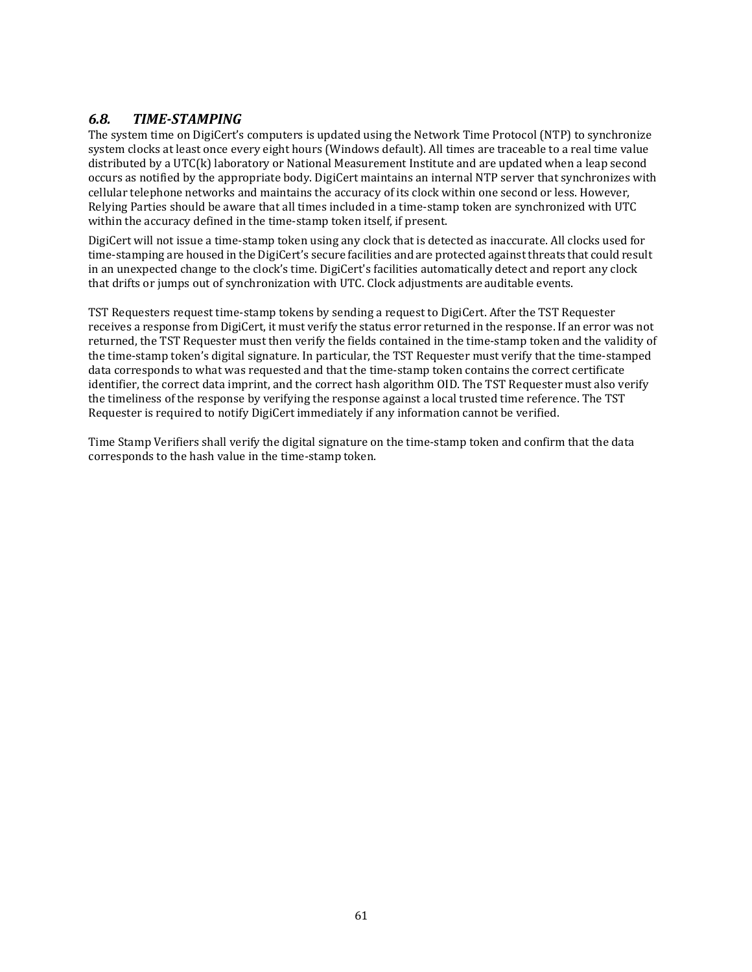## *6.8. TIME-STAMPING*

The system time on DigiCert's computers is updated using the Network Time Protocol (NTP) to synchronize system clocks at least once every eight hours (Windows default). All times are traceable to a real time value distributed by a UTC(k) laboratory or National Measurement Institute and are updated when a leap second occurs as notified by the appropriate body. DigiCert maintains an internal NTP server that synchronizes with cellular telephone networks and maintains the accuracy of its clock within one second or less. However, Relying Parties should be aware that all times included in a time-stamp token are synchronized with UTC within the accuracy defined in the time-stamp token itself, if present.

DigiCert will not issue a time-stamp token using any clock that is detected as inaccurate. All clocks used for time-stamping are housed in the DigiCert's secure facilities and are protected against threats that could result in an unexpected change to the clock's time. DigiCert's facilities automatically detect and report any clock that drifts or jumps out of synchronization with UTC. Clock adjustments are auditable events.

TST Requesters request time-stamp tokens by sending a request to DigiCert. After the TST Requester receives a response from DigiCert, it must verify the status error returned in the response. If an error was not returned, the TST Requester must then verify the fields contained in the time-stamp token and the validity of the time-stamp token's digital signature. In particular, the TST Requester must verify that the time-stamped data corresponds to what was requested and that the time-stamp token contains the correct certificate identifier, the correct data imprint, and the correct hash algorithm OID. The TST Requester must also verify the timeliness of the response by verifying the response against a local trusted time reference. The TST Requester is required to notify DigiCert immediately if any information cannot be verified.

Time Stamp Verifiers shall verify the digital signature on the time-stamp token and confirm that the data corresponds to the hash value in the time-stamp token.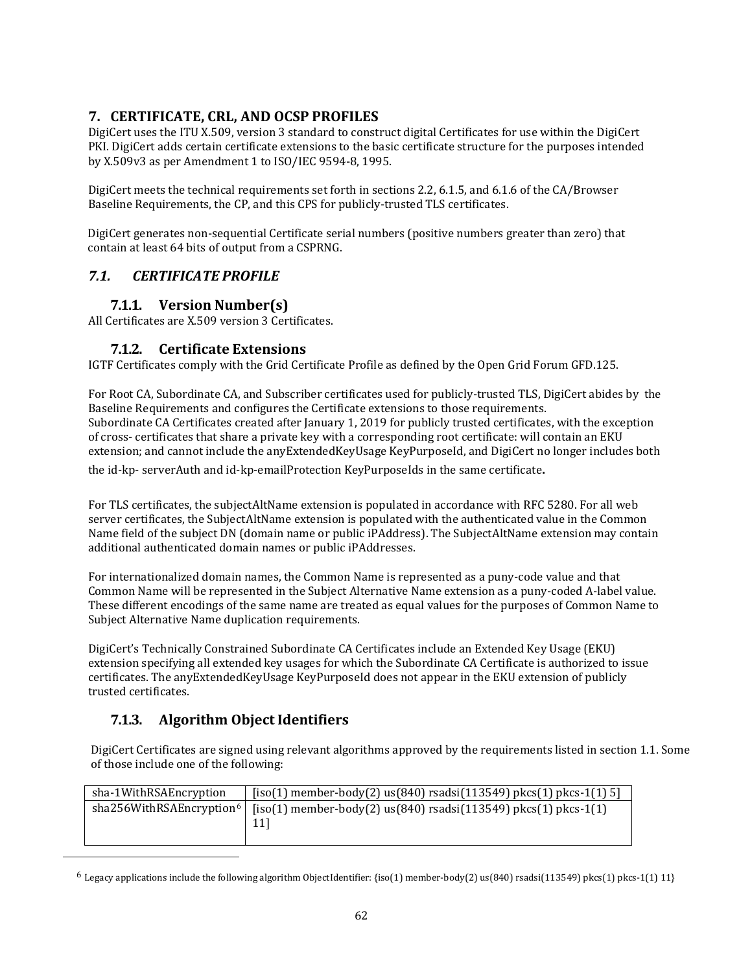## **7. CERTIFICATE, CRL, AND OCSP PROFILES**

DigiCert uses the ITU X.509, version 3 standard to construct digital Certificates for use within the DigiCert PKI. DigiCert adds certain certificate extensions to the basic certificate structure for the purposes intended by X.509v3 as per Amendment 1 to ISO/IEC 9594-8, 1995.

DigiCert meets the technical requirements set forth in sections 2.2, 6.1.5, and 6.1.6 of the CA/Browser Baseline Requirements, the CP, and this CPS for publicly-trusted TLS certificates.

DigiCert generates non-sequential Certificate serial numbers (positive numbers greater than zero) that contain at least 64 bits of output from a CSPRNG.

### *7.1. CERTIFICATE PROFILE*

### **7.1.1. Version Number(s)**

All Certificates are X.509 version 3 Certificates.

#### **7.1.2. Certificate Extensions**

IGTF Certificates comply with the Grid Certificate Profile as defined by the Open Grid Forum GFD.125.

For Root CA, Subordinate CA, and Subscriber certificates used for publicly-trusted TLS, DigiCert abides by the Baseline Requirements and configures the Certificate extensions to those requirements. Subordinate CA Certificates created after January 1, 2019 for publicly trusted certificates, with the exception of cross- certificates that share a private key with a corresponding root certificate: will contain an EKU extension; and cannot include the anyExtendedKeyUsage KeyPurposeId, and DigiCert no longer includes both the id-kp- serverAuth and id-kp-emailProtection KeyPurposeIds in the same certificate.

For TLS certificates, the subjectAltName extension is populated in accordance with RFC 5280. For all web server certificates, the SubjectAltName extension is populated with the authenticated value in the Common Name field of the subject DN (domain name or public iPAddress). The SubjectAltName extension may contain additional authenticated domain names or public iPAddresses.

For internationalized domain names, the Common Name is represented as a puny-code value and that Common Name will be represented in the Subject Alternative Name extension as a puny-coded A-label value. These different encodings of the same name are treated as equal values for the purposes of Common Name to Subject Alternative Name duplication requirements.

DigiCert's Technically Constrained Subordinate CA Certificates include an Extended Key Usage (EKU) extension specifying all extended key usages for which the Subordinate CA Certificate is authorized to issue certificates. The anyExtendedKeyUsage KeyPurposeId does not appear in the EKU extension of publicly trusted certificates.

# **7.1.3. Algorithm Object Identifiers**

DigiCert Certificates are signed using relevant algorithms approved by the requirements listed in section 1.1. Some of those include one of the following:

| sha-1WithRSAEncryption                 | $[iso(1)$ member-body(2) us(840) rsadsi(113549) pkcs(1) pkcs-1(1) 5]    |
|----------------------------------------|-------------------------------------------------------------------------|
| sha256With RSA Encryption <sup>6</sup> | $[iso(1)$ member-body(2) us(840) rsadsi(113549) pkcs(1) pkcs-1(1)<br>11 |

<span id="page-61-0"></span> $6$  Legacy applications include the following algorithm ObjectIdentifier: {iso(1) member-body(2) us(840) rsadsi(113549) pkcs(1) pkcs-1(1) 11}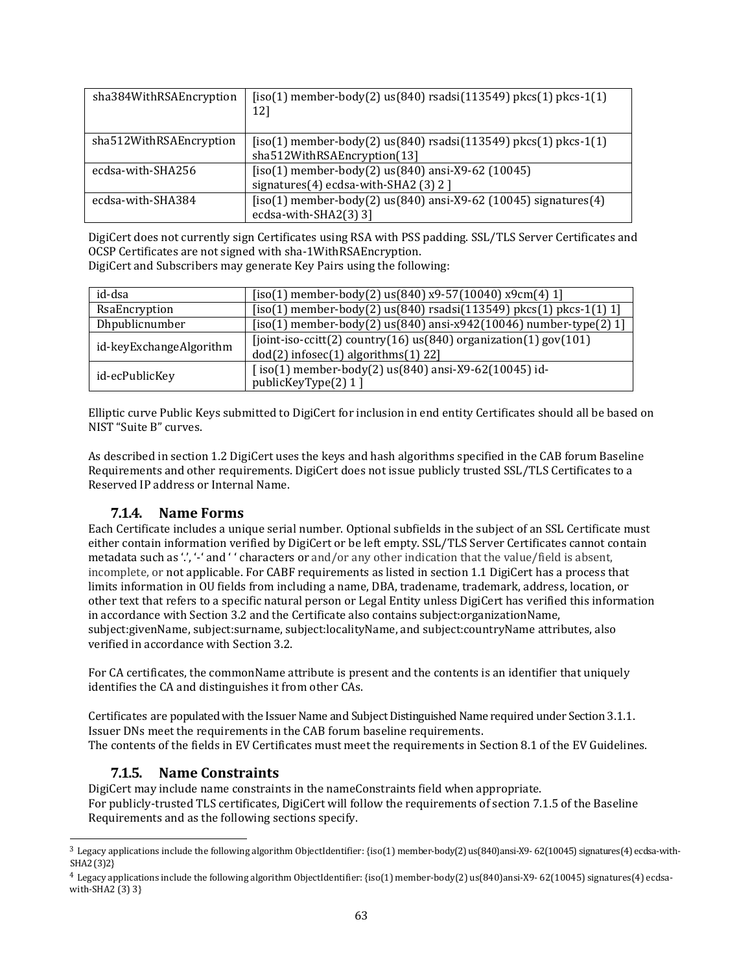| sha384WithRSAEncryption | $[iso(1)$ member-body $(2)$ us $(840)$ rsadsi $(113549)$ pkcs $(1)$ pkcs- $1(1)$<br>121                |
|-------------------------|--------------------------------------------------------------------------------------------------------|
| sha512WithRSAEncryption | $[iso(1)$ member-body(2) us(840) rsadsi(113549) pkcs(1) pkcs-1(1)<br>sha512WithRSAEncryption(13)       |
| ecdsa-with-SHA256       | $[iso(1)$ member-body $(2)$ us $(840)$ ansi-X9-62 $(10045)$<br>signatures(4) ecdsa-with-SHA2 (3) $2$ ] |
| ecdsa-with-SHA384       | $[iso(1)$ member-body $(2)$ us $(840)$ ansi-X9-62 $(10045)$ signatures $(4)$<br>ecdsa-with-SHA2(3) 3]  |

DigiCert does not currently sign Certificates using RSA with PSS padding. SSL/TLS Server Certificates and OCSP Certificates are not signed with sha-1WithRSAEncryption. DigiCert and Subscribers may generate Key Pairs using the following:

| id-dsa                  | $[iso(1)$ member-body(2) us(840) x9-57(10040) x9cm(4) 1]                                                          |
|-------------------------|-------------------------------------------------------------------------------------------------------------------|
| RsaEncryption           | $[iso(1)$ member-body(2) us(840) rsadsi(113549) pkcs(1) pkcs-1(1) 1]                                              |
| Dhpublicnumber          | $[iso(1)$ member-body(2) us(840) ansi-x942(10046) number-type(2) 1]                                               |
| id-keyExchangeAlgorithm | [joint-iso-ccitt(2) country(16) $us(840)$ organization(1) gov(101)<br>$dod(2)$ infosec $(1)$ algorithms $(1)$ 22] |
| id-ecPublicKey          | $[iso(1)$ member-body $(2)$ us $(840)$ ansi-X9-62 $(10045)$ id-<br>publicKeyType(2) 1 ]                           |

Elliptic curve Public Keys submitted to DigiCert for inclusion in end entity Certificates should all be based on NIST "Suite B" curves.

As described in section 1.2 DigiCert uses the keys and hash algorithms specified in the CAB forum Baseline Requirements and other requirements. DigiCert does not issue publicly trusted SSL/TLS Certificates to a Reserved IP address or Internal Name.

### **7.1.4. Name Forms**

Each Certificate includes a unique serial number. Optional subfields in the subject of an SSL Certificate must either contain information verified by DigiCert or be left empty. SSL/TLS Server Certificates cannot contain metadata such as '.', '-' and ' ' characters or and/or any other indication that the value/field is absent, incomplete, or not applicable. For CABF requirements as listed in section 1.1 DigiCert has a process that limits information in OU fields from including a name, DBA, tradename, trademark, address, location, or other text that refers to a specific natural person or Legal Entity unless DigiCert has verified this information in accordance with Section 3.2 and the Certificate also contains subject:organizationName, subject:givenName, subject:surname, subject:localityName, and subject:countryName attributes, also verified in accordance with Section 3.2.

For CA certificates, the commonName attribute is present and the contents is an identifier that uniquely identifies the CA and distinguishes it from other CAs.

Certificates are populated with the Issuer Name and Subject Distinguished Name required under Section 3.1.1. Issuer DNs meet the requirements in the CAB forum baseline requirements. The contents of the fields in EV Certificates must meet the requirements in Section 8.1 of the EV Guidelines.

### **7.1.5. Name Constraints**

DigiCert may include name constraints in the nameConstraints field when appropriate. For publicly-trusted TLS certificates, DigiCert will follow the requirements of section 7.1.5 of the Baseline Requirements and as the following sections specify.

 $3$  Legacy applications include the following algorithm ObjectIdentifier: {iso(1) member-body(2) us(840)ansi-X9- 62(10045) signatures(4) ecdsa-with-SHA2(3)2}

<sup>4</sup> Legacy applications include the following algorithm ObjectIdentifier:{iso(1) member-body(2) us(840)ansi-X9- 62(10045) signatures(4) ecdsawith-SHA2 (3) 3}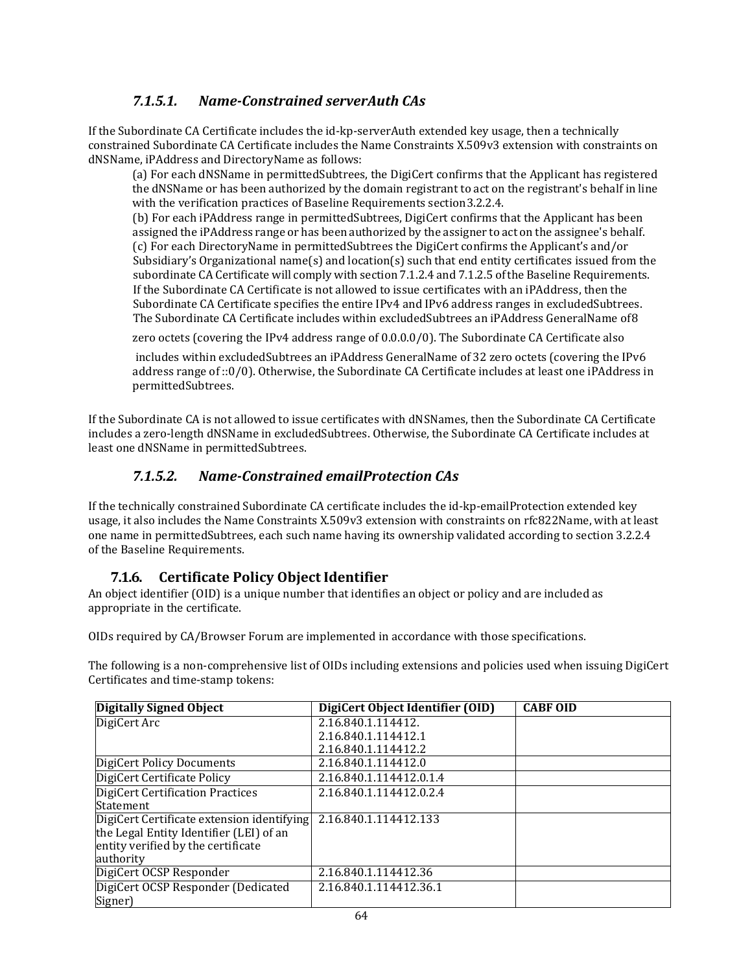## *7.1.5.1. Name-Constrained serverAuth CAs*

If the Subordinate CA Certificate includes the id-kp-serverAuth extended key usage, then a technically constrained Subordinate CA Certificate includes the Name Constraints X.509v3 extension with constraints on dNSName, iPAddress and DirectoryName as follows:

(a) For each dNSName in permittedSubtrees, the DigiCert confirms that the Applicant has registered the dNSName or has been authorized by the domain registrant to act on the registrant's behalf in line with the verification practices of Baseline Requirements section3.2.2.4.

(b) For each iPAddress range in permittedSubtrees, DigiCert confirms that the Applicant has been assigned the iPAddress range or has been authorized by the assigner to act on the assignee's behalf. (c) For each DirectoryName in permittedSubtrees the DigiCert confirms the Applicant's and/or Subsidiary's Organizational name(s) and location(s) such that end entity certificates issued from the subordinate CA Certificate will comply with section 7.1.2.4 and 7.1.2.5 ofthe Baseline Requirements. If the Subordinate CA Certificate is not allowed to issue certificates with an iPAddress, then the Subordinate CA Certificate specifies the entire IPv4 and IPv6 address ranges in excludedSubtrees. The Subordinate CA Certificate includes within excludedSubtrees an iPAddress GeneralName of8

zero octets (covering the IPv4 address range of 0.0.0.0/0). The Subordinate CA Certificate also

includes within excludedSubtrees an iPAddress GeneralName of 32 zero octets (covering the IPv6 address range of ::0/0). Otherwise, the Subordinate CA Certificate includes at least one iPAddress in permittedSubtrees.

If the Subordinate CA is not allowed to issue certificates with dNSNames, then the Subordinate CA Certificate includes a zero-length dNSName in excludedSubtrees. Otherwise, the Subordinate CA Certificate includes at least one dNSName in permittedSubtrees.

## *7.1.5.2. Name-Constrained emailProtection CAs*

If the technically constrained Subordinate CA certificate includes the id-kp-emailProtection extended key usage, it also includes the Name Constraints X.509v3 extension with constraints on rfc822Name, with at least one name in permittedSubtrees, each such name having its ownership validated according to section 3.2.2.4 of the Baseline Requirements.

### **7.1.6. Certificate Policy Object Identifier**

An object identifier (OID) is a unique number that identifies an object or policy and are included as appropriate in the certificate.

OIDs required by CA/Browser Forum are implemented in accordance with those specifications.

The following is a non-comprehensive list of OIDs including extensions and policies used when issuing DigiCert Certificates and time-stamp tokens:

| <b>Digitally Signed Object</b>             | DigiCert Object Identifier (OID) | <b>CABF OID</b> |
|--------------------------------------------|----------------------------------|-----------------|
| DigiCert Arc                               | 2.16.840.1.114412.               |                 |
|                                            | 2.16.840.1.114412.1              |                 |
|                                            | 2.16.840.1.114412.2              |                 |
| DigiCert Policy Documents                  | 2.16.840.1.114412.0              |                 |
| DigiCert Certificate Policy                | 2.16.840.1.114412.0.1.4          |                 |
| DigiCert Certification Practices           | 2.16.840.1.114412.0.2.4          |                 |
| <b>Statement</b>                           |                                  |                 |
| DigiCert Certificate extension identifying | 2.16.840.1.114412.133            |                 |
| the Legal Entity Identifier (LEI) of an    |                                  |                 |
| entity verified by the certificate         |                                  |                 |
| authority                                  |                                  |                 |
| DigiCert OCSP Responder                    | 2.16.840.1.114412.36             |                 |
| DigiCert OCSP Responder (Dedicated         | 2.16.840.1.114412.36.1           |                 |
| Signer)                                    |                                  |                 |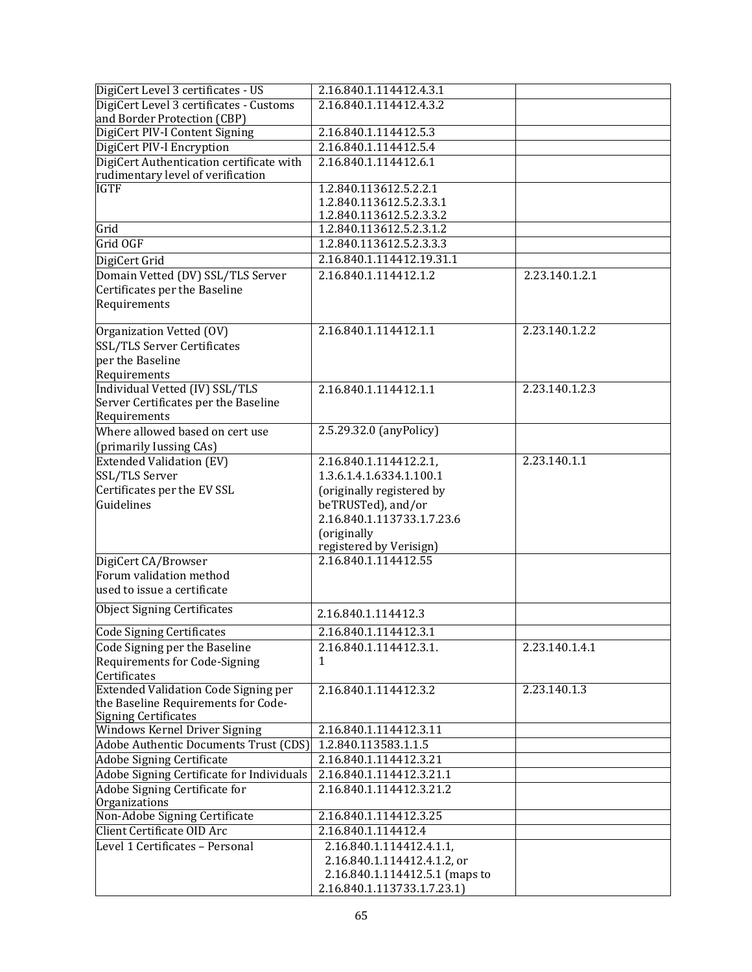| DigiCert Level 3 certificates - US                                                                         | 2.16.840.1.114412.4.3.1                                                                                                  |                |
|------------------------------------------------------------------------------------------------------------|--------------------------------------------------------------------------------------------------------------------------|----------------|
| DigiCert Level 3 certificates - Customs<br>and Border Protection (CBP)                                     | 2.16.840.1.114412.4.3.2                                                                                                  |                |
| DigiCert PIV-I Content Signing                                                                             | 2.16.840.1.114412.5.3                                                                                                    |                |
| DigiCert PIV-I Encryption                                                                                  | 2.16.840.1.114412.5.4                                                                                                    |                |
| DigiCert Authentication certificate with<br>rudimentary level of verification                              | 2.16.840.1.114412.6.1                                                                                                    |                |
| <b>IGTF</b>                                                                                                | 1.2.840.113612.5.2.2.1                                                                                                   |                |
|                                                                                                            | 1.2.840.113612.5.2.3.3.1                                                                                                 |                |
|                                                                                                            | 1.2.840.113612.5.2.3.3.2                                                                                                 |                |
| Grid                                                                                                       | 1.2.840.113612.5.2.3.1.2                                                                                                 |                |
| Grid OGF                                                                                                   | 1.2.840.113612.5.2.3.3.3                                                                                                 |                |
| DigiCert Grid                                                                                              | 2.16.840.1.114412.19.31.1                                                                                                |                |
| Domain Vetted (DV) SSL/TLS Server<br>Certificates per the Baseline<br>Requirements                         | 2.16.840.1.114412.1.2                                                                                                    | 2.23.140.1.2.1 |
|                                                                                                            |                                                                                                                          |                |
| Organization Vetted (OV)<br>SSL/TLS Server Certificates<br>per the Baseline<br>Requirements                | 2.16.840.1.114412.1.1                                                                                                    | 2.23.140.1.2.2 |
| Individual Vetted (IV) SSL/TLS                                                                             | 2.16.840.1.114412.1.1                                                                                                    | 2.23.140.1.2.3 |
| Server Certificates per the Baseline                                                                       |                                                                                                                          |                |
| Requirements                                                                                               |                                                                                                                          |                |
| Where allowed based on cert use                                                                            | 2.5.29.32.0 (anyPolicy)                                                                                                  |                |
| (primarily Iussing CAs)                                                                                    |                                                                                                                          |                |
| Extended Validation (EV)                                                                                   | 2.16.840.1.114412.2.1,                                                                                                   | 2.23.140.1.1   |
| SSL/TLS Server                                                                                             | 1.3.6.1.4.1.6334.1.100.1                                                                                                 |                |
| Certificates per the EV SSL<br>Guidelines                                                                  | (originally registered by<br>beTRUSTed), and/or<br>2.16.840.1.113733.1.7.23.6<br>(originally                             |                |
|                                                                                                            | registered by Verisign)                                                                                                  |                |
| DigiCert CA/Browser<br>Forum validation method<br>used to issue a certificate                              | 2.16.840.1.114412.55                                                                                                     |                |
| Object Signing Certificates                                                                                | 2.16.840.1.114412.3                                                                                                      |                |
| <b>Code Signing Certificates</b>                                                                           | 2.16.840.1.114412.3.1                                                                                                    |                |
| Code Signing per the Baseline<br>Requirements for Code-Signing<br>Certificates                             | 2.16.840.1.114412.3.1.<br>1                                                                                              | 2.23.140.1.4.1 |
| Extended Validation Code Signing per<br>the Baseline Requirements for Code-<br><b>Signing Certificates</b> | 2.16.840.1.114412.3.2                                                                                                    | 2.23.140.1.3   |
| Windows Kernel Driver Signing                                                                              | 2.16.840.1.114412.3.11                                                                                                   |                |
| Adobe Authentic Documents Trust (CDS)                                                                      | 1.2.840.113583.1.1.5                                                                                                     |                |
| <b>Adobe Signing Certificate</b>                                                                           | 2.16.840.1.114412.3.21                                                                                                   |                |
| Adobe Signing Certificate for Individuals                                                                  | 2.16.840.1.114412.3.21.1                                                                                                 |                |
| Adobe Signing Certificate for<br>Organizations                                                             | 2.16.840.1.114412.3.21.2                                                                                                 |                |
| Non-Adobe Signing Certificate                                                                              | 2.16.840.1.114412.3.25                                                                                                   |                |
| Client Certificate OID Arc                                                                                 | 2.16.840.1.114412.4                                                                                                      |                |
| Level 1 Certificates - Personal                                                                            | 2.16.840.1.114412.4.1.1,<br>2.16.840.1.114412.4.1.2, or<br>2.16.840.1.114412.5.1 (maps to<br>2.16.840.1.113733.1.7.23.1) |                |
|                                                                                                            |                                                                                                                          |                |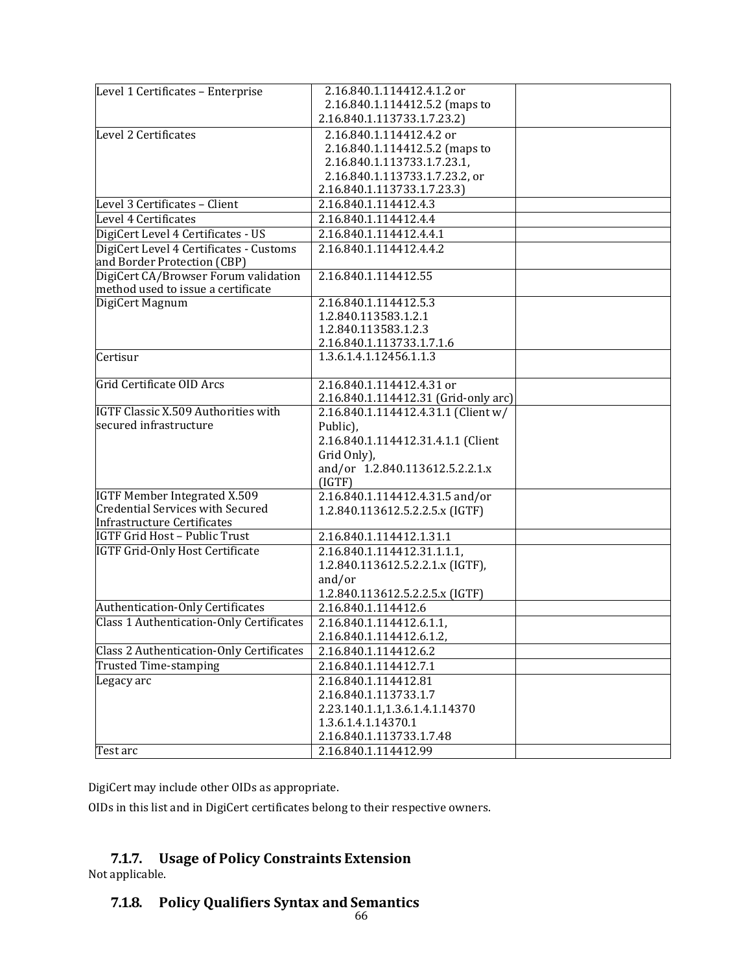| Level 1 Certificates - Enterprise               | 2.16.840.1.114412.4.1.2 or                                    |  |
|-------------------------------------------------|---------------------------------------------------------------|--|
|                                                 | 2.16.840.1.114412.5.2 (maps to                                |  |
|                                                 | 2.16.840.1.113733.1.7.23.2)                                   |  |
| Level 2 Certificates                            | 2.16.840.1.114412.4.2 or                                      |  |
|                                                 | 2.16.840.1.114412.5.2 (maps to                                |  |
|                                                 | 2.16.840.1.113733.1.7.23.1,                                   |  |
|                                                 | 2.16.840.1.113733.1.7.23.2, or<br>2.16.840.1.113733.1.7.23.3) |  |
| Level 3 Certificates - Client                   | 2.16.840.1.114412.4.3                                         |  |
| Level 4 Certificates                            | 2.16.840.1.114412.4.4                                         |  |
| DigiCert Level 4 Certificates - US              | 2.16.840.1.114412.4.4.1                                       |  |
| DigiCert Level 4 Certificates - Customs         | 2.16.840.1.114412.4.4.2                                       |  |
| and Border Protection (CBP)                     |                                                               |  |
| DigiCert CA/Browser Forum validation            | 2.16.840.1.114412.55                                          |  |
| method used to issue a certificate              |                                                               |  |
| DigiCert Magnum                                 | 2.16.840.1.114412.5.3                                         |  |
|                                                 | 1.2.840.113583.1.2.1                                          |  |
|                                                 | 1.2.840.113583.1.2.3                                          |  |
|                                                 | 2.16.840.1.113733.1.7.1.6                                     |  |
| Certisur                                        | 1.3.6.1.4.1.12456.1.1.3                                       |  |
| Grid Certificate OID Arcs                       | 2.16.840.1.114412.4.31 or                                     |  |
|                                                 | 2.16.840.1.114412.31 (Grid-only arc)                          |  |
| <b>IGTF Classic X.509 Authorities with</b>      | 2.16.840.1.114412.4.31.1 (Client w/                           |  |
| secured infrastructure                          | Public),                                                      |  |
|                                                 | 2.16.840.1.114412.31.4.1.1 (Client                            |  |
|                                                 | Grid Only),                                                   |  |
|                                                 | and/or 1.2.840.113612.5.2.2.1.x                               |  |
|                                                 | (IGTF)                                                        |  |
| <b>IGTF Member Integrated X.509</b>             | 2.16.840.1.114412.4.31.5 and/or                               |  |
| <b>Credential Services with Secured</b>         | 1.2.840.113612.5.2.2.5.x (IGTF)                               |  |
| Infrastructure Certificates                     |                                                               |  |
| IGTF Grid Host - Public Trust                   | 2.16.840.1.114412.1.31.1                                      |  |
| <b>IGTF Grid-Only Host Certificate</b>          | 2.16.840.1.114412.31.1.1.1,                                   |  |
|                                                 | 1.2.840.113612.5.2.2.1.x (IGTF),                              |  |
|                                                 | and/or                                                        |  |
| Authentication-Only Certificates                | 1.2.840.113612.5.2.2.5.x (IGTF)<br>2.16.840.1.114412.6        |  |
| <b>Class 1 Authentication-Only Certificates</b> | 2.16.840.1.114412.6.1.1,                                      |  |
|                                                 | 2.16.840.1.114412.6.1.2,                                      |  |
| <b>Class 2 Authentication-Only Certificates</b> | 2.16.840.1.114412.6.2                                         |  |
| Trusted Time-stamping                           | 2.16.840.1.114412.7.1                                         |  |
| Legacy arc                                      | 2.16.840.1.114412.81                                          |  |
|                                                 | 2.16.840.1.113733.1.7                                         |  |
|                                                 | 2.23.140.1.1,1.3.6.1.4.1.14370                                |  |
|                                                 | 1.3.6.1.4.1.14370.1                                           |  |
|                                                 | 2.16.840.1.113733.1.7.48                                      |  |
| Test arc                                        | 2.16.840.1.114412.99                                          |  |
|                                                 |                                                               |  |

DigiCert may include other OIDs as appropriate.

OIDs in this list and in DigiCert certificates belong to their respective owners.

# **7.1.7. Usage of Policy Constraints Extension**

Not applicable.

# **7.1.8. Policy Qualifiers Syntax and Semantics**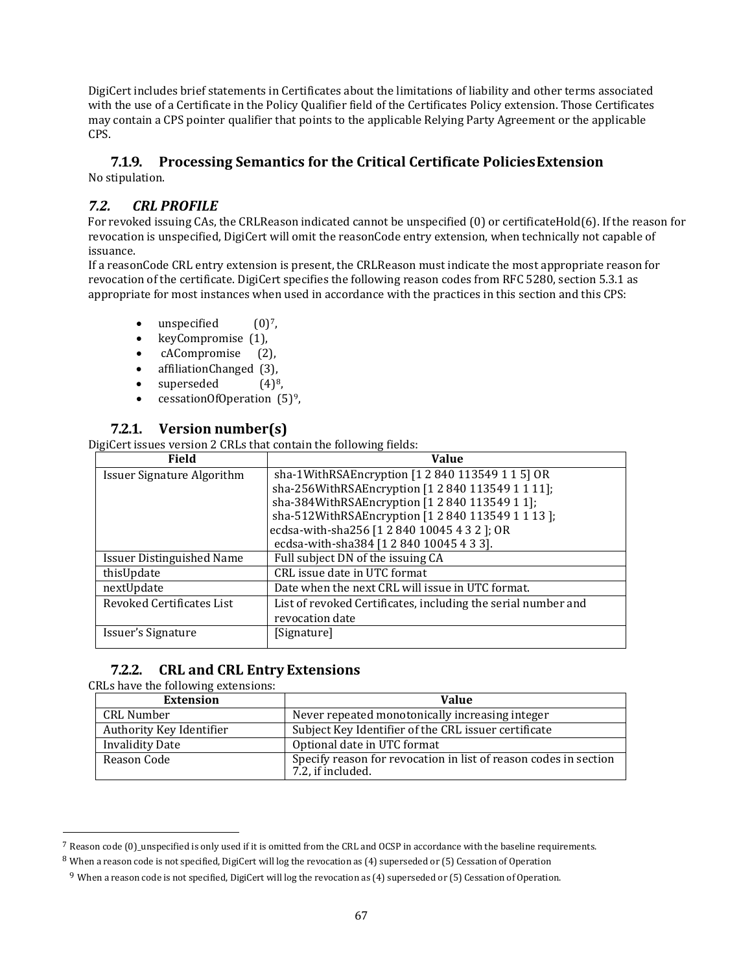DigiCert includes brief statements in Certificates about the limitations of liability and other terms associated with the use of a Certificate in the Policy Qualifier field of the Certificates Policy extension. Those Certificates may contain a CPS pointer qualifier that points to the applicable Relying Party Agreement or the applicable CPS.

#### **7.1.9. Processing Semantics for the Critical Certificate PoliciesExtension** No stipulation.

### *7.2. CRL PROFILE*

For revoked issuing CAs, the CRLReason indicated cannot be unspecified (0) or certificateHold(6). If the reason for revocation is unspecified, DigiCert will omit the reasonCode entry extension, when technically not capable of issuance.

If a reasonCode CRL entry extension is present, the CRLReason must indicate the most appropriate reason for revocation of the certificate. DigiCert specifies the following reason codes from RFC 5280, section 5.3.1 as appropriate for most instances when used in accordance with the practices in this section and this CPS:

- unspecified  $(0)^7$  $(0)^7$ ,
- 
- keyCompromise (1),<br>cACompromise (2), cACompromise
- affiliationChanged (3),<br>• superseded  $(4)^8$ ,
- superseded
- cessationOfOperation  $(5)^9$  $(5)^9$ ,

#### **7.2.1. Version number(s)**

DigiCert issues version 2 CRLs that contain the following fields:

| <b>Field</b>                      | <b>Value</b>                                                  |
|-----------------------------------|---------------------------------------------------------------|
| <b>Issuer Signature Algorithm</b> | sha-1WithRSAEncryption [1 2 840 113549 1 1 5] OR              |
|                                   | sha-256WithRSAEncryption [1 2 840 113549 1 1 11];             |
|                                   | sha-384WithRSAEncryption [1 2 840 113549 1 1];                |
|                                   | sha-512WithRSAEncryption [1 2 840 113549 1 1 13 ];            |
|                                   | ecdsa-with-sha256 [1 2 840 10045 4 3 2 ]; OR                  |
|                                   | ecdsa-with-sha384 [1 2 840 10045 4 3 3].                      |
| <b>Issuer Distinguished Name</b>  | Full subject DN of the issuing CA                             |
| thisUpdate                        | CRL issue date in UTC format                                  |
| nextUpdate                        | Date when the next CRL will issue in UTC format.              |
| Revoked Certificates List         | List of revoked Certificates, including the serial number and |
|                                   | revocation date                                               |
| Issuer's Signature                | [Signature]                                                   |

#### **7.2.2. CRL and CRL Entry Extensions**

#### CRLs have the following extensions:

| <b>Extension</b>         | Value                                                                                 |
|--------------------------|---------------------------------------------------------------------------------------|
| CRL Number               | Never repeated monotonically increasing integer                                       |
| Authority Key Identifier | Subject Key Identifier of the CRL issuer certificate                                  |
| <b>Invalidity Date</b>   | Optional date in UTC format                                                           |
| Reason Code              | Specify reason for revocation in list of reason codes in section<br>7.2, if included. |

<span id="page-66-2"></span><span id="page-66-1"></span><span id="page-66-0"></span> $^7$  Reason code (0)\_unspecified is only used if it is omitted from the CRL and OCSP in accordance with the baseline requirements. <sup>8</sup> When a reason code is not specified, DigiCert will log the revocation as (4) superseded or (5) Cessation of Operation

<sup>&</sup>lt;sup>9</sup> When a reason code is not specified, DigiCert will log the revocation as (4) superseded or (5) Cessation of Operation.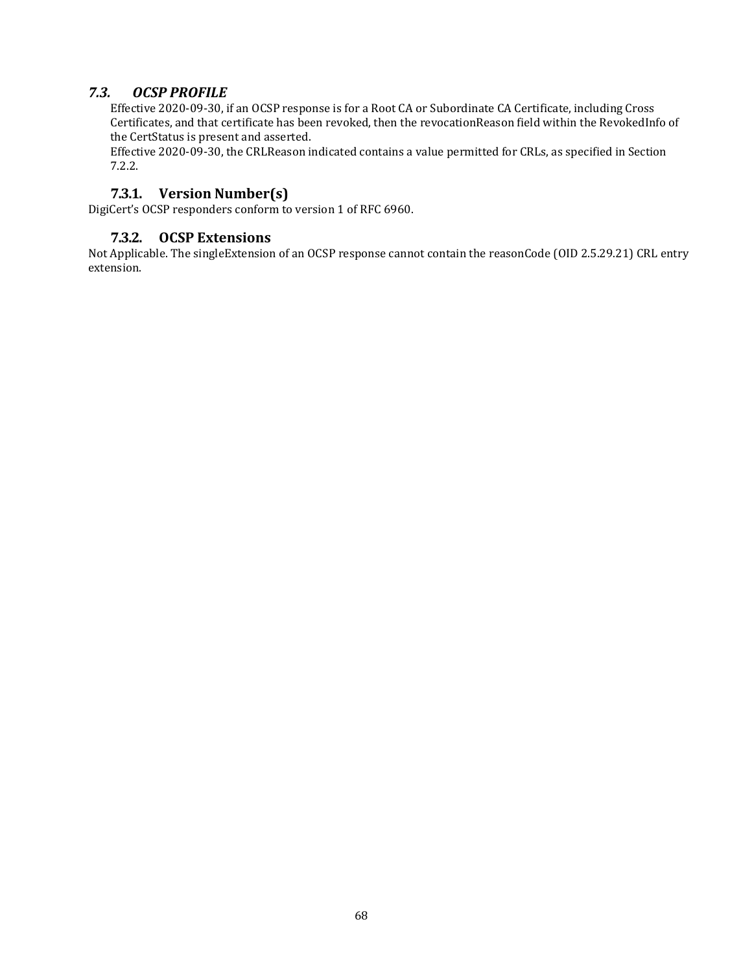### *7.3. OCSP PROFILE*

Effective 2020-09-30, if an OCSP response is for a Root CA or Subordinate CA Certificate, including Cross Certificates, and that certificate has been revoked, then the revocationReason field within the RevokedInfo of the CertStatus is present and asserted.

Effective 2020-09-30, the CRLReason indicated contains a value permitted for CRLs, as specified in Section 7.2.2.

#### **7.3.1. Version Number(s)**

DigiCert's OCSP responders conform to version 1 of RFC 6960.

#### **7.3.2. OCSP Extensions**

Not Applicable. The singleExtension of an OCSP response cannot contain the reasonCode (OID 2.5.29.21) CRL entry extension.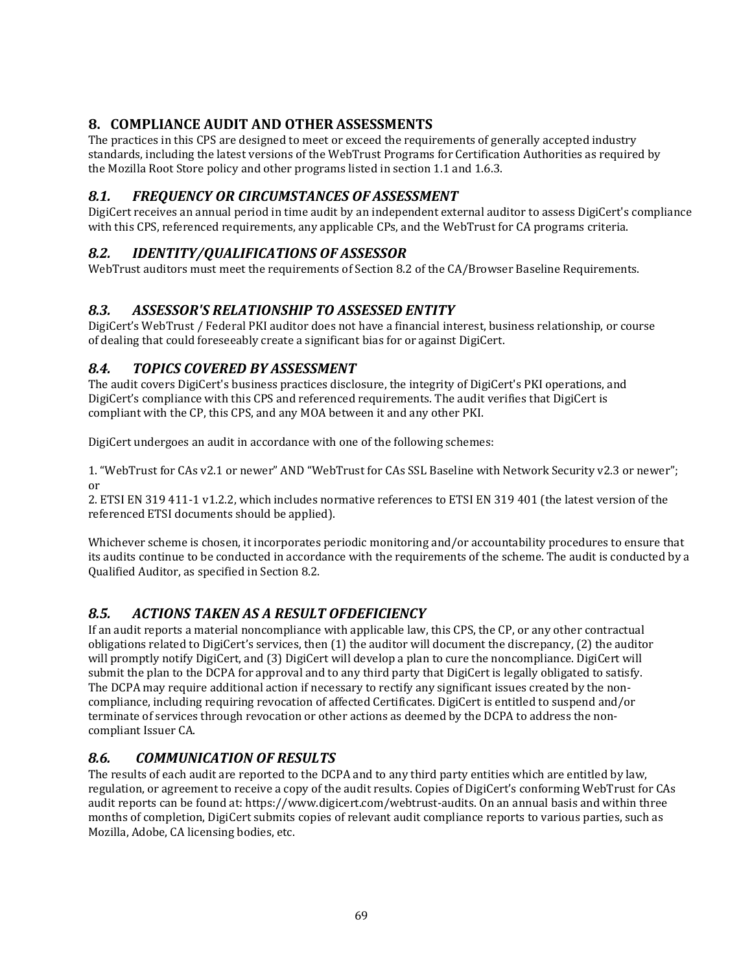# **8. COMPLIANCE AUDIT AND OTHER ASSESSMENTS**

The practices in this CPS are designed to meet or exceed the requirements of generally accepted industry standards, including the latest versions of the WebTrust Programs for Certification Authorities as required by the Mozilla Root Store policy and other programs listed in section 1.1 and 1.6.3.

## *8.1. FREQUENCY OR CIRCUMSTANCES OF ASSESSMENT*

DigiCert receives an annual period in time audit by an independent external auditor to assess DigiCert's compliance with this CPS, referenced requirements, any applicable CPs, and the WebTrust for CA programs criteria.

## *8.2. IDENTITY/QUALIFICATIONS OF ASSESSOR*

WebTrust auditors must meet the requirements of Section 8.2 of the CA/Browser Baseline Requirements.

## *8.3. ASSESSOR'S RELATIONSHIP TO ASSESSED ENTITY*

DigiCert's WebTrust / Federal PKI auditor does not have a financial interest, business relationship, or course of dealing that could foreseeably create a significant bias for or against DigiCert.

### *8.4. TOPICS COVERED BY ASSESSMENT*

The audit covers DigiCert's business practices disclosure, the integrity of DigiCert's PKI operations, and DigiCert's compliance with this CPS and referenced requirements. The audit verifies that DigiCert is compliant with the CP, this CPS, and any MOA between it and any other PKI.

DigiCert undergoes an audit in accordance with one of the following schemes:

1. "WebTrust for CAs v2.1 or newer" AND "WebTrust for CAs SSL Baseline with Network Security v2.3 or newer"; or

2. ETSI EN 319 411-1 v1.2.2, which includes normative references to ETSI EN 319 401 (the latest version of the referenced ETSI documents should be applied).

Whichever scheme is chosen, it incorporates periodic monitoring and/or accountability procedures to ensure that its audits continue to be conducted in accordance with the requirements of the scheme. The audit is conducted by a Qualified Auditor, as specified in Section 8.2.

# *8.5. ACTIONS TAKEN AS A RESULT OFDEFICIENCY*

If an audit reports a material noncompliance with applicable law, this CPS, the CP, or any other contractual obligations related to DigiCert's services, then (1) the auditor will document the discrepancy, (2) the auditor will promptly notify DigiCert, and (3) DigiCert will develop a plan to cure the noncompliance. DigiCert will submit the plan to the DCPA for approval and to any third party that DigiCert is legally obligated to satisfy. The DCPA may require additional action if necessary to rectify any significant issues created by the noncompliance, including requiring revocation of affected Certificates. DigiCert is entitled to suspend and/or terminate of services through revocation or other actions as deemed by the DCPA to address the noncompliant Issuer CA.

### *8.6. COMMUNICATION OF RESULTS*

The results of each audit are reported to the DCPA and to any third party entities which are entitled by law, regulation, or agreement to receive a copy of the audit results. Copies of DigiCert's conforming WebTrust for CAs audit reports can be found at: htt[ps://www.digicert.com/webtrust-audits. O](http://www.digicert.com/webtrust-audits)n an annual basis and within three months of completion, DigiCert submits copies of relevant audit compliance reports to various parties, such as Mozilla, Adobe, CA licensing bodies, etc.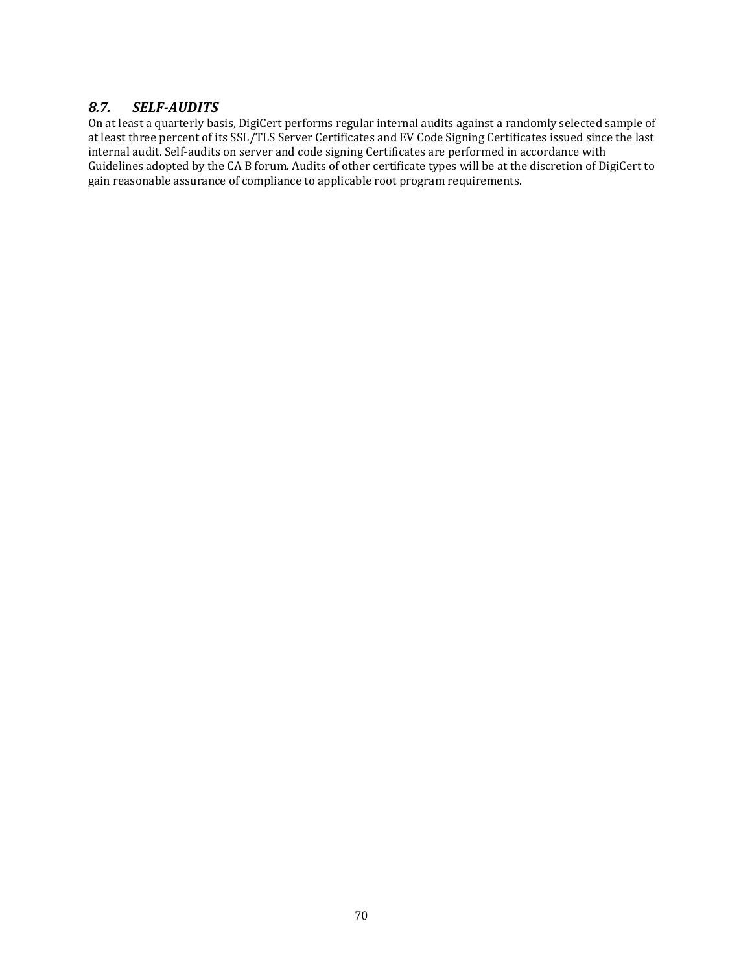### *8.7. SELF-AUDITS*

On at least a quarterly basis, DigiCert performs regular internal audits against a randomly selected sample of at least three percent of its SSL/TLS Server Certificates and EV Code Signing Certificates issued since the last internal audit. Self-audits on server and code signing Certificates are performed in accordance with Guidelines adopted by the CA B forum. Audits of other certificate types will be at the discretion of DigiCert to gain reasonable assurance of compliance to applicable root program requirements.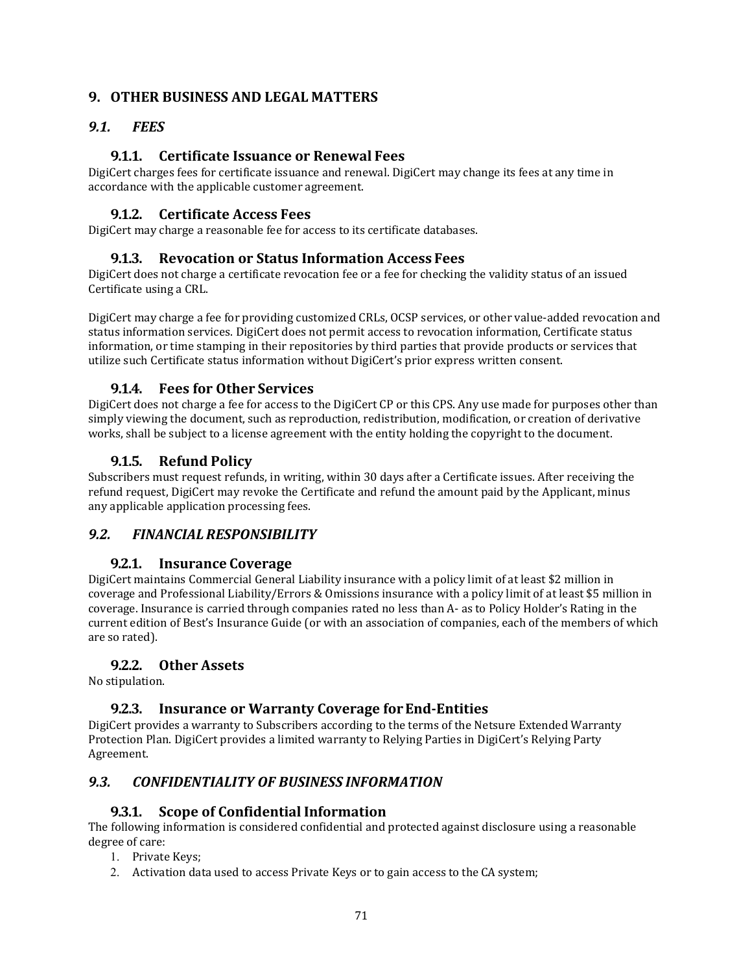## **9. OTHER BUSINESS AND LEGAL MATTERS**

### *9.1. FEES*

### **9.1.1. Certificate Issuance or Renewal Fees**

DigiCert charges fees for certificate issuance and renewal. DigiCert may change its fees at any time in accordance with the applicable customer agreement.

### **9.1.2. Certificate Access Fees**

DigiCert may charge a reasonable fee for access to its certificate databases.

#### **9.1.3. Revocation or Status Information Access Fees**

DigiCert does not charge a certificate revocation fee or a fee for checking the validity status of an issued Certificate using a CRL.

DigiCert may charge a fee for providing customized CRLs, OCSP services, or other value-added revocation and status information services. DigiCert does not permit access to revocation information, Certificate status information, or time stamping in their repositories by third parties that provide products or services that utilize such Certificate status information without DigiCert's prior express written consent.

#### **9.1.4. Fees for Other Services**

DigiCert does not charge a fee for access to the DigiCert CP or this CPS. Any use made for purposes other than simply viewing the document, such as reproduction, redistribution, modification, or creation of derivative works, shall be subject to a license agreement with the entity holding the copyright to the document.

### **9.1.5. Refund Policy**

Subscribers must request refunds, in writing, within 30 days after a Certificate issues. After receiving the refund request, DigiCert may revoke the Certificate and refund the amount paid by the Applicant, minus any applicable application processing fees.

#### *9.2. FINANCIAL RESPONSIBILITY*

#### **9.2.1. Insurance Coverage**

DigiCert maintains Commercial General Liability insurance with a policy limit of at least \$2 million in coverage and Professional Liability/Errors & Omissions insurance with a policy limit of at least \$5 million in coverage. Insurance is carried through companies rated no less than A- as to Policy Holder's Rating in the current edition of Best's Insurance Guide (or with an association of companies, each of the members of which are so rated).

#### **9.2.2. Other Assets**

No stipulation.

#### **9.2.3. Insurance or Warranty Coverage forEnd-Entities**

DigiCert provides a warranty to Subscribers according to the terms of the Netsure Extended Warranty Protection Plan. DigiCert provides a limited warranty to Relying Parties in DigiCert's Relying Party Agreement.

#### *9.3. CONFIDENTIALITY OF BUSINESS INFORMATION*

#### **9.3.1. Scope of Confidential Information**

The following information is considered confidential and protected against disclosure using a reasonable degree of care:

- 1. Private Keys;
- 2. Activation data used to access Private Keys or to gain access to the CA system;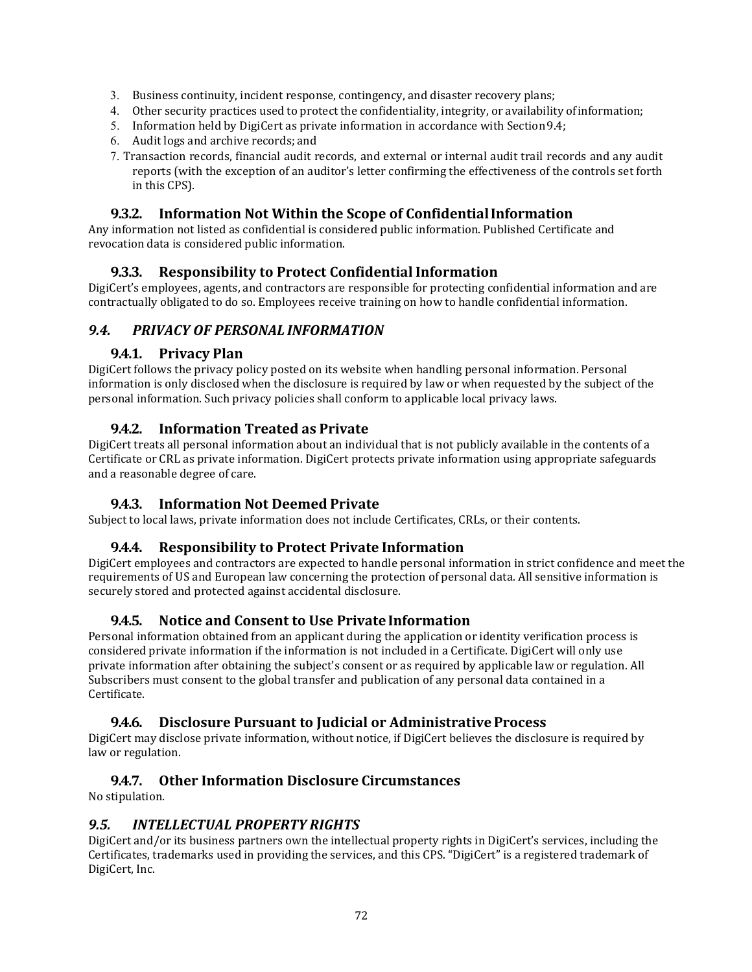- 3. Business continuity, incident response, contingency, and disaster recovery plans;
- 4. Other security practices used to protect the confidentiality, integrity, or availability ofinformation;
- 5. Information held by DigiCert as private information in accordance with Section9.4;
- 6. Audit logs and archive records; and
- 7. Transaction records, financial audit records, and external or internal audit trail records and any audit reports (with the exception of an auditor's letter confirming the effectiveness of the controls set forth in this CPS).

## **9.3.2. Information Not Within the Scope of ConfidentialInformation**

Any information not listed as confidential is considered public information. Published Certificate and revocation data is considered public information.

### **9.3.3. Responsibility to Protect Confidential Information**

DigiCert's employees, agents, and contractors are responsible for protecting confidential information and are contractually obligated to do so. Employees receive training on how to handle confidential information.

### *9.4. PRIVACY OF PERSONAL INFORMATION*

### **9.4.1. Privacy Plan**

DigiCert follows the privacy policy posted on its website when handling personal information. Personal information is only disclosed when the disclosure is required by law or when requested by the subject of the personal information. Such privacy policies shall conform to applicable local privacy laws.

### **9.4.2. Information Treated as Private**

DigiCert treats all personal information about an individual that is not publicly available in the contents of a Certificate or CRL as private information. DigiCert protects private information using appropriate safeguards and a reasonable degree of care.

### **9.4.3. Information Not Deemed Private**

Subject to local laws, private information does not include Certificates, CRLs, or their contents.

#### **9.4.4. Responsibility to Protect Private Information**

DigiCert employees and contractors are expected to handle personal information in strict confidence and meet the requirements of US and European law concerning the protection of personal data. All sensitive information is securely stored and protected against accidental disclosure.

### **9.4.5. Notice and Consent to Use PrivateInformation**

Personal information obtained from an applicant during the application or identity verification process is considered private information if the information is not included in a Certificate. DigiCert will only use private information after obtaining the subject's consent or as required by applicable law or regulation. All Subscribers must consent to the global transfer and publication of any personal data contained in a Certificate.

### **9.4.6. Disclosure Pursuant to Judicial or Administrative Process**

DigiCert may disclose private information, without notice, if DigiCert believes the disclosure is required by law or regulation.

### **9.4.7. Other Information Disclosure Circumstances**

No stipulation.

### *9.5. INTELLECTUAL PROPERTY RIGHTS*

DigiCert and/or its business partners own the intellectual property rights in DigiCert's services, including the Certificates, trademarks used in providing the services, and this CPS. "DigiCert" is a registered trademark of DigiCert, Inc.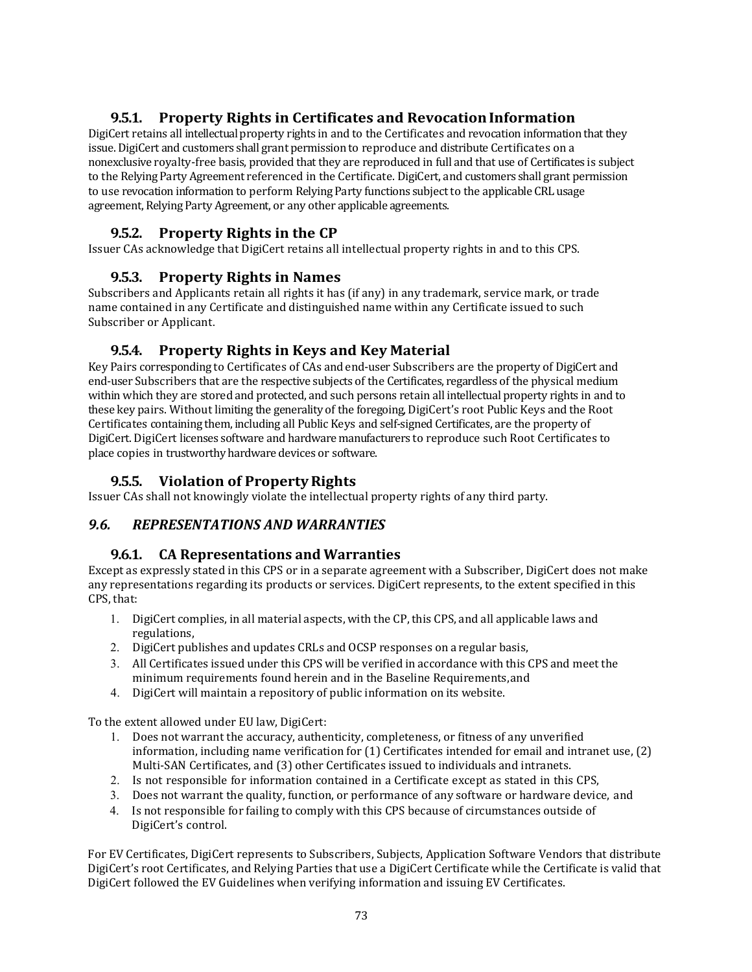## **9.5.1. Property Rights in Certificates and RevocationInformation**

DigiCert retains all intellectual property rights in and to the Certificates and revocation information that they issue. DigiCert and customers shall grant permission to reproduce and distribute Certificates on a nonexclusive royalty-free basis, provided that they are reproduced in full and that use of Certificates is subject to the Relying Party Agreement referenced in the Certificate. DigiCert, and customers shall grant permission to use revocation information to perform Relying Party functions subject to the applicable CRL usage agreement, Relying Party Agreement, or any other applicable agreements.

## **9.5.2. Property Rights in the CP**

Issuer CAs acknowledge that DigiCert retains all intellectual property rights in and to this CPS.

## **9.5.3. Property Rights in Names**

Subscribers and Applicants retain all rights it has (if any) in any trademark, service mark, or trade name contained in any Certificate and distinguished name within any Certificate issued to such Subscriber or Applicant.

## **9.5.4. Property Rights in Keys and Key Material**

Key Pairs corresponding to Certificates of CAs and end-user Subscribers are the property of DigiCert and end-user Subscribers that are the respective subjects of the Certificates, regardless of the physical medium within which they are stored and protected, and such persons retain all intellectual property rights in and to these key pairs. Without limiting the generality of the foregoing, DigiCert's root Public Keys and the Root Certificates containing them, including all Public Keys and self-signed Certificates, are the property of DigiCert. DigiCert licenses software and hardware manufacturers to reproduce such Root Certificates to place copies in trustworthy hardware devices or software.

## **9.5.5. Violation of PropertyRights**

Issuer CAs shall not knowingly violate the intellectual property rights of any third party.

### *9.6. REPRESENTATIONS AND WARRANTIES*

### **9.6.1. CA Representations and Warranties**

Except as expressly stated in this CPS or in a separate agreement with a Subscriber, DigiCert does not make any representations regarding its products or services. DigiCert represents, to the extent specified in this CPS, that:

- 1. DigiCert complies, in all material aspects, with the CP, this CPS, and all applicable laws and regulations,
- 2. DigiCert publishes and updates CRLs and OCSP responses on a regular basis,
- 3. All Certificates issued under this CPS will be verified in accordance with this CPS and meet the minimum requirements found herein and in the Baseline Requirements,and
- 4. DigiCert will maintain a repository of public information on its website.

To the extent allowed under EU law, DigiCert:

- 1. Does not warrant the accuracy, authenticity, completeness, or fitness of any unverified information, including name verification for (1) Certificates intended for email and intranet use, (2) Multi-SAN Certificates, and (3) other Certificates issued to individuals and intranets.
- 2. Is not responsible for information contained in a Certificate except as stated in this CPS,
- 3. Does not warrant the quality, function, or performance of any software or hardware device, and
- 4. Is not responsible for failing to comply with this CPS because of circumstances outside of DigiCert's control.

For EV Certificates, DigiCert represents to Subscribers, Subjects, Application Software Vendors that distribute DigiCert's root Certificates, and Relying Parties that use a DigiCert Certificate while the Certificate is valid that DigiCert followed the EV Guidelines when verifying information and issuing EV Certificates.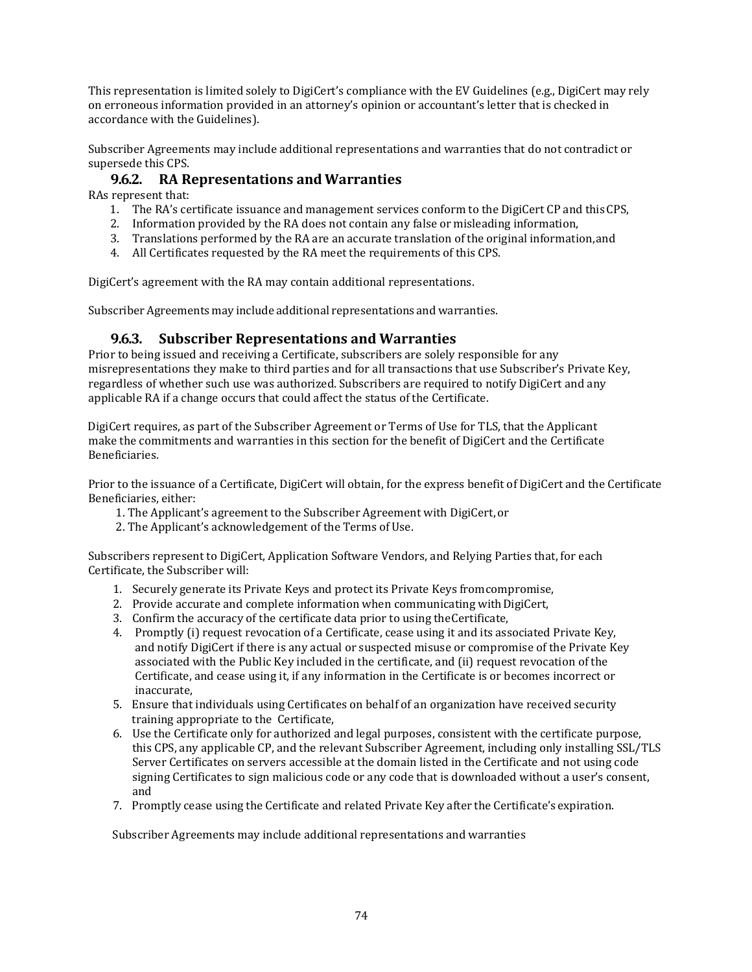This representation is limited solely to DigiCert's compliance with the EV Guidelines (e.g., DigiCert may rely on erroneous information provided in an attorney's opinion or accountant's letter that is checked in accordance with the Guidelines).

Subscriber Agreements may include additional representations and warranties that do not contradict or supersede this CPS.

### **9.6.2. RA Representations and Warranties**

RAs represent that:

- 1. The RA's certificate issuance and management services conform to the DigiCert CP and thisCPS,
- 2. Information provided by the RA does not contain any false or misleading information,
- 3. Translations performed by the RA are an accurate translation of the original information,and
- 4. All Certificates requested by the RA meet the requirements of this CPS.

DigiCert's agreement with the RA may contain additional representations.

Subscriber Agreements may include additional representations and warranties.

#### **9.6.3. Subscriber Representations and Warranties**

Prior to being issued and receiving a Certificate, subscribers are solely responsible for any misrepresentations they make to third parties and for all transactions that use Subscriber's Private Key, regardless of whether such use was authorized. Subscribers are required to notify DigiCert and any applicable RA if a change occurs that could affect the status of the Certificate.

DigiCert requires, as part of the Subscriber Agreement or Terms of Use for TLS, that the Applicant make the commitments and warranties in this section for the benefit of DigiCert and the Certificate Beneficiaries.

Prior to the issuance of a Certificate, DigiCert will obtain, for the express benefit of DigiCert and the Certificate Beneficiaries, either:

- 1. The Applicant's agreement to the Subscriber Agreement with DigiCert,or
- 2. The Applicant's acknowledgement of the Terms ofUse.

Subscribers represent to DigiCert, Application Software Vendors, and Relying Parties that, for each Certificate, the Subscriber will:

- 1. Securely generate its Private Keys and protect its Private Keys fromcompromise,
- 2. Provide accurate and complete information when communicating with DigiCert,
- 3. Confirm the accuracy of the certificate data prior to using theCertificate,
- 4. Promptly (i) request revocation of a Certificate, cease using it and its associated Private Key, and notify DigiCert if there is any actual or suspected misuse or compromise of the Private Key associated with the Public Key included in the certificate, and (ii) request revocation of the Certificate, and cease using it, if any information in the Certificate is or becomes incorrect or inaccurate,
- 5. Ensure that individuals using Certificates on behalf of an organization have received security training appropriate to the Certificate,
- 6. Use the Certificate only for authorized and legal purposes, consistent with the certificate purpose, this CPS, any applicable CP, and the relevant Subscriber Agreement, including only installing SSL/TLS Server Certificates on servers accessible at the domain listed in the Certificate and not using code signing Certificates to sign malicious code or any code that is downloaded without a user's consent, and
- 7. Promptly cease using the Certificate and related Private Key after the Certificate's expiration.

Subscriber Agreements may include additional representations and warranties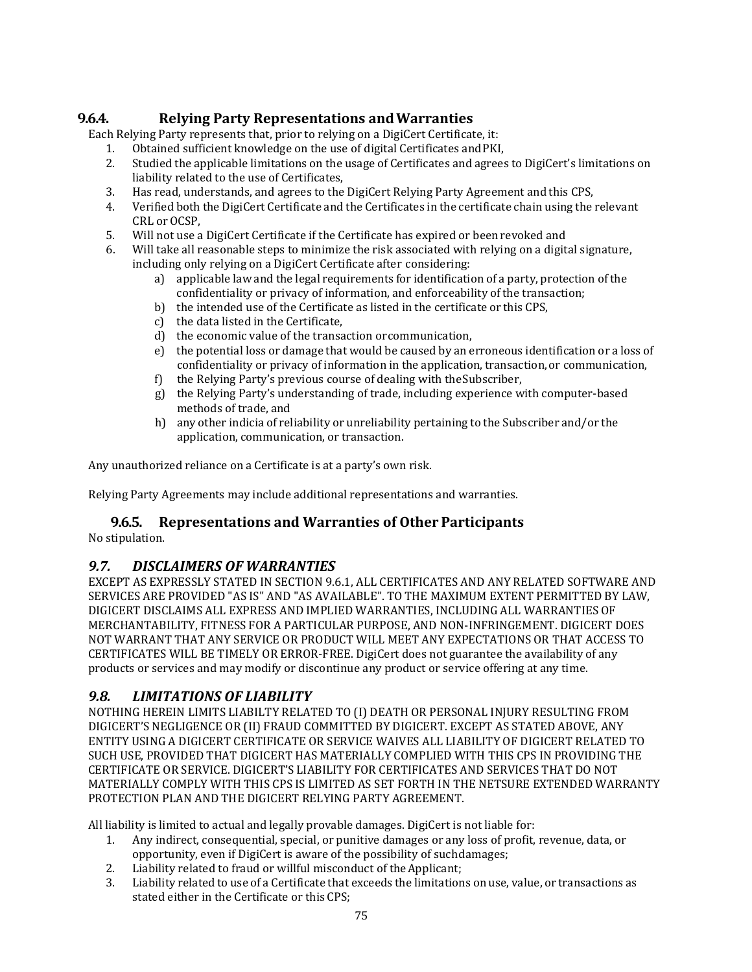# **9.6.4. Relying Party Representations andWarranties**

Each Relying Party represents that, prior to relying on a DigiCert Certificate, it:

- 1. Obtained sufficient knowledge on the use of digital Certificates and PKI,<br>2. Studied the applicable limitations on the usage of Certificates and agrees
- 2. Studied the applicable limitations on the usage of Certificates and agrees to DigiCert's limitations on liability related to the use of Certificates,
- 
- 3. Has read, understands, and agrees to the DigiCert Relying Party Agreement and this CPS, 4. Verified both the DigiCert Certificate and the Certificates in the certificate chain using the relevant CRL or OCSP,
- 5. Will not use a DigiCert Certificate if the Certificate has expired or been revoked and 6. Will take all reasonable steps to minimize the risk associated with relying on a digited
- Will take all reasonable steps to minimize the risk associated with relying on a digital signature, including only relying on a DigiCert Certificate after considering:
	- a) applicable law and the legal requirements for identification of a party, protection of the confidentiality or privacy of information, and enforceability ofthe transaction;
	- b) the intended use of the Certificate as listed in the certificate or this CPS,
	- c) the data listed in the Certificate,
	- d) the economic value of the transaction orcommunication,
	- e) the potential loss or damage that would be caused by an erroneous identification or a loss of confidentiality or privacy of information in the application, transaction, or communication,
	- f) the Relying Party's previous course of dealing with theSubscriber,
	- g) the Relying Party's understanding of trade, including experience with computer-based methods of trade, and
	- h) any other indicia of reliability or unreliability pertaining to the Subscriber and/or the application, communication, or transaction.

Any unauthorized reliance on a Certificate is at a party's own risk.

Relying Party Agreements may include additional representations and warranties.

## **9.6.5. Representations and Warranties of Other Participants**

No stipulation.

## *9.7. DISCLAIMERS OF WARRANTIES*

EXCEPT AS EXPRESSLY STATED IN SECTION 9.6.1, ALL CERTIFICATES AND ANY RELATED SOFTWARE AND SERVICES ARE PROVIDED "AS IS" AND "AS AVAILABLE". TO THE MAXIMUM EXTENT PERMITTED BY LAW, DIGICERT DISCLAIMS ALL EXPRESS AND IMPLIED WARRANTIES, INCLUDING ALL WARRANTIES OF MERCHANTABILITY, FITNESS FOR A PARTICULAR PURPOSE, AND NON-INFRINGEMENT. DIGICERT DOES NOT WARRANT THAT ANY SERVICE OR PRODUCT WILL MEET ANY EXPECTATIONS OR THAT ACCESS TO CERTIFICATES WILL BE TIMELY OR ERROR-FREE. DigiCert does not guarantee the availability of any products or services and may modify or discontinue any product or service offering at any time.

## *9.8. LIMITATIONS OF LIABILITY*

NOTHING HEREIN LIMITS LIABILTY RELATED TO (I) DEATH OR PERSONAL INJURY RESULTING FROM DIGICERT'S NEGLIGENCE OR (II) FRAUD COMMITTED BY DIGICERT. EXCEPT AS STATED ABOVE, ANY ENTITY USING A DIGICERT CERTIFICATE OR SERVICE WAIVES ALL LIABILITY OF DIGICERT RELATED TO SUCH USE, PROVIDED THAT DIGICERT HAS MATERIALLY COMPLIED WITH THIS CPS IN PROVIDING THE CERTIFICATE OR SERVICE. DIGICERT'S LIABILITY FOR CERTIFICATES AND SERVICES THAT DO NOT MATERIALLY COMPLY WITH THIS CPS IS LIMITED AS SET FORTH IN THE NETSURE EXTENDED WARRANTY PROTECTION PLAN AND THE DIGICERT RELYING PARTY AGREEMENT.

All liability is limited to actual and legally provable damages. DigiCert is not liable for:<br>1. Any indirect, consequential, special, or punitive damages or any loss of profit.

- 1. Any indirect, consequential, special, or punitive damages or any loss of profit, revenue, data, or opportunity, even if DigiCert is aware of the possibility of suchdamages;
- 2. Liability related to fraud or willful misconduct of the Applicant;<br>3. Liability related to use of a Certificate that exceeds the limitation
- 3. Liability related to use of a Certificate that exceeds the limitations on use, value, or transactions as stated either in the Certificate or this CPS;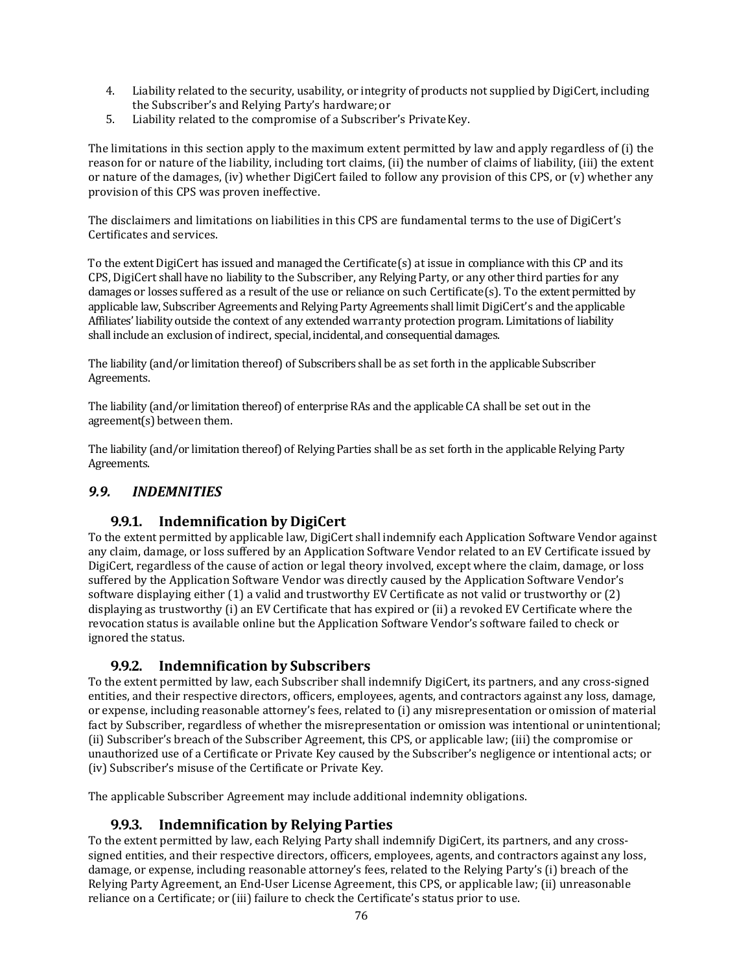- 4. Liability related to the security, usability, or integrity of products not supplied by DigiCert, including the Subscriber's and Relying Party's hardware;or
- 5. Liability related to the compromise of a Subscriber's PrivateKey.

The limitations in this section apply to the maximum extent permitted by law and apply regardless of (i) the reason for or nature of the liability, including tort claims, (ii) the number of claims of liability, (iii) the extent or nature of the damages, (iv) whether DigiCert failed to follow any provision of this CPS, or (v) whether any provision of this CPS was proven ineffective.

The disclaimers and limitations on liabilities in this CPS are fundamental terms to the use of DigiCert's Certificates and services.

To the extent DigiCert has issued and managed the Certificate(s) at issue in compliance with this CP and its CPS, DigiCert shall have no liability to the Subscriber, any Relying Party, or any other third parties for any damages or losses suffered as a result of the use or reliance on such Certificate(s). To the extent permitted by applicable law, Subscriber Agreements and Relying Party Agreements shall limit DigiCert's and the applicable Affiliates' liability outside the context of any extended warranty protection program. Limitations of liability shall include an exclusion of indirect, special, incidental, and consequential damages.

The liability (and/or limitation thereof) of Subscribers shall be as set forth in the applicable Subscriber Agreements.

The liability (and/or limitation thereof) of enterprise RAs and the applicable CA shall be set out in the agreement(s) between them.

The liability (and/or limitation thereof) of Relying Parties shall be as set forth in the applicable Relying Party Agreements.

## *9.9. INDEMNITIES*

## **9.9.1. Indemnification by DigiCert**

To the extent permitted by applicable law, DigiCert shall indemnify each Application Software Vendor against any claim, damage, or loss suffered by an Application Software Vendor related to an EV Certificate issued by DigiCert, regardless of the cause of action or legal theory involved, except where the claim, damage, or loss suffered by the Application Software Vendor was directly caused by the Application Software Vendor's software displaying either (1) a valid and trustworthy EV Certificate as not valid or trustworthy or (2) displaying as trustworthy (i) an EV Certificate that has expired or (ii) a revoked EV Certificate where the revocation status is available online but the Application Software Vendor's software failed to check or ignored the status.

## **9.9.2. Indemnification by Subscribers**

To the extent permitted by law, each Subscriber shall indemnify DigiCert, its partners, and any cross-signed entities, and their respective directors, officers, employees, agents, and contractors against any loss, damage, or expense, including reasonable attorney's fees, related to (i) any misrepresentation or omission of material fact by Subscriber, regardless of whether the misrepresentation or omission was intentional or unintentional; (ii) Subscriber's breach of the Subscriber Agreement, this CPS, or applicable law; (iii) the compromise or unauthorized use of a Certificate or Private Key caused by the Subscriber's negligence or intentional acts; or (iv) Subscriber's misuse of the Certificate or Private Key.

The applicable Subscriber Agreement may include additional indemnity obligations.

## **9.9.3. Indemnification by Relying Parties**

To the extent permitted by law, each Relying Party shall indemnify DigiCert, its partners, and any crosssigned entities, and their respective directors, officers, employees, agents, and contractors against any loss, damage, or expense, including reasonable attorney's fees, related to the Relying Party's (i) breach of the Relying Party Agreement, an End-User License Agreement, this CPS, or applicable law; (ii) unreasonable reliance on a Certificate; or (iii) failure to check the Certificate's status prior to use.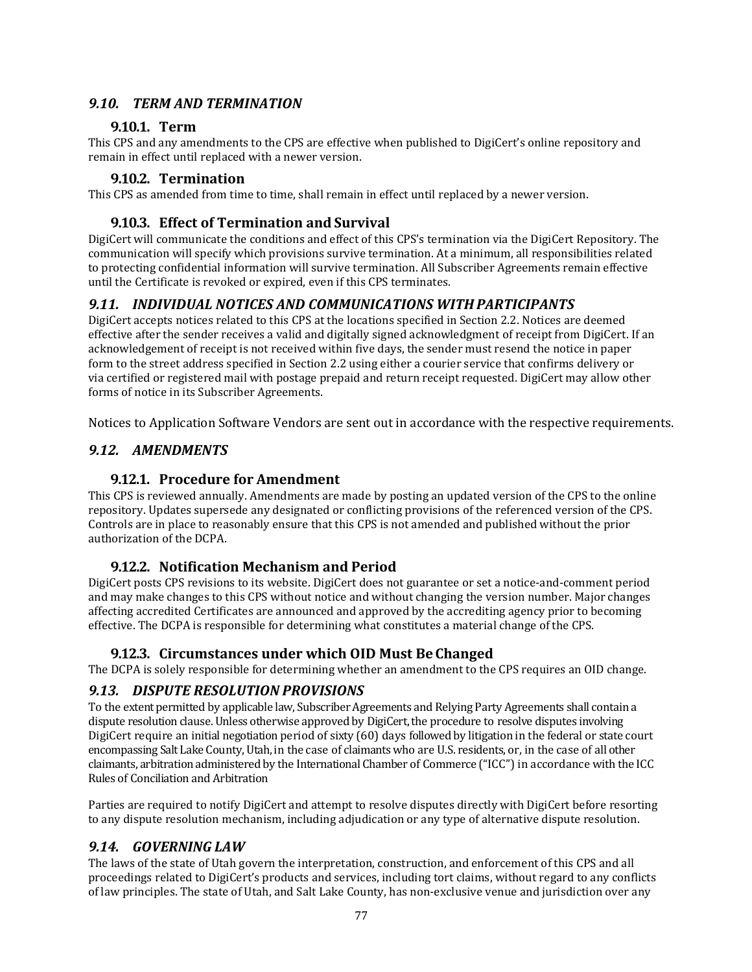### *9.10. TERM AND TERMINATION*

### **9.10.1. Term**

This CPS and any amendments to the CPS are effective when published to DigiCert's online repository and remain in effect until replaced with a newer version.

#### **9.10.2. Termination**

This CPS as amended from time to time, shall remain in effect until replaced by a newer version.

#### **9.10.3. Effect of Termination and Survival**

DigiCert will communicate the conditions and effect of this CPS's termination via the DigiCert Repository. The communication will specify which provisions survive termination. At a minimum, all responsibilities related to protecting confidential information will survive termination. All Subscriber Agreements remain effective until the Certificate is revoked or expired, even if this CPS terminates.

### *9.11. INDIVIDUAL NOTICES AND COMMUNICATIONS WITHPARTICIPANTS*

DigiCert accepts notices related to this CPS at the locations specified in Section 2.2. Notices are deemed effective after the sender receives a valid and digitally signed acknowledgment of receipt from DigiCert. If an acknowledgement of receipt is not received within five days, the sender must resend the notice in paper form to the street address specified in Section 2.2 using either a courier service that confirms delivery or via certified or registered mail with postage prepaid and return receipt requested. DigiCert may allow other forms of notice in its Subscriber Agreements.

Notices to Application Software Vendors are sent out in accordance with the respective requirements.

### *9.12. AMENDMENTS*

### **9.12.1. Procedure for Amendment**

This CPS is reviewed annually. Amendments are made by posting an updated version of the CPS to the online repository. Updates supersede any designated or conflicting provisions of the referenced version of the CPS. Controls are in place to reasonably ensure that this CPS is not amended and published without the prior authorization of the DCPA.

### **9.12.2. Notification Mechanism and Period**

DigiCert posts CPS revisions to its website. DigiCert does not guarantee or set a notice-and-comment period and may make changes to this CPS without notice and without changing the version number. Major changes affecting accredited Certificates are announced and approved by the accrediting agency prior to becoming effective. The DCPA is responsible for determining what constitutes a material change of the CPS.

### **9.12.3. Circumstances under which OID Must BeChanged**

The DCPA is solely responsible for determining whether an amendment to the CPS requires an OID change.

### *9.13. DISPUTE RESOLUTION PROVISIONS*

To the extent permitted by applicable law, Subscriber Agreements and Relying Party Agreements shall contain a dispute resolution clause. Unless otherwise approved by DigiCert, the procedure to resolve disputes involving DigiCert require an initial negotiation period of sixty (60) days followed by litigation in the federal or state court encompassing Salt Lake County, Utah, in the case of claimants who are U.S. residents, or, in the case of all other claimants, arbitration administered by the International Chamber of Commerce ("ICC") in accordance with the ICC Rules of Conciliation and Arbitration

Parties are required to notify DigiCert and attempt to resolve disputes directly with DigiCert before resorting to any dispute resolution mechanism, including adjudication or any type of alternative dispute resolution.

### *9.14. GOVERNING LAW*

The laws of the state of Utah govern the interpretation, construction, and enforcement of this CPS and all proceedings related to DigiCert's products and services, including tort claims, without regard to any conflicts of law principles. The state of Utah, and Salt Lake County, has non-exclusive venue and jurisdiction over any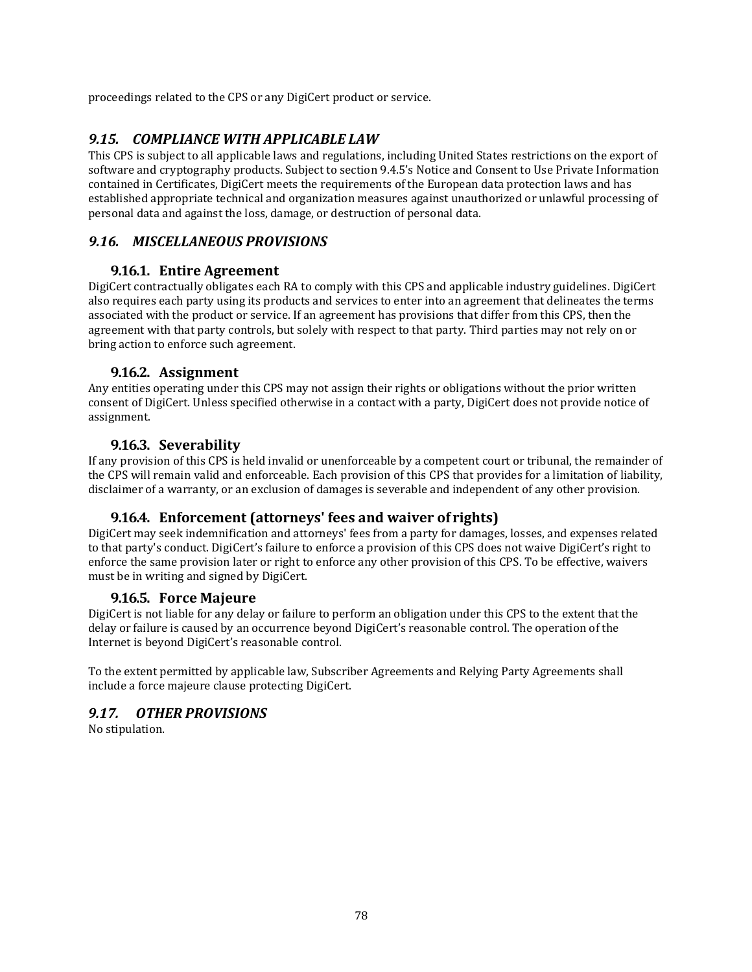proceedings related to the CPS or any DigiCert product or service.

## *9.15. COMPLIANCE WITH APPLICABLE LAW*

This CPS is subject to all applicable laws and regulations, including United States restrictions on the export of software and cryptography products. Subject to section 9.4.5's Notice and Consent to Use Private Information contained in Certificates, DigiCert meets the requirements of the European data protection laws and has established appropriate technical and organization measures against unauthorized or unlawful processing of personal data and against the loss, damage, or destruction of personal data.

### *9.16. MISCELLANEOUS PROVISIONS*

### **9.16.1. Entire Agreement**

DigiCert contractually obligates each RA to comply with this CPS and applicable industry guidelines. DigiCert also requires each party using its products and services to enter into an agreement that delineates the terms associated with the product or service. If an agreement has provisions that differ from this CPS, then the agreement with that party controls, but solely with respect to that party. Third parties may not rely on or bring action to enforce such agreement.

### **9.16.2. Assignment**

Any entities operating under this CPS may not assign their rights or obligations without the prior written consent of DigiCert. Unless specified otherwise in a contact with a party, DigiCert does not provide notice of assignment.

### **9.16.3. Severability**

If any provision of this CPS is held invalid or unenforceable by a competent court or tribunal, the remainder of the CPS will remain valid and enforceable. Each provision of this CPS that provides for a limitation of liability, disclaimer of a warranty, or an exclusion of damages is severable and independent of any other provision.

## **9.16.4. Enforcement (attorneys' fees and waiver of rights)**

DigiCert may seek indemnification and attorneys' fees from a party for damages, losses, and expenses related to that party's conduct. DigiCert's failure to enforce a provision of this CPS does not waive DigiCert's right to enforce the same provision later or right to enforce any other provision of this CPS. To be effective, waivers must be in writing and signed by DigiCert.

### **9.16.5. Force Majeure**

DigiCert is not liable for any delay or failure to perform an obligation under this CPS to the extent that the delay or failure is caused by an occurrence beyond DigiCert's reasonable control. The operation of the Internet is beyond DigiCert's reasonable control.

To the extent permitted by applicable law, Subscriber Agreements and Relying Party Agreements shall include a force majeure clause protecting DigiCert.

### *9.17. OTHER PROVISIONS*

No stipulation.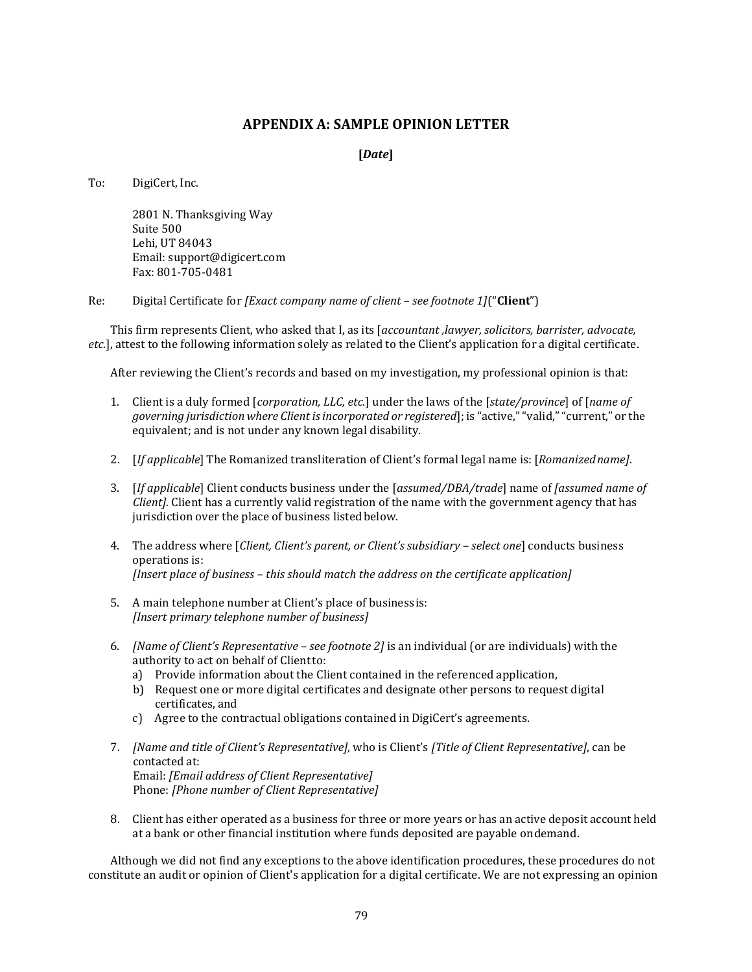#### **APPENDIX A: SAMPLE OPINION LETTER**

#### **[***Date***]**

To: DigiCert, Inc.

2801 N. Thanksgiving Way Suite 500 Lehi, UT 84043 Email[: support@digicert.com](mailto:support@digicert.com) Fax: 801-705-0481

Re: Digital Certificate for *[Exact company name of client – see footnote 1]*("**Client**")

This firm represents Client, who asked that I, as its [*accountant ,lawyer, solicitors, barrister, advocate, etc.*], attest to the following information solely as related to the Client's application for a digital certificate.

After reviewing the Client's records and based on my investigation, my professional opinion is that:

- 1. Client is a duly formed [*corporation, LLC, etc.*] under the laws of the [*state/province*] of [*name of governing jurisdiction where Client isincorporated or registered*]; is "active,""valid,""current," or the equivalent; and is not under any known legal disability.
- 2. [*If applicable*] The Romanized transliteration of Client's formal legal name is: [*Romanizedname]*.
- 3. [*If applicable*] Client conducts business under the [*assumed/DBA/trade*] name of *[assumed name of Client].* Client has a currently valid registration of the name with the government agency that has jurisdiction over the place of business listed below.
- 4. The address where [*Client, Client's parent, or Client's subsidiary – select one*] conducts business operations is: *[Insert place of business – this should match the address on the certificate application]*
- 5. A main telephone number at Client's place of business is: *[Insert primary telephone number of business]*
- 6. *[Name of Client's Representative – see footnote 2]* is an individual (or are individuals) with the authority to act on behalf of Clientto:
	- a) Provide information about the Client contained in the referenced application,
	- b) Request one or more digital certificates and designate other persons to request digital certificates, and
	- c) Agree to the contractual obligations contained in DigiCert's agreements.
- 7. *[Name and title of Client's Representative],* who is Client's *[Title of Client Representative]*, can be contacted at: Email: *[Email address of Client Representative]* Phone: *[Phone number of Client Representative]*
- 8. Client has either operated as a business for three or more years or has an active deposit account held at a bank or other financial institution where funds deposited are payable ondemand.

Although we did not find any exceptions to the above identification procedures, these procedures do not constitute an audit or opinion of Client's application for a digital certificate. We are not expressing an opinion